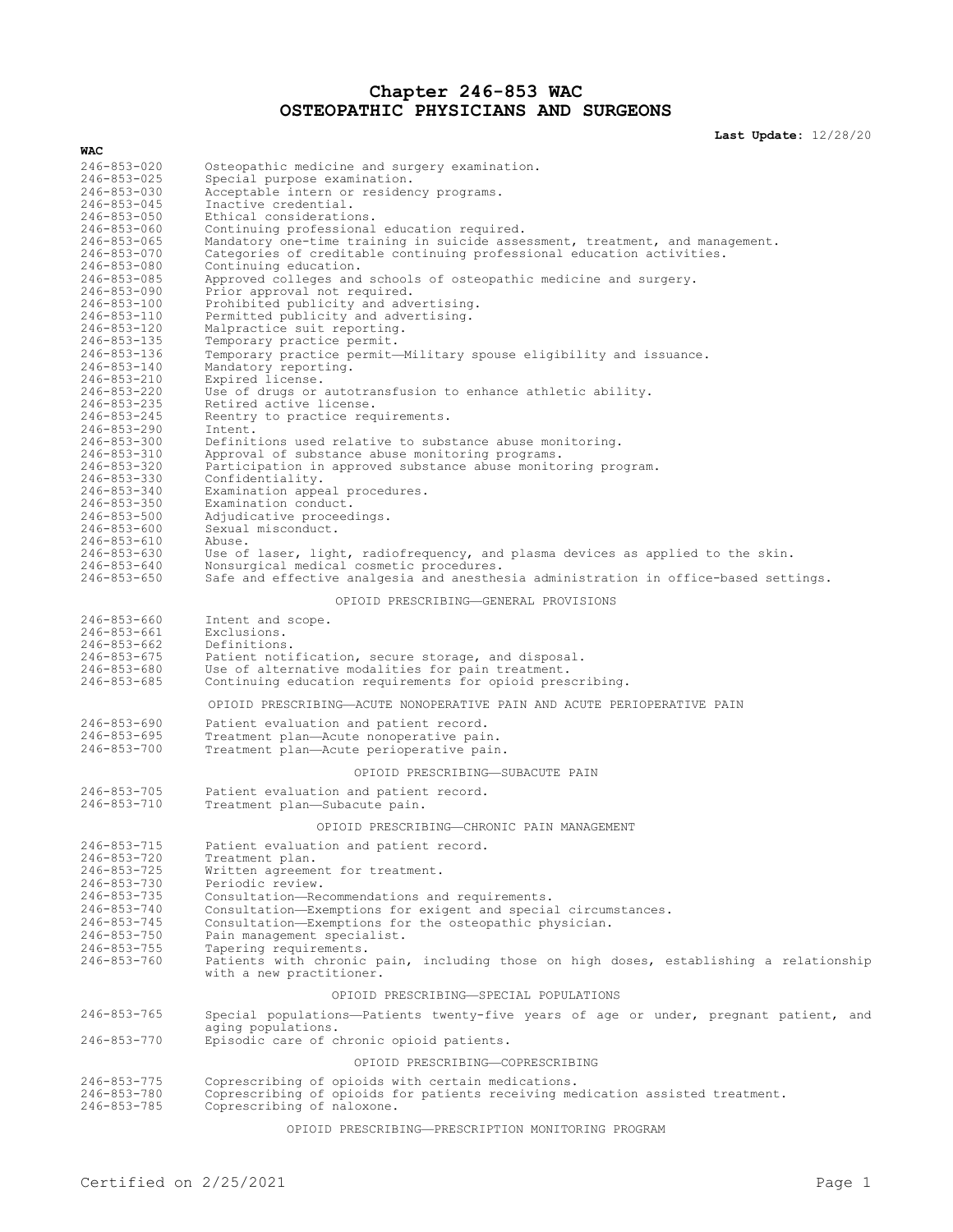# **Chapter 246-853 WAC OSTEOPATHIC PHYSICIANS AND SURGEONS**

**Last Update:** 12/28/20

| WAC                                    |                                                                                                                                      |
|----------------------------------------|--------------------------------------------------------------------------------------------------------------------------------------|
| $246 - 853 - 020$                      | Osteopathic medicine and surgery examination.                                                                                        |
| 246-853-025                            | Special purpose examination.                                                                                                         |
| 246-853-030<br>$246 - 853 - 045$       | Acceptable intern or residency programs.<br>Inactive credential.                                                                     |
| $246 - 853 - 050$                      | Ethical considerations.                                                                                                              |
| 246-853-060                            | Continuing professional education required.                                                                                          |
| 246-853-065                            | Mandatory one-time training in suicide assessment, treatment, and management.                                                        |
| 246-853-070                            | Categories of creditable continuing professional education activities.                                                               |
| 246-853-080<br>$246 - 853 - 085$       | Continuing education.<br>Approved colleges and schools of osteopathic medicine and surgery.                                          |
| $246 - 853 - 090$                      | Prior approval not required.                                                                                                         |
| 246-853-100                            | Prohibited publicity and advertising.                                                                                                |
| 246-853-110                            | Permitted publicity and advertising.                                                                                                 |
| 246-853-120<br>$246 - 853 - 135$       | Malpractice suit reporting.<br>Temporary practice permit.                                                                            |
| 246-853-136                            | Temporary practice permit—Military spouse eligibility and issuance.                                                                  |
| $246 - 853 - 140$                      | Mandatory reporting.                                                                                                                 |
| 246-853-210                            | Expired license.                                                                                                                     |
| 246-853-220<br>$246 - 853 - 235$       | Use of drugs or autotransfusion to enhance athletic ability.<br>Retired active license.                                              |
| $246 - 853 - 245$                      | Reentry to practice requirements.                                                                                                    |
| $246 - 853 - 290$                      | Intent.                                                                                                                              |
| $246 - 853 - 300$                      | Definitions used relative to substance abuse monitoring.                                                                             |
| 246-853-310<br>246-853-320             | Approval of substance abuse monitoring programs.<br>Participation in approved substance abuse monitoring program.                    |
| 246-853-330                            | Confidentiality.                                                                                                                     |
| 246-853-340                            | Examination appeal procedures.                                                                                                       |
| $246 - 853 - 350$                      | Examination conduct.                                                                                                                 |
| 246-853-500<br>246-853-600             | Adjudicative proceedings.<br>Sexual misconduct.                                                                                      |
| 246-853-610                            | Abuse.                                                                                                                               |
| 246-853-630                            | Use of laser, light, radiofrequency, and plasma devices as applied to the skin.                                                      |
| $246 - 853 - 640$                      | Nonsurgical medical cosmetic procedures.                                                                                             |
| $246 - 853 - 650$                      | Safe and effective analgesia and anesthesia administration in office-based settings.                                                 |
|                                        | OPIOID PRESCRIBING-GENERAL PROVISIONS                                                                                                |
| 246-853-660                            | Intent and scope.                                                                                                                    |
| 246-853-661                            | Exclusions.                                                                                                                          |
| 246-853-662                            | Definitions.                                                                                                                         |
| $246 - 853 - 675$<br>246-853-680       | Patient notification, secure storage, and disposal.<br>Use of alternative modalities for pain treatment.                             |
| $246 - 853 - 685$                      | Continuing education requirements for opioid prescribing.                                                                            |
|                                        | OPIOID PRESCRIBING—ACUTE NONOPERATIVE PAIN AND ACUTE PERIOPERATIVE PAIN                                                              |
|                                        |                                                                                                                                      |
| $246 - 853 - 690$<br>$246 - 853 - 695$ | Patient evaluation and patient record.<br>Treatment plan-Acute nonoperative pain.                                                    |
| 246-853-700                            | Treatment plan-Acute perioperative pain.                                                                                             |
|                                        |                                                                                                                                      |
| 246-853-705                            | OPIOID PRESCRIBING-SUBACUTE PAIN                                                                                                     |
| 246-853-710                            | Patient evaluation and patient record.<br>Treatment plan-Subacute pain.                                                              |
|                                        | OPIOID PRESCRIBING-CHRONIC PAIN MANAGEMENT                                                                                           |
| 246-853-715                            | Patient evaluation and patient record.                                                                                               |
| 246-853-720                            | Treatment plan.                                                                                                                      |
| 246-853-725                            | Written agreement for treatment.                                                                                                     |
| 246-853-730                            | Periodic review.                                                                                                                     |
| 246-853-735<br>246-853-740             | Consultation-Recommendations and requirements.<br>Consultation-Exemptions for exigent and special circumstances.                     |
| $246 - 853 - 745$                      | Consultation-Exemptions for the osteopathic physician.                                                                               |
| $246 - 853 - 750$                      | Pain management specialist.                                                                                                          |
| $246 - 853 - 755$                      | Tapering requirements.                                                                                                               |
| 246-853-760                            | Patients with chronic pain, including those on high doses, establishing a relationship<br>with a new practitioner.                   |
|                                        |                                                                                                                                      |
|                                        | OPIOID PRESCRIBING-SPECIAL POPULATIONS                                                                                               |
| $246 - 853 - 765$                      | Special populations-Patients twenty-five years of age or under, pregnant patient, and<br>aging populations.                          |
| 246-853-770                            | Episodic care of chronic opioid patients.                                                                                            |
|                                        |                                                                                                                                      |
|                                        | OPIOID PRESCRIBING-COPRESCRIBING                                                                                                     |
| 246-853-775<br>246-853-780             | Coprescribing of opioids with certain medications.<br>Coprescribing of opioids for patients receiving medication assisted treatment. |
| 246-853-785                            | Coprescribing of naloxone.                                                                                                           |
|                                        | OPIOID PRESCRIBING-PRESCRIPTION MONITORING PROGRAM                                                                                   |
|                                        |                                                                                                                                      |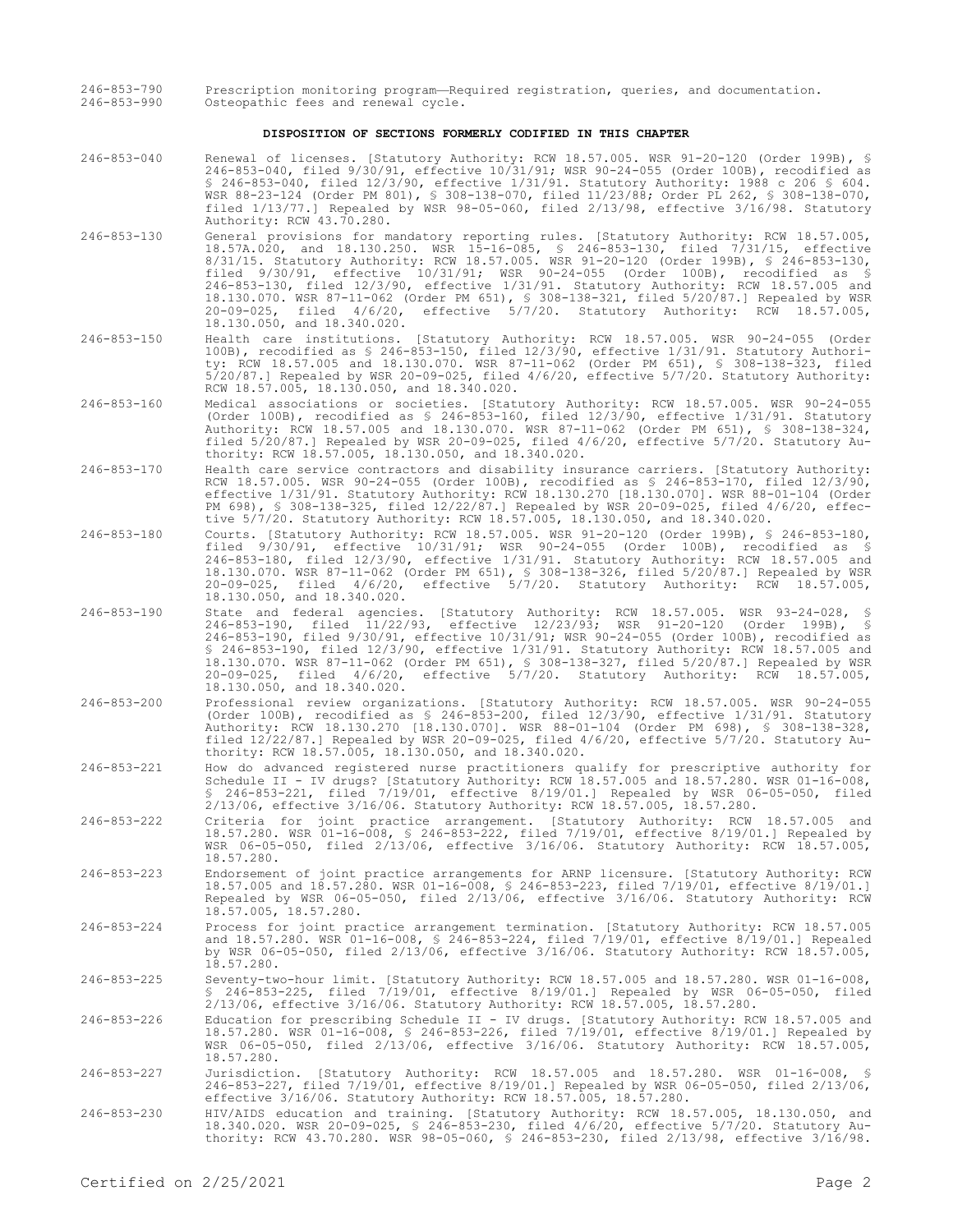246-853-790 Prescription monitoring program—Required registration, queries, and documentation.<br>246-853-990 Osteopathic fees and renewal cycle. Osteopathic fees and renewal cycle.

#### **DISPOSITION OF SECTIONS FORMERLY CODIFIED IN THIS CHAPTER**

- 246-853-040 Renewal of licenses. [Statutory Authority: RCW 18.57.005. WSR 91-20-120 (Order 199B), § 246-853-040, filed 9/30/91, effective 10/31/91; WSR 90-24-055 (Order 100B), recodified as § 246-853-040, filed 12/3/90, effective 1/31/91. Statutory Authority: 1988 c 206 § 604. WSR 88-23-124 (Order PM 801), § 308-138-070, filed 11/23/88; Order PL 262, § 308-138-070, filed 1/13/77.] Repealed by WSR 98-05-060, filed 2/13/98, effective 3/16/98. Statutory Authority: RCW 43.70.280.
- 246-853-130 General provisions for mandatory reporting rules. [Statutory Authority: RCW 18.57.005, 18.57A.020, and 18.130.250. WSR 15-16-085, § 246-853-130, filed 7/31/15, effective 8/31/15. Statutory Authority: RCW 18.57.005. WSR 91-20-120 (Order 199B), § 246-853-130, filed 9/30/91, effective 10/31/91; WSR 90-24-055 (Order 100B), recodified as § 246-853-130, filed 12/3/90, effective 1/31/91. Statutory Authority: RCW 18.57.005 and 18.130.070. WSR 87-11-062 (Order PM 651), § 308-138-321, filed 5/20/87.] Repealed by WSR 20-09-025, filed 4/6/20, effective 5/7/20. Statutory Authority: RCW 18.57.005, 18.130.050, and 18.340.020.
- 246-853-150 Health care institutions. [Statutory Authority: RCW 18.57.005. WSR 90-24-055 (Order 100B), recodified as § 246-853-150, filed 12/3/90, effective 1/31/91. Statutory Authority: RCW 18.57.005 and 18.130.070. WSR 87-11-062 (Order PM 651), § 308-138-323, filed 5/20/87.] Repealed by WSR 20-09-025, filed 4/6/20, effective 5/7/20. Statutory Authority: RCW 18.57.005, 18.130.050, and 18.340.020.
- 246-853-160 Medical associations or societies. [Statutory Authority: RCW 18.57.005. WSR 90-24-055 (Order 100B), recodified as § 246-853-160, filed 12/3/90, effective 1/31/91. Statutory Authority: RCW 18.57.005 and 18.130.070. WSR 87-11-062 (Order PM 651), § 308-138-324, filed 5/20/87.] Repealed by WSR 20-09-025, filed 4/6/20, effective 5/7/20. Statutory Authority: RCW 18.57.005, 18.130.050, and 18.340.020.
- 246-853-170 Health care service contractors and disability insurance carriers. [Statutory Authority: RCW 18.57.005. WSR 90-24-055 (Order 100B), recodified as § 246-853-170, filed 12/3/90, effective 1/31/91. Statutory Authority: RCW 18.130.270 [18.130.070]. WSR 88-01-104 (Order PM 698), § 308-138-325, filed 12/22/87.] Repealed by WSR 20-09-025, filed 4/6/20, effective 5/7/20. Statutory Authority: RCW 18.57.005, 18.130.050, and 18.340.020.
- 246-853-180 Courts. [Statutory Authority: RCW 18.57.005. WSR 91-20-120 (Order 199B), § 246-853-180, filed 9/30/91, effective 10/31/91; WSR 90-24-055 (Order 100B), recodified as § 246-853-180, filed 12/3/90, effective 1/31/91. Statutory Authority: RCW 18.57.005 and 18.130.070. WSR 87-11-062 (Order PM 651), § 308-138-326, filed 5/20/87.] Repealed by WSR 20-09-025, filed 4/6/20, effective 5/7/20. Statutory Authority: RCW 18.57.005, 18.130.050, and 18.340.020.
- 246-853-190 State and federal agencies. [Statutory Authority: RCW 18.57.005. WSR 93-24-028, § 246-853-190, filed 11/22/93, effective 12/23/93; WSR 91-20-120 (Order 199B), § 246-853-190, filed 9/30/91, effective 10/31/91; WSR 90-24-055 (Order 100B), recodified as § 246-853-190, filed 12/3/90, effective 1/31/91. Statutory Authority: RCW 18.57.005 and 18.130.070. WSR 87-11-062 (Order PM 651), § 308-138-327, filed 5/20/87.] Repealed by WSR 20-09-025, filed 4/6/20, effective 5/7/20. Statutory Authority: RCW 18.57.005, 18.130.050, and 18.340.020.
- 246-853-200 Professional review organizations. [Statutory Authority: RCW 18.57.005. WSR 90-24-055 (Order 100B), recodified as § 246-853-200, filed 12/3/90, effective 1/31/91. Statutory Authority: RCW 18.130.270 [18.130.070]. WSR 88-01-104 (Order PM 698), § 308-138-328, filed 12/22/87.] Repealed by WSR 20-09-025, filed 4/6/20, effective 5/7/20. Statutory Authority: RCW 18.57.005, 18.130.050, and 18.340.020.
- 246-853-221 How do advanced registered nurse practitioners qualify for prescriptive authority for Schedule II - IV drugs? [Statutory Authority: RCW 18.57.005 and 18.57.280. WSR 01-16-008, § 246-853-221, filed 7/19/01, effective 8/19/01.] Repealed by WSR 06-05-050, filed 2/13/06, effective 3/16/06. Statutory Authority: RCW 18.57.005, 18.57.280.
- 246-853-222 Criteria for joint practice arrangement. [Statutory Authority: RCW 18.57.005 and 18.57.280. WSR 01-16-008, § 246-853-222, filed 7/19/01, effective 8/19/01.] Repealed by WSR 06-05-050, filed 2/13/06, effective 3/16/06. Statutory Authority: RCW 18.57.005, 18.57.280.
- 246-853-223 Endorsement of joint practice arrangements for ARNP licensure. [Statutory Authority: RCW 18.57.005 and 18.57.280. WSR 01-16-008, § 246-853-223, filed 7/19/01, effective 8/19/01.] Repealed by WSR 06-05-050, filed 2/13/06, effective 3/16/06. Statutory Authority: RCW 18.57.005, 18.57.280.
- 246-853-224 Process for joint practice arrangement termination. [Statutory Authority: RCW 18.57.005 and 18.57.280. WSR 01-16-008, § 246-853-224, filed 7/19/01, effective 8/19/01.] Repealed by WSR 06-05-050, filed 2/13/06, effective 3/16/06. Statutory Authority: RCW 18.57.005, 18.57.280.
- 246-853-225 Seventy-two-hour limit. [Statutory Authority: RCW 18.57.005 and 18.57.280. WSR 01-16-008, § 246-853-225, filed 7/19/01, effective 8/19/01.] Repealed by WSR 06-05-050, filed 2/13/06, effective 3/16/06. Statutory Authority: RCW 18.57.005, 18.57.280.
- 246-853-226 Education for prescribing Schedule II IV drugs. [Statutory Authority: RCW 18.57.005 and<br>18.57.280. WSR 01-16-008, § 246-853-226, filed 7/19/01, effective 8/19/01.] Repealed by<br>WSR 06-05-050, filed 2/13/06, ef 18.57.280.
- 246-853-227 Jurisdiction. [Statutory Authority: RCW 18.57.005 and 18.57.280. WSR 01-16-008, § 246-853-227, filed 7/19/01, effective 8/19/01.] Repealed by WSR 06-05-050, filed 2/13/06, effective 3/16/06. Statutory Authority: RCW 18.57.005, 18.57.280.
- 246-853-230 HIV/AIDS education and training. [Statutory Authority: RCW 18.57.005, 18.130.050, and 18.340.020. WSR 20-09-025, § 246-853-230, filed 4/6/20, effective 5/7/20. Statutory Authority: RCW 43.70.280. WSR 98-05-060, § 246-853-230, filed 2/13/98, effective 3/16/98.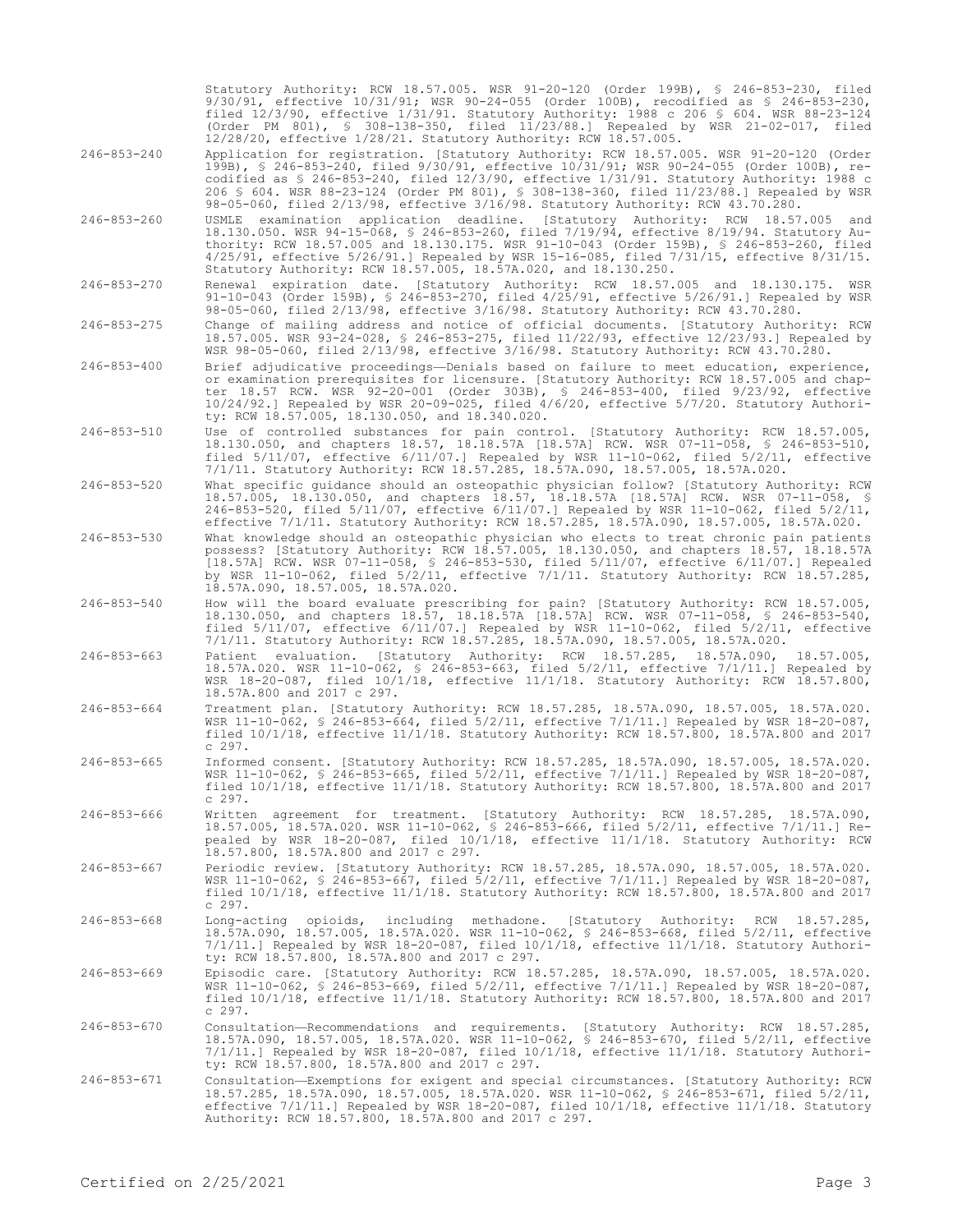Statutory Authority: RCW 18.57.005. WSR 91-20-120 (Order 199B), § 246-853-230, filed 9/30/91, effective 10/31/91; WSR 90-24-055 (Order 100B), recodified as § 246-853-230, filed 12/3/90, effective 1/31/91. Statutory Authority: 1988 c 206 § 604. WSR 88-23-124 (Order PM 801), § 308-138-350, filed 11/23/88.] Repealed by WSR 21-02-017, filed 12/28/20, effective 1/28/21. Statutory Authority: RCW 18.57.005.

- 246-853-240 Application for registration. [Statutory Authority: RCW 18.57.005. WSR 91-20-120 (Order 199B), § 246-853-240, filed 9/30/91, effective 10/31/91; WSR 90-24-055 (Order 100B), recodified as § 246-853-240, filed 12/3/90, effective 1/31/91. Statutory Authority: 1988 c 206 § 604. WSR 88-23-124 (Order PM 801), § 308-138-360, filed 11/23/88.] Repealed by WSR 98-05-060, filed 2/13/98, effective 3/16/98. Statutory Authority: RCW 43.70.280.
- 246-853-260 USMLE examination application deadline. [Statutory Authority: RCW 18.57.005 and 18.130.050. WSR 94-15-068, § 246-853-260, filed 7/19/94, effective 8/19/94. Statutory Authority: RCW 18.57.005 and 18.130.175. WSR 91-10-043 (Order 159B), § 246-853-260, filed 4/25/91, effective 5/26/91.] Repealed by WSR 15-16-085, filed 7/31/15, effective 8/31/15. Statutory Authority: RCW 18.57.005, 18.57A.020, and 18.130.250.
- 246-853-270 Renewal expiration date. [Statutory Authority: RCW 18.57.005 and 18.130.175. WSR 91-10-043 (Order 159B), § 246-853-270, filed 4/25/91, effective 5/26/91.] Repealed by WSR 98-05-060, filed 2/13/98, effective 3/16/98. Statutory Authority: RCW 43.70.280.
- 246-853-275 Change of mailing address and notice of official documents. [Statutory Authority: RCW 18.57.005. WSR 93-24-028, § 246-853-275, filed 11/22/93, effective 12/23/93.] Repealed by WSR 98-05-060, filed 2/13/98, effective 3/16/98. Statutory Authority: RCW 43.70.280.
- 246-853-400 Brief adjudicative proceedings—Denials based on failure to meet education, experience, or examination prerequisites for licensure. [Statutory Authority: RCW 18.57.005 and chapter 18.57 RCW. WSR 92-20-001 (Order 303B), § 246-853-400, filed 9/23/92, effective 10/24/92.] Repealed by WSR 20-09-025, filed 4/6/20, effective 5/7/20. Statutory Authority: RCW 18.57.005, 18.130.050, and 18.340.020.
- 246-853-510 Use of controlled substances for pain control. [Statutory Authority: RCW 18.57.005, 18.130.050, and chapters 18.57, 18.18.57A [18.57A] RCW. WSR 07-11-058, § 246-853-510, filed 5/11/07, effective 6/11/07.] Repealed by WSR 11-10-062, filed 5/2/11, effective 7/1/11. Statutory Authority: RCW 18.57.285, 18.57A.090, 18.57.005, 18.57A.020.
- 246-853-520 What specific guidance should an osteopathic physician follow? [Statutory Authority: RCW 18.57.005, 18.130.050, and chapters 18.57, 18.18.57A [18.57A] RCW. WSR 07-11-058, § 246-853-520, filed 5/11/07, effective 6/11/07.] Repealed by WSR 11-10-062, filed 5/2/11, effective 7/1/11. Statutory Authority: RCW 18.57.285, 18.57A.090, 18.57.005, 18.57A.020.
- 246-853-530 What knowledge should an osteopathic physician who elects to treat chronic pain patients possess? [Statutory Authority: RCW 18.57.005, 18.130.050, and chapters 18.57, 18.18.57A [18.57A] RCW. WSR 07-11-058, § 246-853-530, filed 5/11/07, effective 6/11/07.] Repealed by WSR 11-10-062, filed 5/2/11, effective 7/1/11. Statutory Authority: RCW 18.57.285, 18.57A.090, 18.57.005, 18.57A.020.
- 246-853-540 How will the board evaluate prescribing for pain? [Statutory Authority: RCW 18.57.005, 18.130.050, and chapters 18.57, 18.18.57A [18.57A] RCW. WSR 07-11-058, § 246-853-540, filed 5/11/07, effective 6/11/07.] Repealed by WSR 11-10-062, filed 5/2/11, effective 7/1/11. Statutory Authority: RCW 18.57.285, 18.57A.090, 18.57.005, 18.57A.020.
- 246-853-663 Patient evaluation. [Statutory Authority: RCW 18.57.285, 18.57A.090, 18.57.005, 18.57A.020. WSR 11-10-062, § 246-853-663, filed 5/2/11, effective 7/1/11.] Repealed by WSR 18-20-087, filed 10/1/18, effective 11/1/18. Statutory Authority: RCW 18.57.800, 18.57A.800 and 2017 c 297.
- 246-853-664 Treatment plan. [Statutory Authority: RCW 18.57.285, 18.57A.090, 18.57.005, 18.57A.020. WSR 11-10-062, § 246-853-664, filed 5/2/11, effective 7/1/11.] Repealed by WSR 18-20-087, filed 10/1/18, effective 11/1/18. Statutory Authority: RCW 18.57.800, 18.57A.800 and 2017 c 297.
- 246-853-665 Informed consent. [Statutory Authority: RCW 18.57.285, 18.57A.090, 18.57.005, 18.57A.020. WSR 11-10-062, § 246-853-665, filed 5/2/11, effective 7/1/11.] Repealed by WSR 18-20-087, filed 10/1/18, effective 11/1/18. Statutory Authority: RCW 18.57.800, 18.57A.800 and 2017 c 297.
- 246-853-666 Written agreement for treatment. [Statutory Authority: RCW 18.57.285, 18.57A.090, 18.57.005, 18.57A.020. WSR 11-10-062, § 246-853-666, filed 5/2/11, effective 7/1/11.] Repealed by WSR 18-20-087, filed 10/1/18, effective 11/1/18. Statutory Authority: RCW 18.57.800, 18.57A.800 and 2017 c 297.
- 246-853-667 Periodic review. [Statutory Authority: RCW 18.57.285, 18.57A.090, 18.57.005, 18.57A.020. WSR 11-10-062, § 246-853-667, filed 5/2/11, effective 7/1/11.] Repealed by WSR 18-20-087, filed 10/1/18, effective 11/1/18. Statutory Authority: RCW 18.57.800, 18.57A.800 and 2017 c 297.
- 246-853-668 Long-acting opioids, including methadone. [Statutory Authority: RCW 18.57.285, 18.57A.090, 18.57.005, 18.57A.020. WSR 11-10-062, § 246-853-668, filed 5/2/11, effective 7/1/11.] Repealed by WSR 18-20-087, filed 10/1/18, effective 11/1/18. Statutory Authori-7/1/11.] Repealed by WSR 18-20-087, filed 10,<br>ty: RCW 18.57.800, 18.57A.800 and 2017 c 297.
- 246-853-669 Episodic care. [Statutory Authority: RCW 18.57.285, 18.57A.090, 18.57.005, 18.57A.020. WSR 11-10-062, § 246-853-669, filed 5/2/11, effective 7/1/11.] Repealed by WSR 18-20-087, filed 10/1/18, effective 11/1/18. Statutory Authority: RCW 18.57.800, 18.57A.800 and 2017 c 297.
- 246-853-670 Consultation—Recommendations and requirements. [Statutory Authority: RCW 18.57.285, 18.57A.090, 18.57.005, 18.57A.020. WSR 11-10-062, § 246-853-670, filed 5/2/11, effective 7/1/11.] Repealed by WSR 18-20-087, filed 10/1/18, effective 11/1/18. Statutory Authority: RCW 18.57.800, 18.57A.800 and 2017 c 297.
- 246-853-671 Consultation—Exemptions for exigent and special circumstances. [Statutory Authority: RCW 18.57.285, 18.57A.090, 18.57.005, 18.57A.020. WSR 11-10-062, § 246-853-671, filed 5/2/11, effective 7/1/11.] Repealed by WSR 18-20-087, filed 10/1/18, effective 11/1/18. Statutory Authority: RCW 18.57.800, 18.57A.800 and 2017 c 297.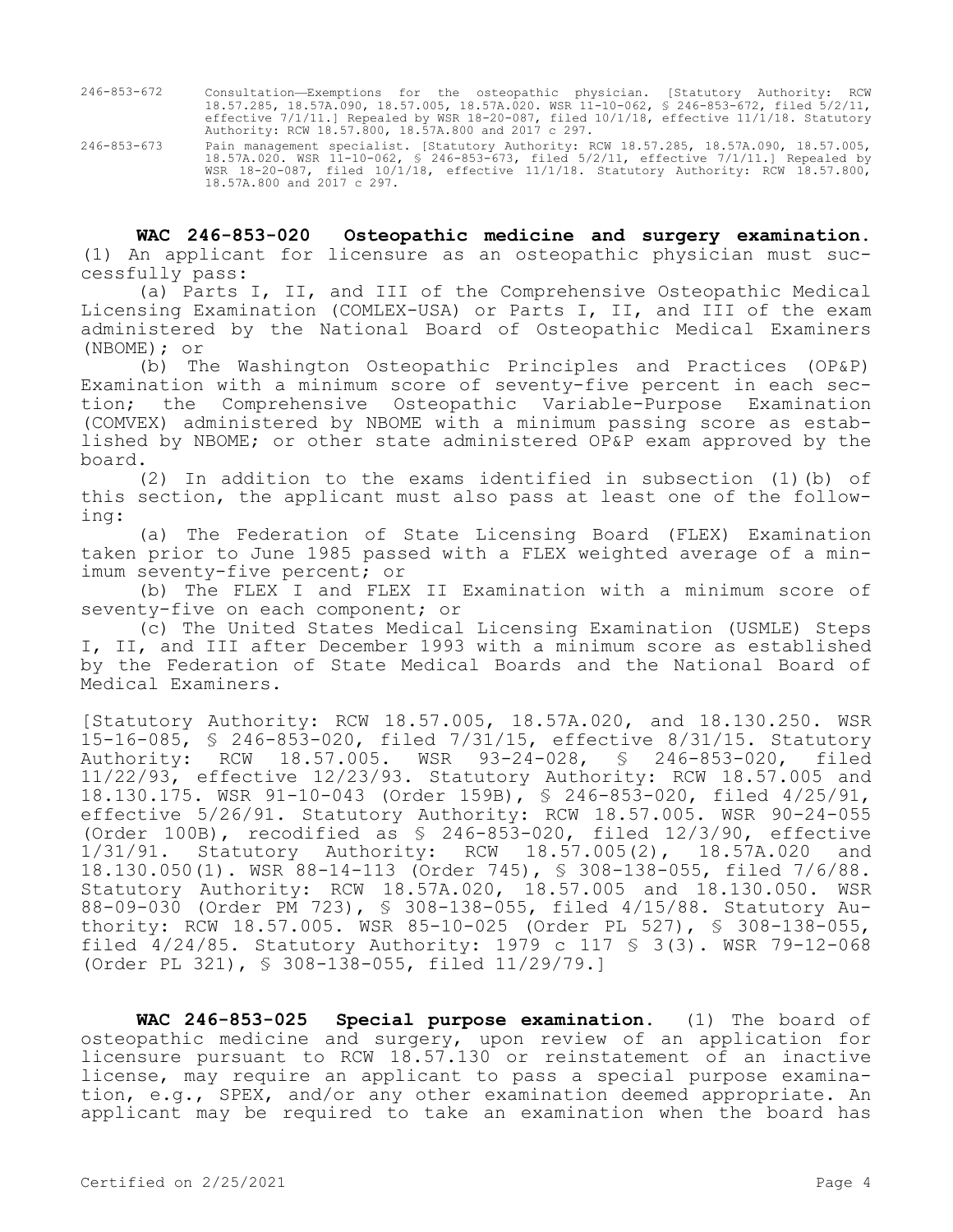246-853-672 Consultation—Exemptions for the osteopathic physician. [Statutory Authority: RCW 18.57.285, 18.57A.090, 18.57.005, 18.57A.020. WSR 11-10-062, § 246-853-672, filed 5/2/11, effective 7/1/11.] Repealed by WSR 18-20-087, filed 10/1/18, effective 11/1/18. Statutory Authority: RCW 18.57.800, 18.57A.800 and 2017 c 297.

246-853-673 Pain management specialist. [Statutory Authority: RCW 18.57.285, 18.57A.090, 18.57.005, 18.57A.020. WSR 11-10-062, § 246-853-673, filed 5/2/11, effective 7/1/11.] Repealed by WSR 18-20-087, filed 10/1/18, effective 11/1/18. Statutory Authority: RCW 18.57.800, 18.57A.800 and 2017 c 297.

**WAC 246-853-020 Osteopathic medicine and surgery examination.**  (1) An applicant for licensure as an osteopathic physician must successfully pass:

(a) Parts I, II, and III of the Comprehensive Osteopathic Medical Licensing Examination (COMLEX-USA) or Parts I, II, and III of the exam administered by the National Board of Osteopathic Medical Examiners (NBOME); or

(b) The Washington Osteopathic Principles and Practices (OP&P) Examination with a minimum score of seventy-five percent in each section; the Comprehensive Osteopathic Variable-Purpose Examination (COMVEX) administered by NBOME with a minimum passing score as established by NBOME; or other state administered OP&P exam approved by the board.

(2) In addition to the exams identified in subsection (1)(b) of this section, the applicant must also pass at least one of the following:

(a) The Federation of State Licensing Board (FLEX) Examination taken prior to June 1985 passed with a FLEX weighted average of a minimum seventy-five percent; or

(b) The FLEX I and FLEX II Examination with a minimum score of seventy-five on each component; or

(c) The United States Medical Licensing Examination (USMLE) Steps I, II, and III after December 1993 with a minimum score as established by the Federation of State Medical Boards and the National Board of Medical Examiners.

[Statutory Authority: RCW 18.57.005, 18.57A.020, and 18.130.250. WSR 15-16-085, § 246-853-020, filed 7/31/15, effective 8/31/15. Statutory<br>Authority: RCW 18.57.005. WSR 93-24-028, § 246-853-020, filed WSR 93-24-028, § 246-853-020, filed 11/22/93, effective 12/23/93. Statutory Authority: RCW 18.57.005 and 18.130.175. WSR 91-10-043 (Order 159B), § 246-853-020, filed 4/25/91, effective 5/26/91. Statutory Authority: RCW 18.57.005. WSR 90-24-055 (Order 100B), recodified as § 246-853-020, filed 12/3/90, effective 1/31/91. Statutory Authority: RCW 18.57.005(2), 18.57A.020 and 18.130.050(1). WSR 88-14-113 (Order 745), § 308-138-055, filed 7/6/88. Statutory Authority: RCW 18.57A.020, 18.57.005 and 18.130.050. WSR 88-09-030 (Order PM 723), § 308-138-055, filed 4/15/88. Statutory Authority: RCW 18.57.005. WSR 85-10-025 (Order PL 527), § 308-138-055, filed 4/24/85. Statutory Authority: 1979 c 117 § 3(3). WSR 79-12-068 (Order PL 321), § 308-138-055, filed 11/29/79.]

**WAC 246-853-025 Special purpose examination.** (1) The board of osteopathic medicine and surgery, upon review of an application for licensure pursuant to RCW 18.57.130 or reinstatement of an inactive license, may require an applicant to pass a special purpose examination, e.g., SPEX, and/or any other examination deemed appropriate. An applicant may be required to take an examination when the board has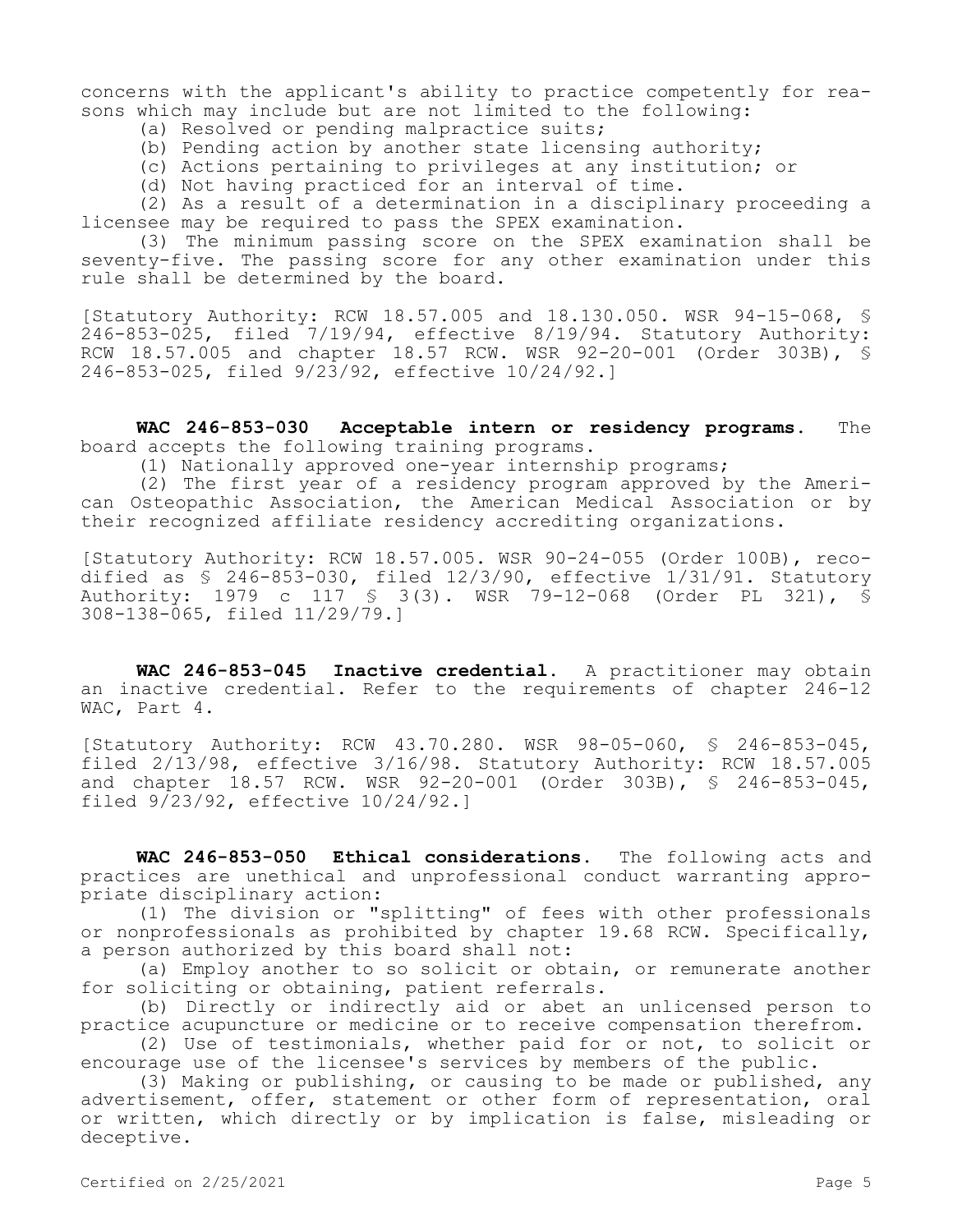concerns with the applicant's ability to practice competently for reasons which may include but are not limited to the following:

- (a) Resolved or pending malpractice suits;
- (b) Pending action by another state licensing authority;
- (c) Actions pertaining to privileges at any institution; or
- (d) Not having practiced for an interval of time.

(2) As a result of a determination in a disciplinary proceeding a licensee may be required to pass the SPEX examination.

(3) The minimum passing score on the SPEX examination shall be seventy-five. The passing score for any other examination under this rule shall be determined by the board.

[Statutory Authority: RCW 18.57.005 and 18.130.050. WSR 94-15-068, § 246-853-025, filed 7/19/94, effective 8/19/94. Statutory Authority: RCW 18.57.005 and chapter 18.57 RCW. WSR 92-20-001 (Order 303B), \$ 246-853-025, filed 9/23/92, effective 10/24/92.]

**WAC 246-853-030 Acceptable intern or residency programs.** The board accepts the following training programs.

(1) Nationally approved one-year internship programs;

(2) The first year of a residency program approved by the American Osteopathic Association, the American Medical Association or by their recognized affiliate residency accrediting organizations.

[Statutory Authority: RCW 18.57.005. WSR 90-24-055 (Order 100B), recodified as  $$ 246-853-030$ , filed  $12/3/90$ , effective  $1/31/91$ . Statutory Authority: 1979 c 117 § 3(3). WSR 79-12-068 (Order PL 321), § 308-138-065, filed 11/29/79.]

**WAC 246-853-045 Inactive credential.** A practitioner may obtain an inactive credential. Refer to the requirements of chapter 246-12 WAC, Part 4.

[Statutory Authority: RCW 43.70.280. WSR 98-05-060, § 246-853-045, filed 2/13/98, effective 3/16/98. Statutory Authority: RCW 18.57.005 and chapter 18.57 RCW. WSR 92-20-001 (Order 303B), § 246-853-045, filed 9/23/92, effective 10/24/92.]

**WAC 246-853-050 Ethical considerations.** The following acts and practices are unethical and unprofessional conduct warranting appropriate disciplinary action:

(1) The division or "splitting" of fees with other professionals or nonprofessionals as prohibited by chapter 19.68 RCW. Specifically, a person authorized by this board shall not:

(a) Employ another to so solicit or obtain, or remunerate another for soliciting or obtaining, patient referrals.

(b) Directly or indirectly aid or abet an unlicensed person to practice acupuncture or medicine or to receive compensation therefrom.

(2) Use of testimonials, whether paid for or not, to solicit or encourage use of the licensee's services by members of the public.

(3) Making or publishing, or causing to be made or published, any advertisement, offer, statement or other form of representation, oral or written, which directly or by implication is false, misleading or deceptive.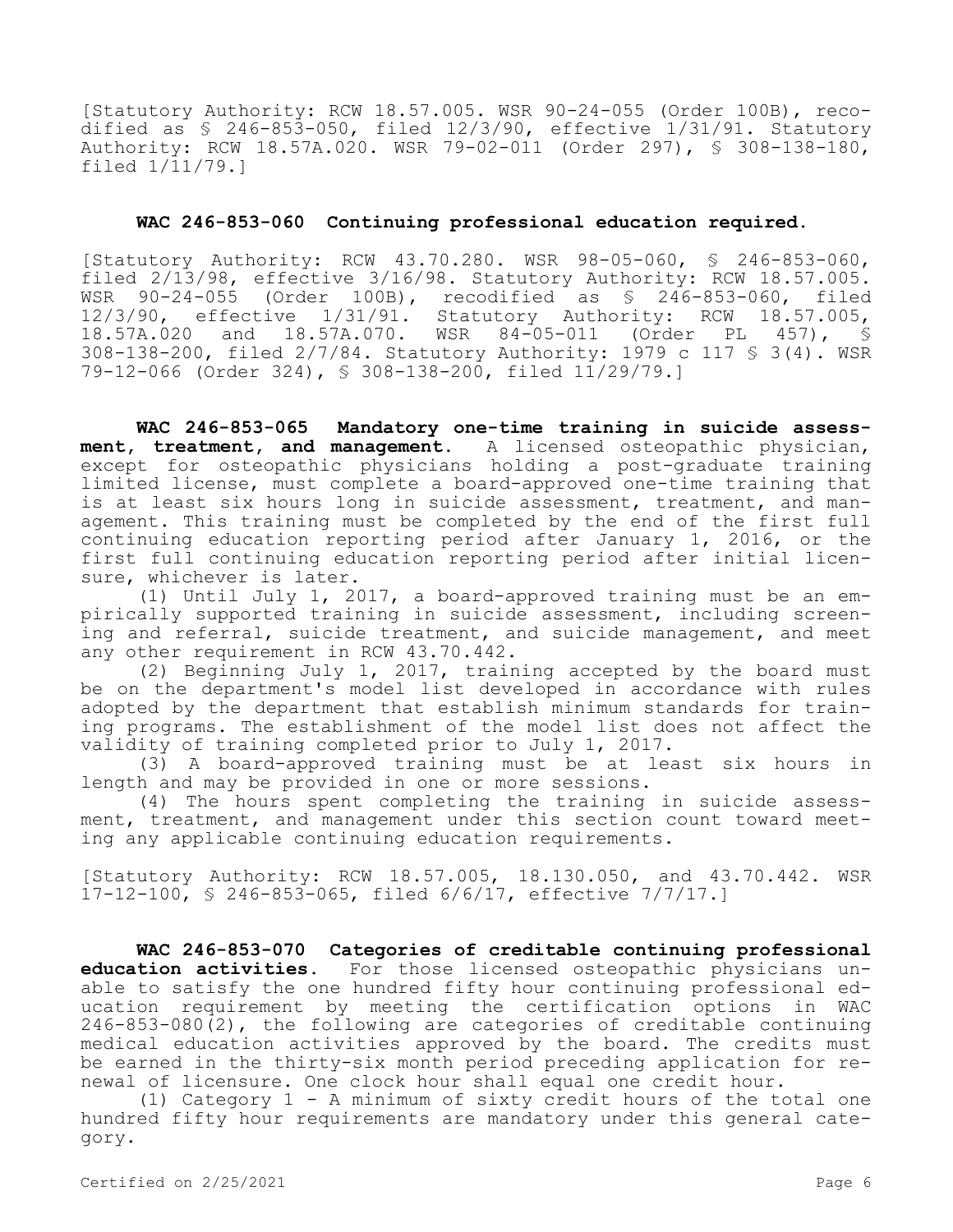[Statutory Authority: RCW 18.57.005. WSR 90-24-055 (Order 100B), recodified as § 246-853-050, filed 12/3/90, effective 1/31/91. Statutory Authority: RCW 18.57A.020. WSR 79-02-011 (Order 297), § 308-138-180, filed 1/11/79.]

## **WAC 246-853-060 Continuing professional education required.**

[Statutory Authority: RCW 43.70.280. WSR 98-05-060, § 246-853-060, filed  $2/\overline{13}/98$ , effective  $3/16/98$ . Statutory Authority: RCW 18.57.005.<br>WSR 90-24-055 (Order 100B), recodified as \$ 246-853-060, filed WSR  $90-24-055$  (Order 100B), recodified as  $12/3/90$ , effective  $1/31/91$ . Statutory Auth effective 1/31/91. Statutory Authority: RCW 18.57.005,<br>0 and 18.57A.070. WSR 84-05-011 (Order PL 457), \$ 18.57A.020 and 18.57A.070. WSR 84-05-011 (Order PL 457), § 308-138-200, filed 2/7/84. Statutory Authority: 1979 c 117 § 3(4). WSR 79-12-066 (Order 324), § 308-138-200, filed 11/29/79.]

**WAC 246-853-065 Mandatory one-time training in suicide assessment, treatment, and management.** A licensed osteopathic physician, except for osteopathic physicians holding a post-graduate training limited license, must complete a board-approved one-time training that is at least six hours long in suicide assessment, treatment, and management. This training must be completed by the end of the first full continuing education reporting period after January 1, 2016, or the first full continuing education reporting period after initial licensure, whichever is later.

(1) Until July 1, 2017, a board-approved training must be an empirically supported training in suicide assessment, including screening and referral, suicide treatment, and suicide management, and meet any other requirement in RCW 43.70.442.

(2) Beginning July 1, 2017, training accepted by the board must be on the department's model list developed in accordance with rules adopted by the department that establish minimum standards for training programs. The establishment of the model list does not affect the validity of training completed prior to July 1, 2017.

(3) A board-approved training must be at least six hours in length and may be provided in one or more sessions.

(4) The hours spent completing the training in suicide assessment, treatment, and management under this section count toward meeting any applicable continuing education requirements.

[Statutory Authority: RCW 18.57.005, 18.130.050, and 43.70.442. WSR 17-12-100, § 246-853-065, filed 6/6/17, effective 7/7/17.]

**WAC 246-853-070 Categories of creditable continuing professional education activities.** For those licensed osteopathic physicians unable to satisfy the one hundred fifty hour continuing professional education requirement by meeting the certification options in WAC  $246-853-080(2)$ , the following are categories of creditable continuing medical education activities approved by the board. The credits must be earned in the thirty-six month period preceding application for renewal of licensure. One clock hour shall equal one credit hour.

(1) Category 1 - A minimum of sixty credit hours of the total one hundred fifty hour requirements are mandatory under this general category.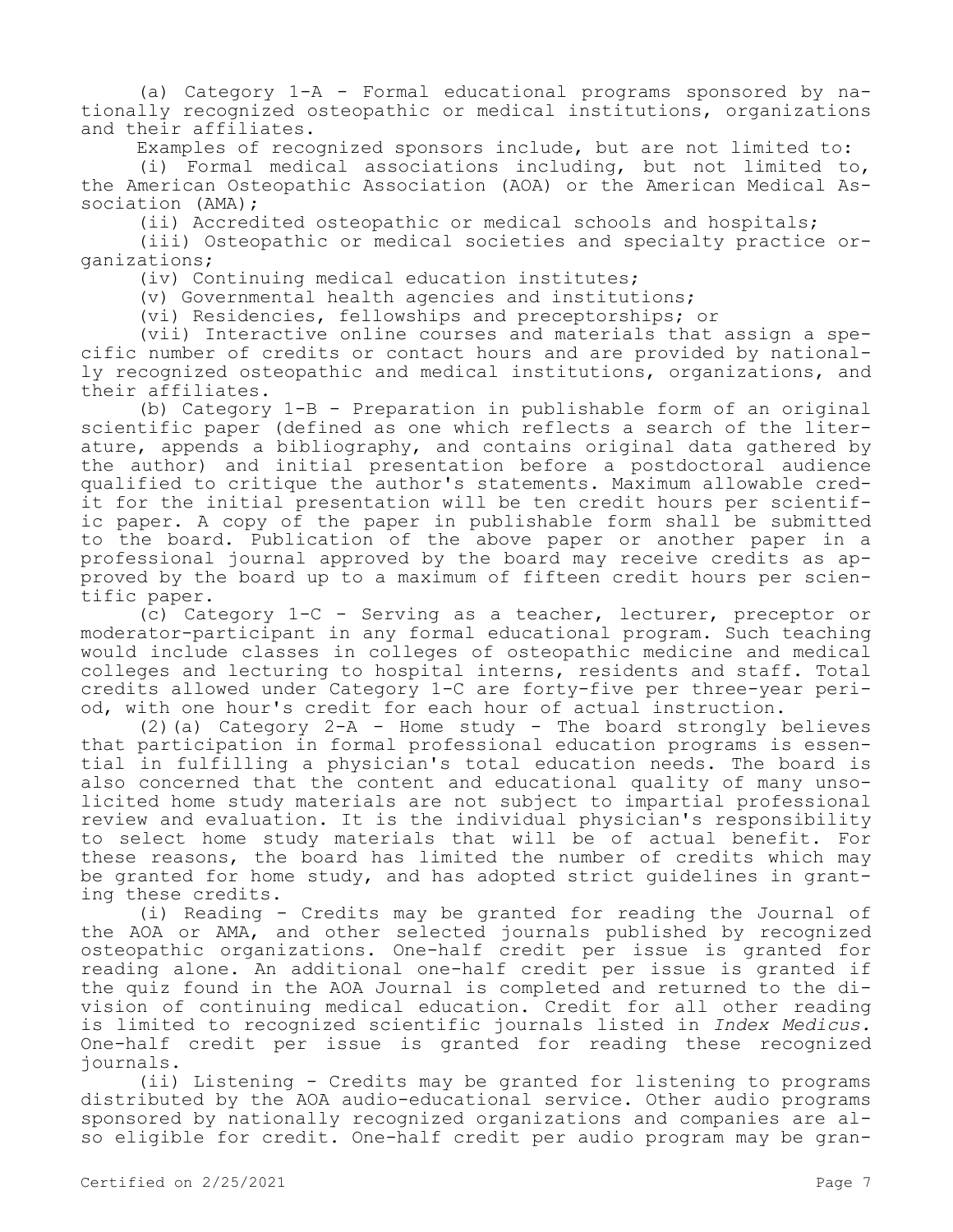(a) Category 1-A - Formal educational programs sponsored by nationally recognized osteopathic or medical institutions, organizations and their affiliates.

Examples of recognized sponsors include, but are not limited to:

(i) Formal medical associations including, but not limited to, the American Osteopathic Association (AOA) or the American Medical Association (AMA);

(ii) Accredited osteopathic or medical schools and hospitals;

(iii) Osteopathic or medical societies and specialty practice organizations;

(iv) Continuing medical education institutes;

(v) Governmental health agencies and institutions;

(vi) Residencies, fellowships and preceptorships; or

(vii) Interactive online courses and materials that assign a specific number of credits or contact hours and are provided by nationally recognized osteopathic and medical institutions, organizations, and their affiliates.

(b) Category 1-B - Preparation in publishable form of an original scientific paper (defined as one which reflects a search of the literature, appends a bibliography, and contains original data gathered by the author) and initial presentation before a postdoctoral audience qualified to critique the author's statements. Maximum allowable credit for the initial presentation will be ten credit hours per scientific paper. A copy of the paper in publishable form shall be submitted to the board. Publication of the above paper or another paper in a professional journal approved by the board may receive credits as approved by the board up to a maximum of fifteen credit hours per scientific paper.

(c) Category 1-C - Serving as a teacher, lecturer, preceptor or moderator-participant in any formal educational program. Such teaching would include classes in colleges of osteopathic medicine and medical colleges and lecturing to hospital interns, residents and staff. Total credits allowed under Category 1-C are forty-five per three-year period, with one hour's credit for each hour of actual instruction.

(2)(a) Category 2-A - Home study - The board strongly believes that participation in formal professional education programs is essential in fulfilling a physician's total education needs. The board is also concerned that the content and educational quality of many unsolicited home study materials are not subject to impartial professional review and evaluation. It is the individual physician's responsibility to select home study materials that will be of actual benefit. For these reasons, the board has limited the number of credits which may be granted for home study, and has adopted strict guidelines in granting these credits.

(i) Reading - Credits may be granted for reading the Journal of the AOA or AMA, and other selected journals published by recognized osteopathic organizations. One-half credit per issue is granted for reading alone. An additional one-half credit per issue is granted if the quiz found in the AOA Journal is completed and returned to the division of continuing medical education. Credit for all other reading is limited to recognized scientific journals listed in *Index Medicus.*  One-half credit per issue is granted for reading these recognized journals.

(ii) Listening - Credits may be granted for listening to programs distributed by the AOA audio-educational service. Other audio programs sponsored by nationally recognized organizations and companies are also eligible for credit. One-half credit per audio program may be gran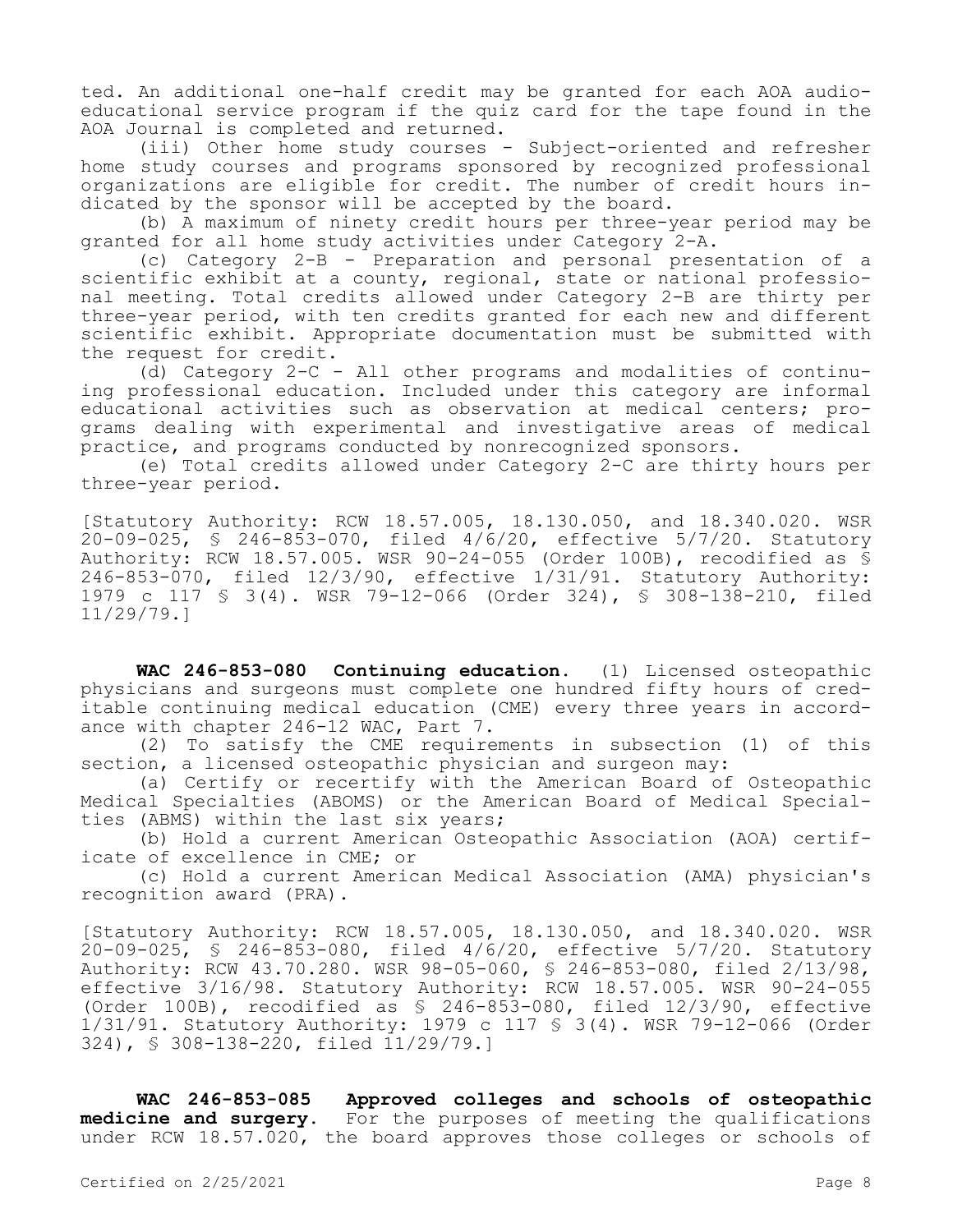ted. An additional one-half credit may be granted for each AOA audioeducational service program if the quiz card for the tape found in the AOA Journal is completed and returned.

(iii) Other home study courses - Subject-oriented and refresher home study courses and programs sponsored by recognized professional organizations are eligible for credit. The number of credit hours indicated by the sponsor will be accepted by the board.

(b) A maximum of ninety credit hours per three-year period may be granted for all home study activities under Category 2-A.

(c) Category 2-B - Preparation and personal presentation of a scientific exhibit at a county, regional, state or national professional meeting. Total credits allowed under Category 2-B are thirty per three-year period, with ten credits granted for each new and different scientific exhibit. Appropriate documentation must be submitted with the request for credit.

(d) Category 2-C - All other programs and modalities of continuing professional education. Included under this category are informal educational activities such as observation at medical centers; programs dealing with experimental and investigative areas of medical practice, and programs conducted by nonrecognized sponsors.

(e) Total credits allowed under Category 2-C are thirty hours per three-year period.

[Statutory Authority: RCW 18.57.005, 18.130.050, and 18.340.020. WSR 20-09-025, § 246-853-070, filed 4/6/20, effective 5/7/20. Statutory Authority: RCW 18.57.005. WSR 90-24-055 (Order 100B), recodified as § 246-853-070, filed 12/3/90, effective 1/31/91. Statutory Authority: 1979 c 117 § 3(4). WSR 79-12-066 (Order 324), § 308-138-210, filed 11/29/79.]

**WAC 246-853-080 Continuing education.** (1) Licensed osteopathic physicians and surgeons must complete one hundred fifty hours of creditable continuing medical education (CME) every three years in accordance with chapter 246-12 WAC, Part 7.

(2) To satisfy the CME requirements in subsection (1) of this section, a licensed osteopathic physician and surgeon may:

(a) Certify or recertify with the American Board of Osteopathic Medical Specialties (ABOMS) or the American Board of Medical Specialties (ABMS) within the last six years;

(b) Hold a current American Osteopathic Association (AOA) certificate of excellence in CME; or

(c) Hold a current American Medical Association (AMA) physician's recognition award (PRA).

[Statutory Authority: RCW 18.57.005, 18.130.050, and 18.340.020. WSR 20-09-025, § 246-853-080, filed 4/6/20, effective 5/7/20. Statutory Authority: RCW 43.70.280. WSR 98-05-060, § 246-853-080, filed 2/13/98, effective 3/16/98. Statutory Authority: RCW 18.57.005. WSR 90-24-055 (Order 100B), recodified as § 246-853-080, filed 12/3/90, effective 1/31/91. Statutory Authority: 1979 c 117 § 3(4). WSR 79-12-066 (Order 324), § 308-138-220, filed 11/29/79.]

**WAC 246-853-085 Approved colleges and schools of osteopathic medicine and surgery.** For the purposes of meeting the qualifications under RCW 18.57.020, the board approves those colleges or schools of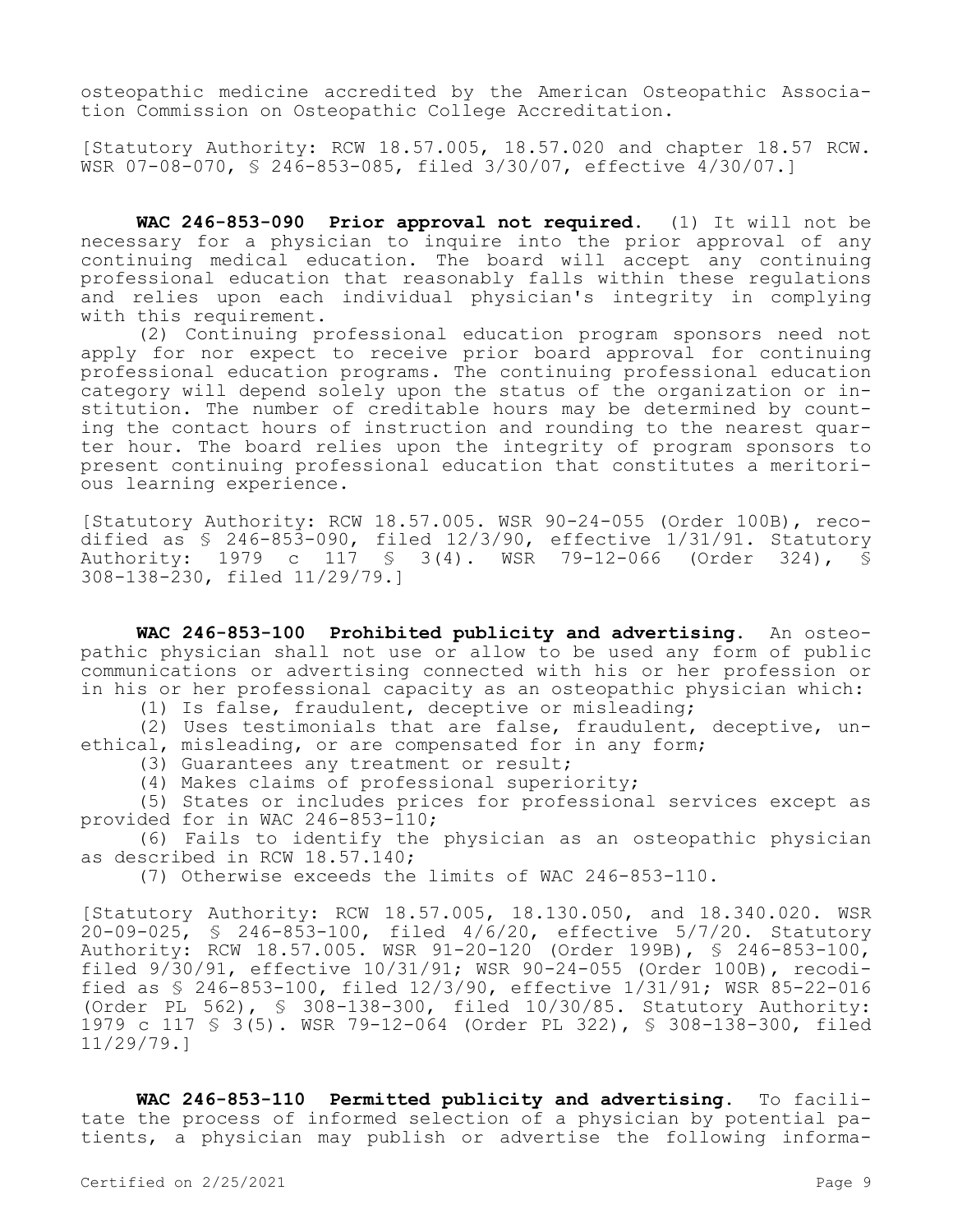osteopathic medicine accredited by the American Osteopathic Association Commission on Osteopathic College Accreditation.

[Statutory Authority: RCW 18.57.005, 18.57.020 and chapter 18.57 RCW. WSR 07-08-070, § 246-853-085, filed 3/30/07, effective 4/30/07.]

**WAC 246-853-090 Prior approval not required.** (1) It will not be necessary for a physician to inquire into the prior approval of any continuing medical education. The board will accept any continuing professional education that reasonably falls within these regulations and relies upon each individual physician's integrity in complying with this requirement.

(2) Continuing professional education program sponsors need not apply for nor expect to receive prior board approval for continuing professional education programs. The continuing professional education category will depend solely upon the status of the organization or institution. The number of creditable hours may be determined by counting the contact hours of instruction and rounding to the nearest quarter hour. The board relies upon the integrity of program sponsors to present continuing professional education that constitutes a meritorious learning experience.

[Statutory Authority: RCW 18.57.005. WSR 90-24-055 (Order 100B), recodified as  $$ 246-853-090$ , filed  $12/3/90$ , effective  $1/31/91$ . Statutory<br>Authority: 1979 c 117  $$ 3(4)$ . WSR 79-12-066 (Order 324),  $$$  $$3(4)$ . WSR 79-12-066 (Order 324), § 308-138-230, filed 11/29/79.]

**WAC 246-853-100 Prohibited publicity and advertising.** An osteopathic physician shall not use or allow to be used any form of public communications or advertising connected with his or her profession or in his or her professional capacity as an osteopathic physician which:

(1) Is false, fraudulent, deceptive or misleading;

(2) Uses testimonials that are false, fraudulent, deceptive, unethical, misleading, or are compensated for in any form;

(3) Guarantees any treatment or result;

(4) Makes claims of professional superiority;

(5) States or includes prices for professional services except as provided for in WAC 246-853-110;

(6) Fails to identify the physician as an osteopathic physician as described in RCW 18.57.140;

(7) Otherwise exceeds the limits of WAC 246-853-110.

[Statutory Authority: RCW 18.57.005, 18.130.050, and 18.340.020. WSR 20-09-025, § 246-853-100, filed 4/6/20, effective 5/7/20. Statutory Authority: RCW 18.57.005. WSR 91-20-120 (Order 199B), § 246-853-100, filed 9/30/91, effective 10/31/91; WSR 90-24-055 (Order 100B), recodified as § 246-853-100, filed 12/3/90, effective 1/31/91; WSR 85-22-016 (Order PL 562), § 308-138-300, filed 10/30/85. Statutory Authority: 1979 c 117 § 3(5). WSR 79-12-064 (Order PL 322), § 308-138-300, filed 11/29/79.]

**WAC 246-853-110 Permitted publicity and advertising.** To facilitate the process of informed selection of a physician by potential patients, a physician may publish or advertise the following informa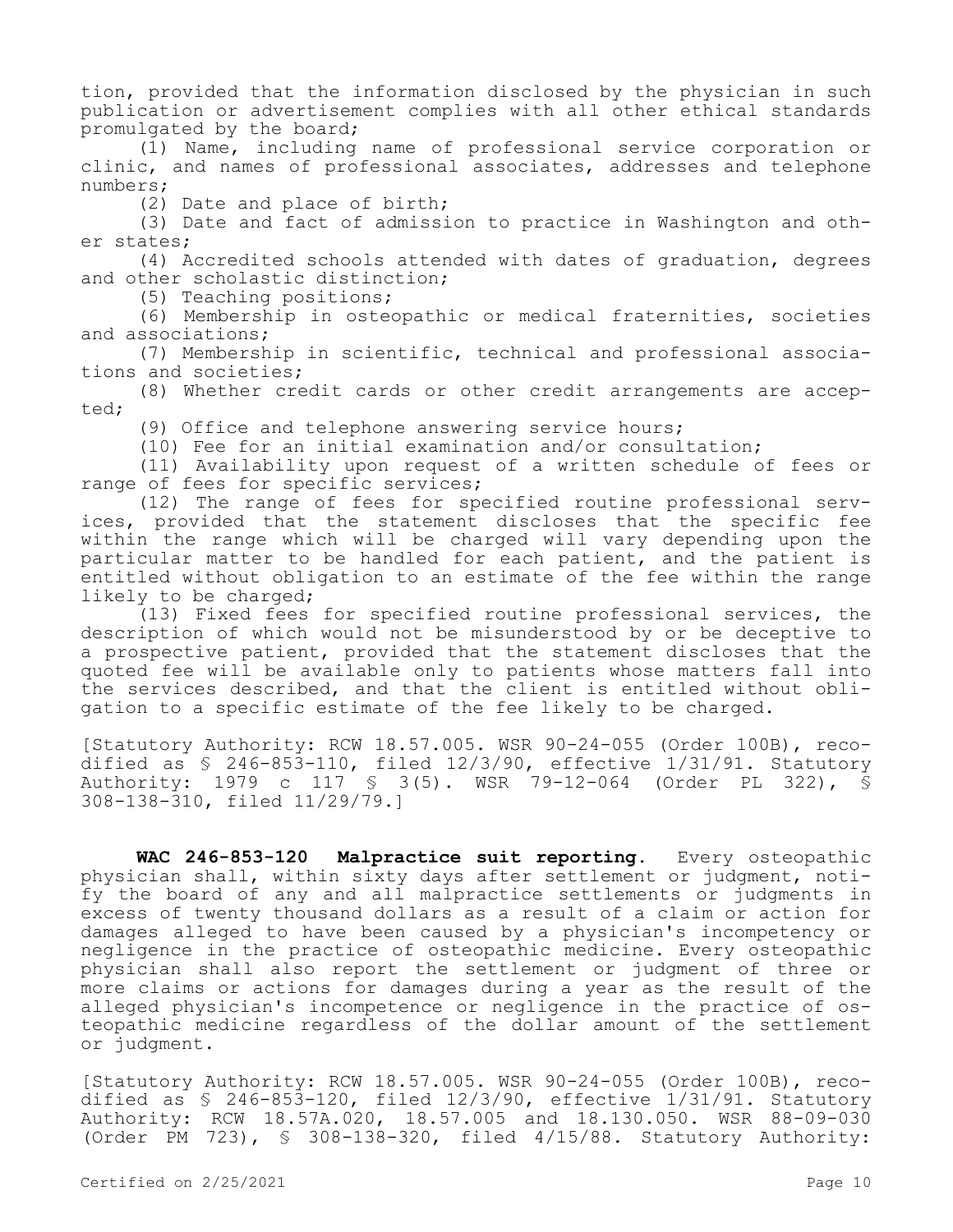tion, provided that the information disclosed by the physician in such publication or advertisement complies with all other ethical standards promulgated by the board;

(1) Name, including name of professional service corporation or clinic, and names of professional associates, addresses and telephone numbers;

(2) Date and place of birth;

(3) Date and fact of admission to practice in Washington and other states;

(4) Accredited schools attended with dates of graduation, degrees and other scholastic distinction;

(5) Teaching positions;

(6) Membership in osteopathic or medical fraternities, societies and associations;

(7) Membership in scientific, technical and professional associations and societies;

(8) Whether credit cards or other credit arrangements are accepted;

(9) Office and telephone answering service hours;

(10) Fee for an initial examination and/or consultation;

(11) Availability upon request of a written schedule of fees or range of fees for specific services;

(12) The range of fees for specified routine professional services, provided that the statement discloses that the specific fee within the range which will be charged will vary depending upon the particular matter to be handled for each patient, and the patient is entitled without obligation to an estimate of the fee within the range likely to be charged;

(13) Fixed fees for specified routine professional services, the description of which would not be misunderstood by or be deceptive to a prospective patient, provided that the statement discloses that the quoted fee will be available only to patients whose matters fall into the services described, and that the client is entitled without obligation to a specific estimate of the fee likely to be charged.

[Statutory Authority: RCW 18.57.005. WSR 90-24-055 (Order 100B), recodified as § 246-853-110, filed 12/3/90, effective 1/31/91. Statutory Authority: 1979 c 117 § 3(5). WSR 79-12-064 (Order PL 322), § 308-138-310, filed 11/29/79.]

**WAC 246-853-120 Malpractice suit reporting.** Every osteopathic physician shall, within sixty days after settlement or judgment, notify the board of any and all malpractice settlements or judgments in excess of twenty thousand dollars as a result of a claim or action for damages alleged to have been caused by a physician's incompetency or negligence in the practice of osteopathic medicine. Every osteopathic physician shall also report the settlement or judgment of three or more claims or actions for damages during a year as the result of the alleged physician's incompetence or negligence in the practice of osteopathic medicine regardless of the dollar amount of the settlement or judgment.

[Statutory Authority: RCW 18.57.005. WSR 90-24-055 (Order 100B), recodified as  $$ 246-853-120$ , filed  $12/3/90$ , effective  $1/31/91$ . Statutory Authority: RCW 18.57A.020, 18.57.005 and 18.130.050. WSR 88-09-030 (Order PM 723), § 308-138-320, filed 4/15/88. Statutory Authority: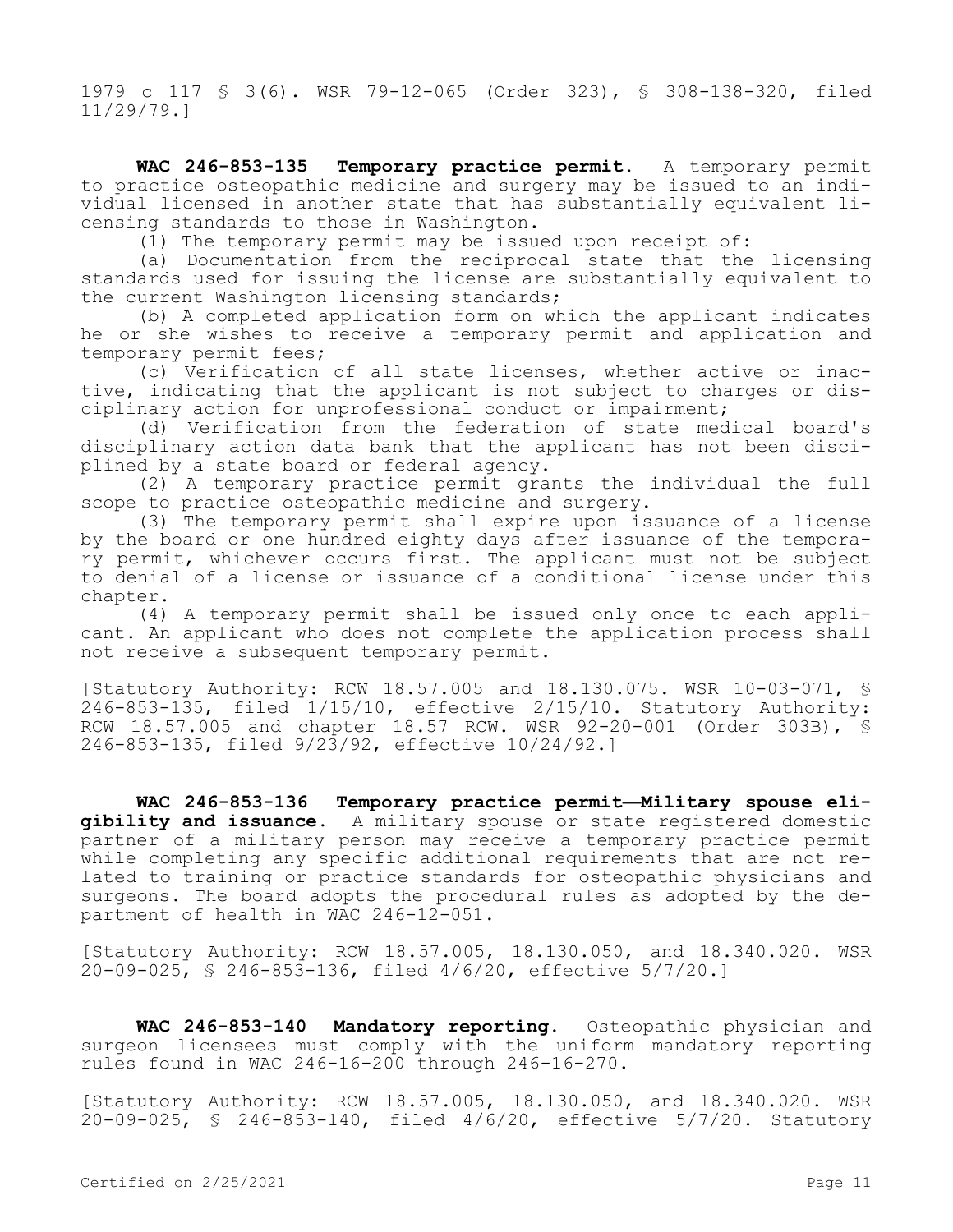1979 c 117 § 3(6). WSR 79-12-065 (Order 323), § 308-138-320, filed 11/29/79.]

**WAC 246-853-135 Temporary practice permit.** A temporary permit to practice osteopathic medicine and surgery may be issued to an individual licensed in another state that has substantially equivalent licensing standards to those in Washington.

(1) The temporary permit may be issued upon receipt of:

(a) Documentation from the reciprocal state that the licensing standards used for issuing the license are substantially equivalent to the current Washington licensing standards;

(b) A completed application form on which the applicant indicates he or she wishes to receive a temporary permit and application and temporary permit fees;

(c) Verification of all state licenses, whether active or inactive, indicating that the applicant is not subject to charges or disciplinary action for unprofessional conduct or impairment;

(d) Verification from the federation of state medical board's disciplinary action data bank that the applicant has not been disciplined by a state board or federal agency.

(2) A temporary practice permit grants the individual the full scope to practice osteopathic medicine and surgery.

(3) The temporary permit shall expire upon issuance of a license by the board or one hundred eighty days after issuance of the temporary permit, whichever occurs first. The applicant must not be subject to denial of a license or issuance of a conditional license under this chapter.

(4) A temporary permit shall be issued only once to each applicant. An applicant who does not complete the application process shall not receive a subsequent temporary permit.

[Statutory Authority: RCW 18.57.005 and 18.130.075. WSR 10-03-071, § 246-853-135, filed 1/15/10, effective 2/15/10. Statutory Authority: RCW 18.57.005 and chapter 18.57 RCW. WSR 92-20-001 (Order 303B), § 246-853-135, filed 9/23/92, effective 10/24/92.]

**WAC 246-853-136 Temporary practice permit—Military spouse eligibility and issuance.** A military spouse or state registered domestic partner of a military person may receive a temporary practice permit while completing any specific additional requirements that are not related to training or practice standards for osteopathic physicians and surgeons. The board adopts the procedural rules as adopted by the department of health in WAC 246-12-051.

[Statutory Authority: RCW 18.57.005, 18.130.050, and 18.340.020. WSR 20-09-025, § 246-853-136, filed 4/6/20, effective 5/7/20.]

**WAC 246-853-140 Mandatory reporting.** Osteopathic physician and surgeon licensees must comply with the uniform mandatory reporting rules found in WAC 246-16-200 through 246-16-270.

[Statutory Authority: RCW 18.57.005, 18.130.050, and 18.340.020. WSR 20-09-025, § 246-853-140, filed 4/6/20, effective 5/7/20. Statutory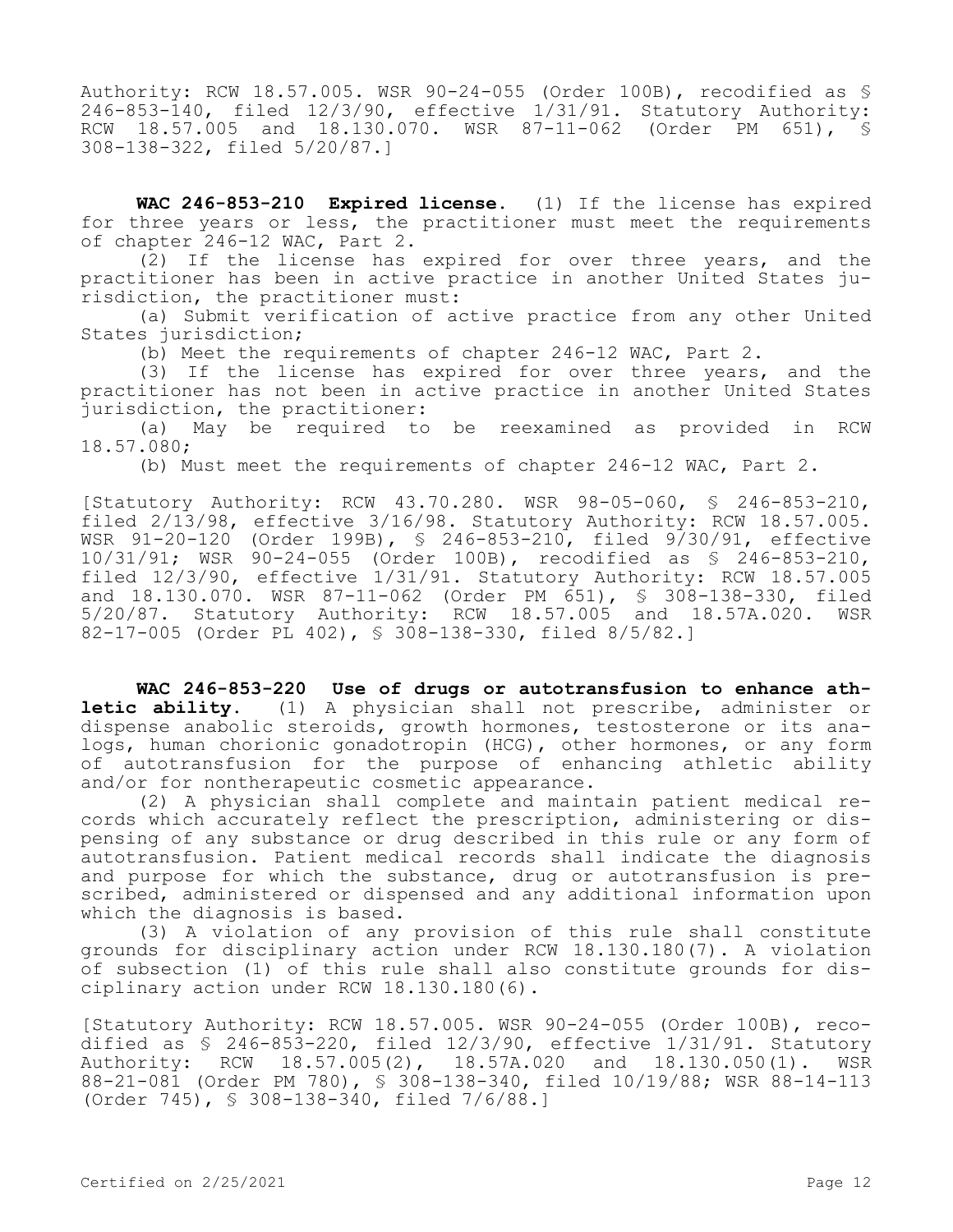Authority: RCW 18.57.005. WSR 90-24-055 (Order 100B), recodified as § 246-853-140, filed 12/3/90, effective 1/31/91. Statutory Authority: RCW 18.57.005 and 18.130.070. WSR 87-11-062 (Order PM 651), § 308-138-322, filed 5/20/87.]

**WAC 246-853-210 Expired license.** (1) If the license has expired for three years or less, the practitioner must meet the requirements of chapter 246-12 WAC, Part 2.

(2) If the license has expired for over three years, and the practitioner has been in active practice in another United States jurisdiction, the practitioner must:

(a) Submit verification of active practice from any other United States jurisdiction;

(b) Meet the requirements of chapter 246-12 WAC, Part 2.

(3) If the license has expired for over three years, and the practitioner has not been in active practice in another United States jurisdiction, the practitioner:

(a) May be required to be reexamined as provided in RCW 18.57.080;

(b) Must meet the requirements of chapter 246-12 WAC, Part 2.

[Statutory Authority: RCW 43.70.280. WSR 98-05-060, § 246-853-210, filed 2/13/98, effective 3/16/98. Statutory Authority: RCW 18.57.005. WSR 91-20-120 (Order 199B), § 246-853-210, filed 9/30/91, effective 10/31/91; WSR 90-24-055 (Order 100B), recodified as § 246-853-210, filed 12/3/90, effective 1/31/91. Statutory Authority: RCW 18.57.005 and 18.130.070. WSR 87-11-062 (Order PM 651), § 308-138-330, filed 5/20/87. Statutory Authority: RCW 18.57.005 and 18.57A.020. WSR 82-17-005 (Order PL 402), § 308-138-330, filed 8/5/82.]

**WAC 246-853-220 Use of drugs or autotransfusion to enhance athletic ability.** (1) A physician shall not prescribe, administer or dispense anabolic steroids, growth hormones, testosterone or its analogs, human chorionic gonadotropin (HCG), other hormones, or any form of autotransfusion for the purpose of enhancing athletic ability and/or for nontherapeutic cosmetic appearance.

(2) A physician shall complete and maintain patient medical records which accurately reflect the prescription, administering or dispensing of any substance or drug described in this rule or any form of autotransfusion. Patient medical records shall indicate the diagnosis and purpose for which the substance, drug or autotransfusion is prescribed, administered or dispensed and any additional information upon which the diagnosis is based.

(3) A violation of any provision of this rule shall constitute grounds for disciplinary action under RCW 18.130.180(7). A violation of subsection (1) of this rule shall also constitute grounds for disciplinary action under RCW 18.130.180(6).

[Statutory Authority: RCW 18.57.005. WSR 90-24-055 (Order 100B), recodified as  $\sqrt{5}$  246-853-220, filed 12/3/90, effective 1/31/91. Statutory Authority: RCW 18.57.005(2), 18.57A.020 and 18.130.050(1). WSR 88-21-081 (Order PM 780), § 308-138-340, filed 10/19/88; WSR 88-14-113 (Order 745), § 308-138-340, filed 7/6/88.]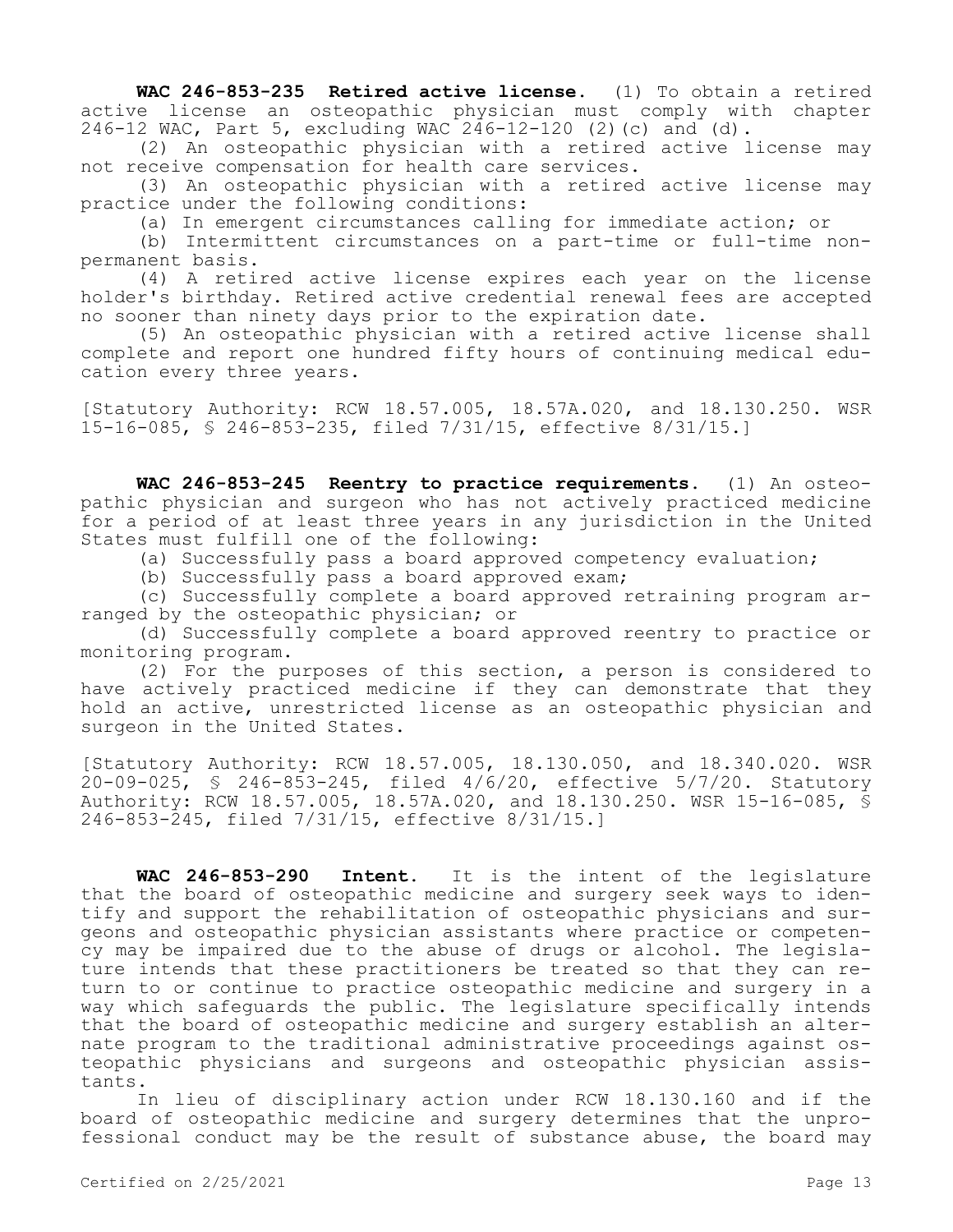**WAC 246-853-235 Retired active license.** (1) To obtain a retired active license an osteopathic physician must comply with chapter 246-12 WAC, Part 5, excluding WAC  $246-12-120$  (2)(c) and (d).

(2) An osteopathic physician with a retired active license may not receive compensation for health care services.

(3) An osteopathic physician with a retired active license may practice under the following conditions:

(a) In emergent circumstances calling for immediate action; or

(b) Intermittent circumstances on a part-time or full-time nonpermanent basis.

(4) A retired active license expires each year on the license holder's birthday. Retired active credential renewal fees are accepted no sooner than ninety days prior to the expiration date.

(5) An osteopathic physician with a retired active license shall complete and report one hundred fifty hours of continuing medical education every three years.

[Statutory Authority: RCW 18.57.005, 18.57A.020, and 18.130.250. WSR 15-16-085, § 246-853-235, filed 7/31/15, effective 8/31/15.]

**WAC 246-853-245 Reentry to practice requirements.** (1) An osteopathic physician and surgeon who has not actively practiced medicine for a period of at least three years in any jurisdiction in the United States must fulfill one of the following:

(a) Successfully pass a board approved competency evaluation;

(b) Successfully pass a board approved exam;

(c) Successfully complete a board approved retraining program arranged by the osteopathic physician; or

(d) Successfully complete a board approved reentry to practice or monitoring program.

(2) For the purposes of this section, a person is considered to have actively practiced medicine if they can demonstrate that they hold an active, unrestricted license as an osteopathic physician and surgeon in the United States.

[Statutory Authority: RCW 18.57.005, 18.130.050, and 18.340.020. WSR 20-09-025, § 246-853-245, filed 4/6/20, effective 5/7/20. Statutory Authority: RCW 18.57.005, 18.57A.020, and 18.130.250. WSR 15-16-085, § 246-853-245, filed 7/31/15, effective 8/31/15.]

**WAC 246-853-290 Intent.** It is the intent of the legislature that the board of osteopathic medicine and surgery seek ways to identify and support the rehabilitation of osteopathic physicians and surgeons and osteopathic physician assistants where practice or competency may be impaired due to the abuse of drugs or alcohol. The legislature intends that these practitioners be treated so that they can return to or continue to practice osteopathic medicine and surgery in a way which safeguards the public. The legislature specifically intends that the board of osteopathic medicine and surgery establish an alternate program to the traditional administrative proceedings against osteopathic physicians and surgeons and osteopathic physician assistants.

In lieu of disciplinary action under RCW 18.130.160 and if the board of osteopathic medicine and surgery determines that the unprofessional conduct may be the result of substance abuse, the board may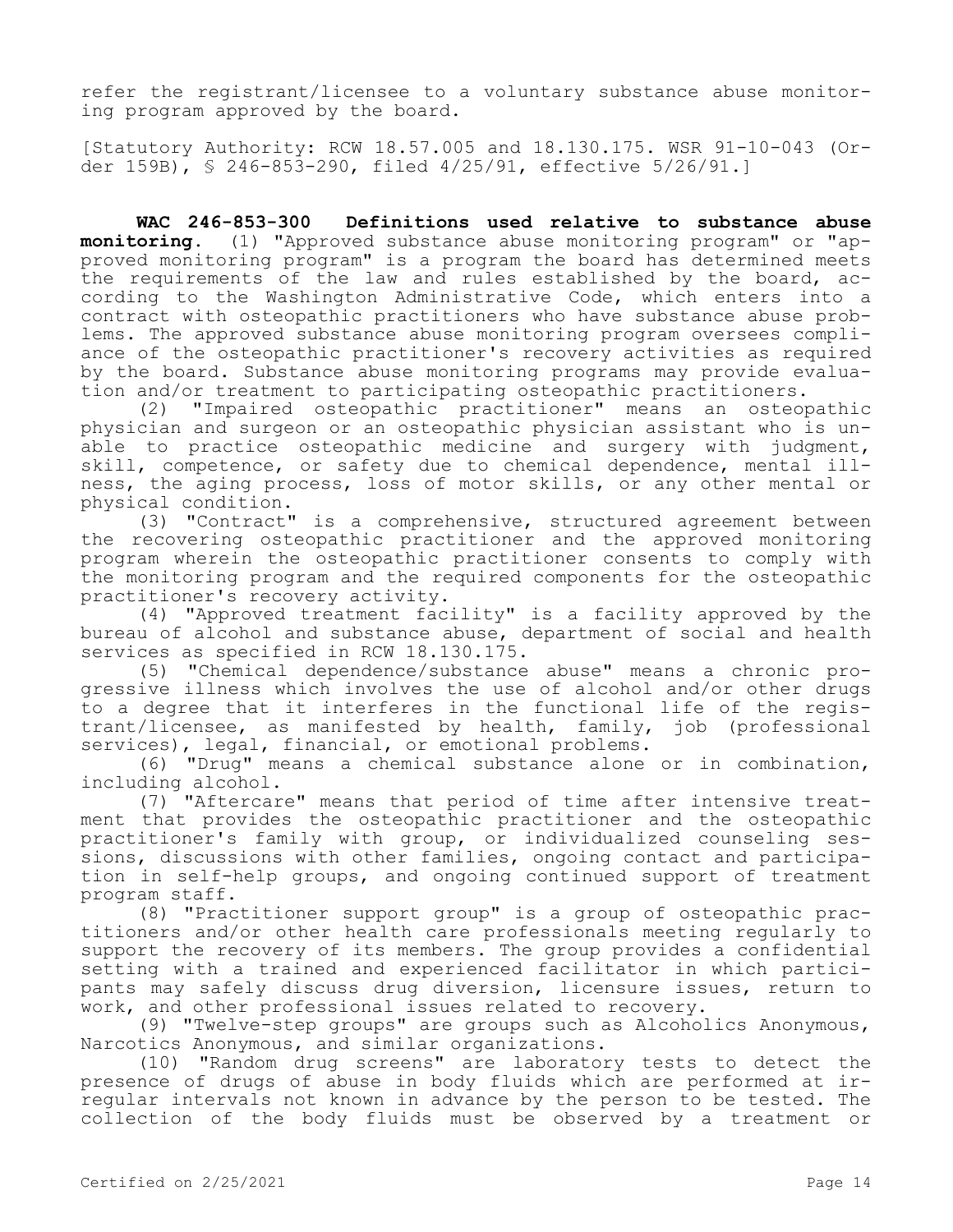refer the registrant/licensee to a voluntary substance abuse monitoring program approved by the board.

[Statutory Authority: RCW 18.57.005 and 18.130.175. WSR 91-10-043 (Order 159B), § 246-853-290, filed 4/25/91, effective 5/26/91.]

**WAC 246-853-300 Definitions used relative to substance abuse monitoring.** (1) "Approved substance abuse monitoring program" or "approved monitoring program" is a program the board has determined meets the requirements of the law and rules established by the board, according to the Washington Administrative Code, which enters into a contract with osteopathic practitioners who have substance abuse problems. The approved substance abuse monitoring program oversees compliance of the osteopathic practitioner's recovery activities as required by the board. Substance abuse monitoring programs may provide evaluation and/or treatment to participating osteopathic practitioners.

(2) "Impaired osteopathic practitioner" means an osteopathic physician and surgeon or an osteopathic physician assistant who is unable to practice osteopathic medicine and surgery with judgment, skill, competence, or safety due to chemical dependence, mental illness, the aging process, loss of motor skills, or any other mental or physical condition.

(3) "Contract" is a comprehensive, structured agreement between the recovering osteopathic practitioner and the approved monitoring program wherein the osteopathic practitioner consents to comply with the monitoring program and the required components for the osteopathic practitioner's recovery activity.

(4) "Approved treatment facility" is a facility approved by the bureau of alcohol and substance abuse, department of social and health services as specified in RCW 18.130.175.

(5) "Chemical dependence/substance abuse" means a chronic progressive illness which involves the use of alcohol and/or other drugs to a degree that it interferes in the functional life of the registrant/licensee, as manifested by health, family, job (professional services), legal, financial, or emotional problems.

(6) "Drug" means a chemical substance alone or in combination, including alcohol.

(7) "Aftercare" means that period of time after intensive treatment that provides the osteopathic practitioner and the osteopathic practitioner's family with group, or individualized counseling sessions, discussions with other families, ongoing contact and participation in self-help groups, and ongoing continued support of treatment program staff.

(8) "Practitioner support group" is a group of osteopathic practitioners and/or other health care professionals meeting regularly to support the recovery of its members. The group provides a confidential setting with a trained and experienced facilitator in which participants may safely discuss drug diversion, licensure issues, return to work, and other professional issues related to recovery.

(9) "Twelve-step groups" are groups such as Alcoholics Anonymous, Narcotics Anonymous, and similar organizations.

(10) "Random drug screens" are laboratory tests to detect the presence of drugs of abuse in body fluids which are performed at irregular intervals not known in advance by the person to be tested. The collection of the body fluids must be observed by a treatment or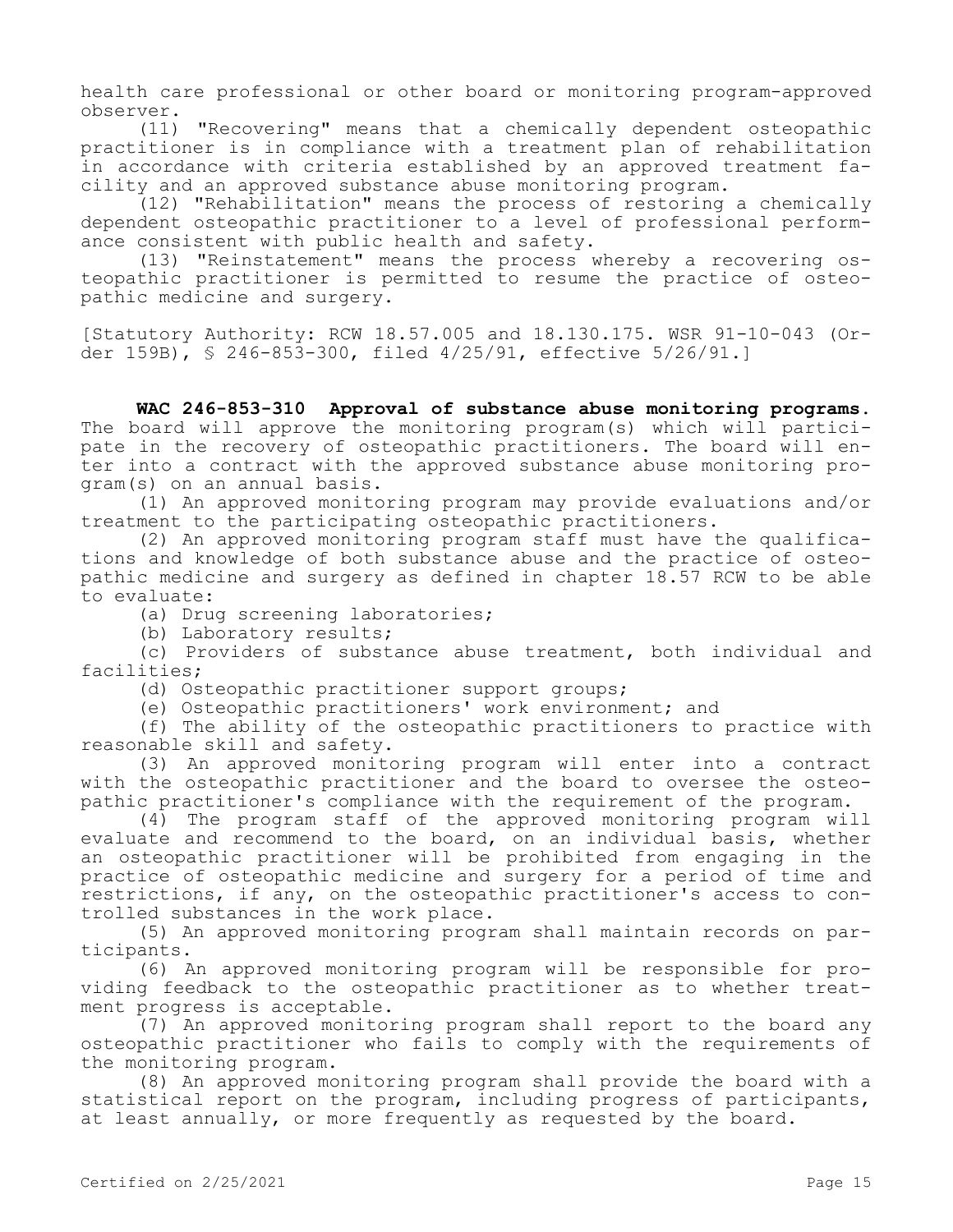health care professional or other board or monitoring program-approved observer.

(11) "Recovering" means that a chemically dependent osteopathic practitioner is in compliance with a treatment plan of rehabilitation in accordance with criteria established by an approved treatment facility and an approved substance abuse monitoring program.

(12) "Rehabilitation" means the process of restoring a chemically dependent osteopathic practitioner to a level of professional performance consistent with public health and safety.

(13) "Reinstatement" means the process whereby a recovering osteopathic practitioner is permitted to resume the practice of osteopathic medicine and surgery.

[Statutory Authority: RCW 18.57.005 and 18.130.175. WSR 91-10-043 (Order 159B), § 246-853-300, filed 4/25/91, effective 5/26/91.]

**WAC 246-853-310 Approval of substance abuse monitoring programs.**  The board will approve the monitoring program(s) which will participate in the recovery of osteopathic practitioners. The board will enter into a contract with the approved substance abuse monitoring program(s) on an annual basis.

(1) An approved monitoring program may provide evaluations and/or treatment to the participating osteopathic practitioners.

(2) An approved monitoring program staff must have the qualifications and knowledge of both substance abuse and the practice of osteopathic medicine and surgery as defined in chapter 18.57 RCW to be able to evaluate:

(a) Drug screening laboratories;

(b) Laboratory results;

(c) Providers of substance abuse treatment, both individual and facilities;

(d) Osteopathic practitioner support groups;

(e) Osteopathic practitioners' work environment; and

(f) The ability of the osteopathic practitioners to practice with reasonable skill and safety.

(3) An approved monitoring program will enter into a contract with the osteopathic practitioner and the board to oversee the osteopathic practitioner's compliance with the requirement of the program.

(4) The program staff of the approved monitoring program will evaluate and recommend to the board, on an individual basis, whether an osteopathic practitioner will be prohibited from engaging in the practice of osteopathic medicine and surgery for a period of time and restrictions, if any, on the osteopathic practitioner's access to controlled substances in the work place.

(5) An approved monitoring program shall maintain records on participants.

(6) An approved monitoring program will be responsible for providing feedback to the osteopathic practitioner as to whether treatment progress is acceptable.

(7) An approved monitoring program shall report to the board any osteopathic practitioner who fails to comply with the requirements of the monitoring program.

(8) An approved monitoring program shall provide the board with a statistical report on the program, including progress of participants, at least annually, or more frequently as requested by the board.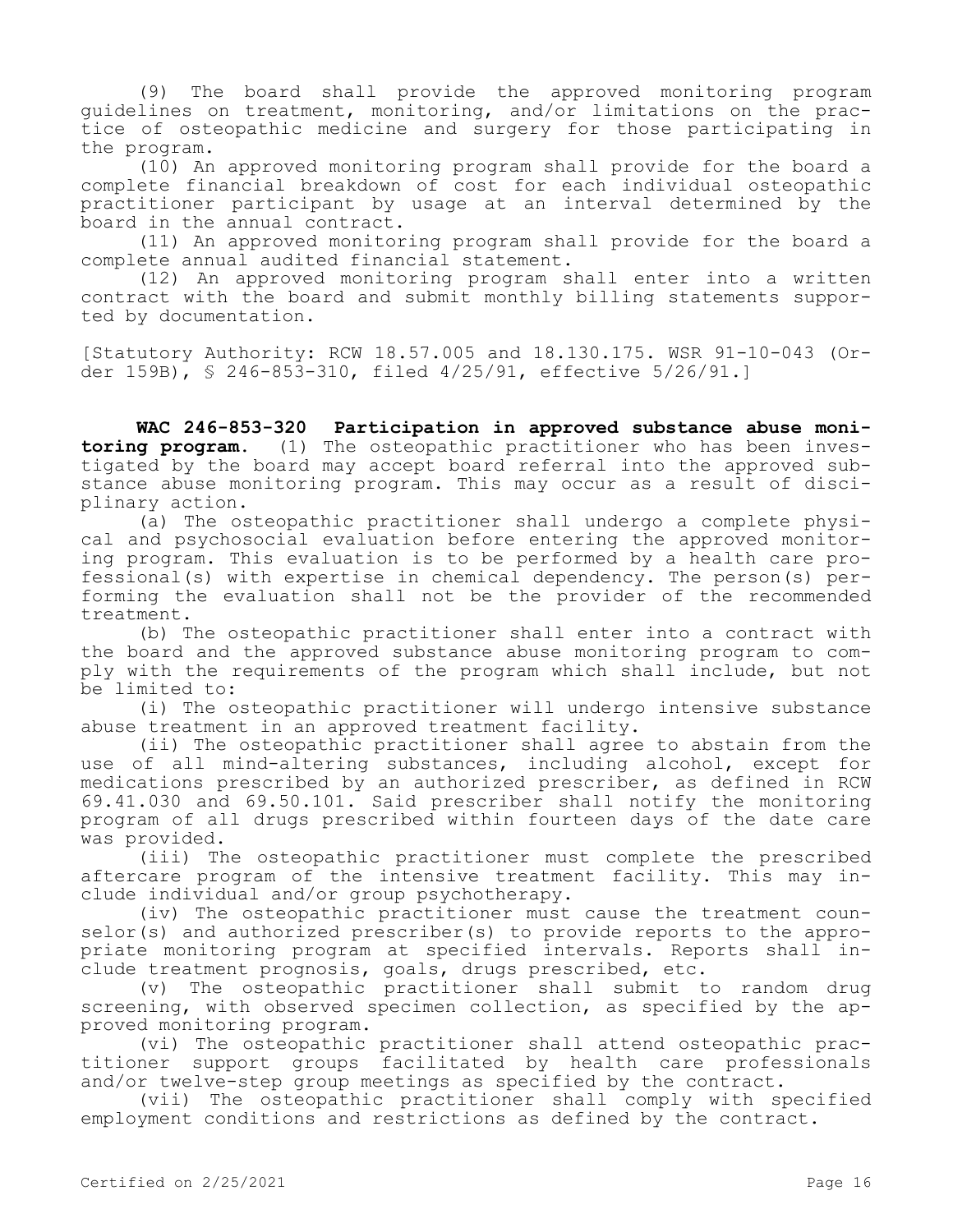(9) The board shall provide the approved monitoring program guidelines on treatment, monitoring, and/or limitations on the practice of osteopathic medicine and surgery for those participating in the program.

(10) An approved monitoring program shall provide for the board a complete financial breakdown of cost for each individual osteopathic practitioner participant by usage at an interval determined by the board in the annual contract.

(11) An approved monitoring program shall provide for the board a complete annual audited financial statement.

(12) An approved monitoring program shall enter into a written contract with the board and submit monthly billing statements supported by documentation.

[Statutory Authority: RCW 18.57.005 and 18.130.175. WSR 91-10-043 (Order 159B), § 246-853-310, filed 4/25/91, effective 5/26/91.]

**WAC 246-853-320 Participation in approved substance abuse monitoring program.** (1) The osteopathic practitioner who has been investigated by the board may accept board referral into the approved substance abuse monitoring program. This may occur as a result of disciplinary action.

(a) The osteopathic practitioner shall undergo a complete physical and psychosocial evaluation before entering the approved monitoring program. This evaluation is to be performed by a health care professional(s) with expertise in chemical dependency. The person(s) performing the evaluation shall not be the provider of the recommended treatment.

(b) The osteopathic practitioner shall enter into a contract with the board and the approved substance abuse monitoring program to comply with the requirements of the program which shall include, but not be limited to:

(i) The osteopathic practitioner will undergo intensive substance abuse treatment in an approved treatment facility.

(ii) The osteopathic practitioner shall agree to abstain from the use of all mind-altering substances, including alcohol, except for medications prescribed by an authorized prescriber, as defined in RCW 69.41.030 and 69.50.101. Said prescriber shall notify the monitoring program of all drugs prescribed within fourteen days of the date care was provided.

(iii) The osteopathic practitioner must complete the prescribed aftercare program of the intensive treatment facility. This may include individual and/or group psychotherapy.

(iv) The osteopathic practitioner must cause the treatment counselor(s) and authorized prescriber(s) to provide reports to the appropriate monitoring program at specified intervals. Reports shall include treatment prognosis, goals, drugs prescribed, etc.

(v) The osteopathic practitioner shall submit to random drug screening, with observed specimen collection, as specified by the approved monitoring program.

(vi) The osteopathic practitioner shall attend osteopathic practitioner support groups facilitated by health care professionals and/or twelve-step group meetings as specified by the contract.

(vii) The osteopathic practitioner shall comply with specified employment conditions and restrictions as defined by the contract.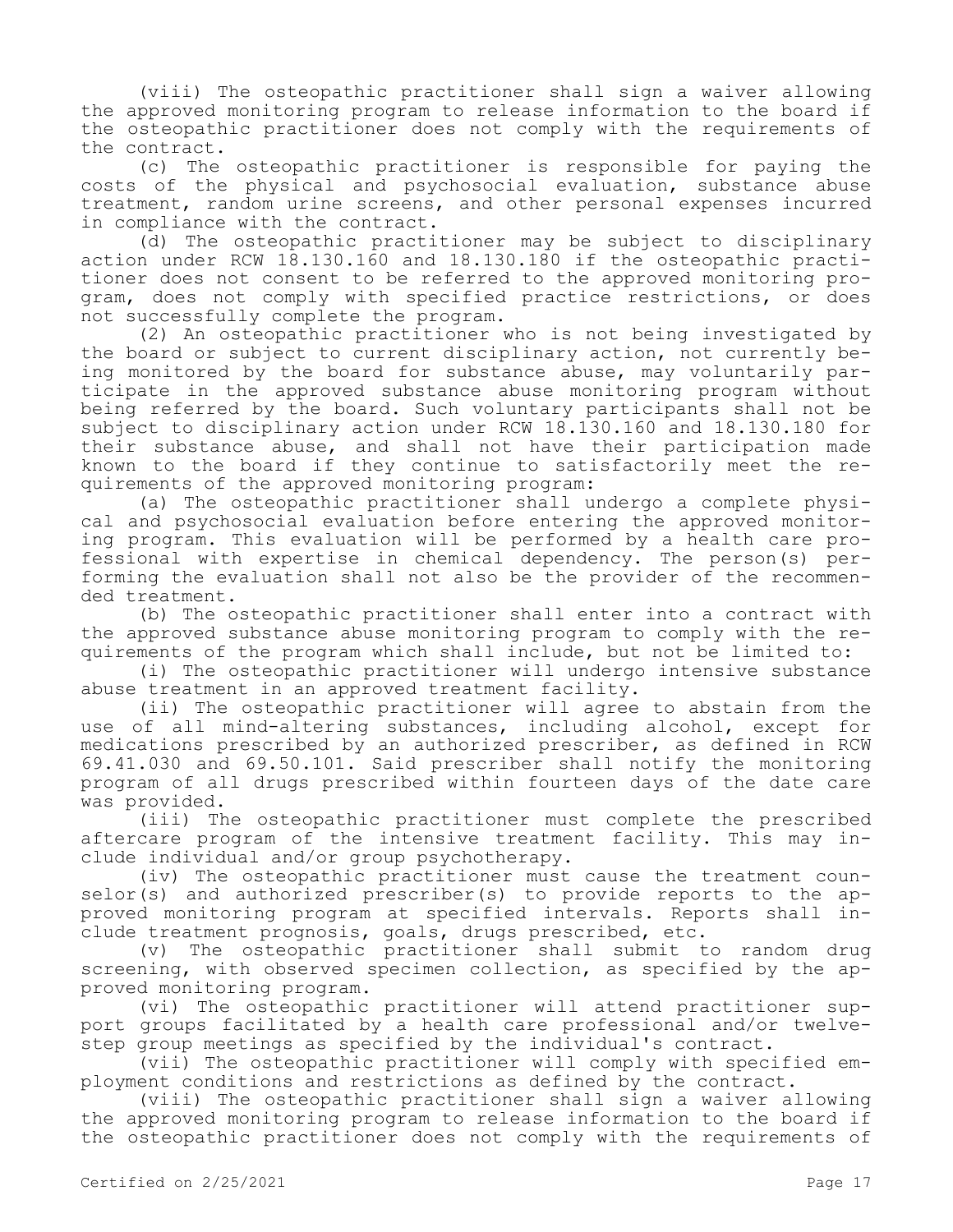(viii) The osteopathic practitioner shall sign a waiver allowing the approved monitoring program to release information to the board if the osteopathic practitioner does not comply with the requirements of the contract.

(c) The osteopathic practitioner is responsible for paying the costs of the physical and psychosocial evaluation, substance abuse treatment, random urine screens, and other personal expenses incurred in compliance with the contract.

(d) The osteopathic practitioner may be subject to disciplinary action under RCW 18.130.160 and 18.130.180 if the osteopathic practitioner does not consent to be referred to the approved monitoring program, does not comply with specified practice restrictions, or does not successfully complete the program.

(2) An osteopathic practitioner who is not being investigated by the board or subject to current disciplinary action, not currently being monitored by the board for substance abuse, may voluntarily participate in the approved substance abuse monitoring program without being referred by the board. Such voluntary participants shall not be subject to disciplinary action under RCW 18.130.160 and 18.130.180 for their substance abuse, and shall not have their participation made known to the board if they continue to satisfactorily meet the requirements of the approved monitoring program:

(a) The osteopathic practitioner shall undergo a complete physical and psychosocial evaluation before entering the approved monitoring program. This evaluation will be performed by a health care professional with expertise in chemical dependency. The person(s) performing the evaluation shall not also be the provider of the recommended treatment.

(b) The osteopathic practitioner shall enter into a contract with the approved substance abuse monitoring program to comply with the requirements of the program which shall include, but not be limited to:

(i) The osteopathic practitioner will undergo intensive substance abuse treatment in an approved treatment facility.

(ii) The osteopathic practitioner will agree to abstain from the use of all mind-altering substances, including alcohol, except for medications prescribed by an authorized prescriber, as defined in RCW 69.41.030 and 69.50.101. Said prescriber shall notify the monitoring program of all drugs prescribed within fourteen days of the date care was provided.

(iii) The osteopathic practitioner must complete the prescribed aftercare program of the intensive treatment facility. This may include individual and/or group psychotherapy.

(iv) The osteopathic practitioner must cause the treatment counselor(s) and authorized prescriber(s) to provide reports to the approved monitoring program at specified intervals. Reports shall include treatment prognosis, goals, drugs prescribed, etc.

(v) The osteopathic practitioner shall submit to random drug screening, with observed specimen collection, as specified by the approved monitoring program.

(vi) The osteopathic practitioner will attend practitioner support groups facilitated by a health care professional and/or twelvestep group meetings as specified by the individual's contract.

(vii) The osteopathic practitioner will comply with specified employment conditions and restrictions as defined by the contract.

(viii) The osteopathic practitioner shall sign a waiver allowing the approved monitoring program to release information to the board if the osteopathic practitioner does not comply with the requirements of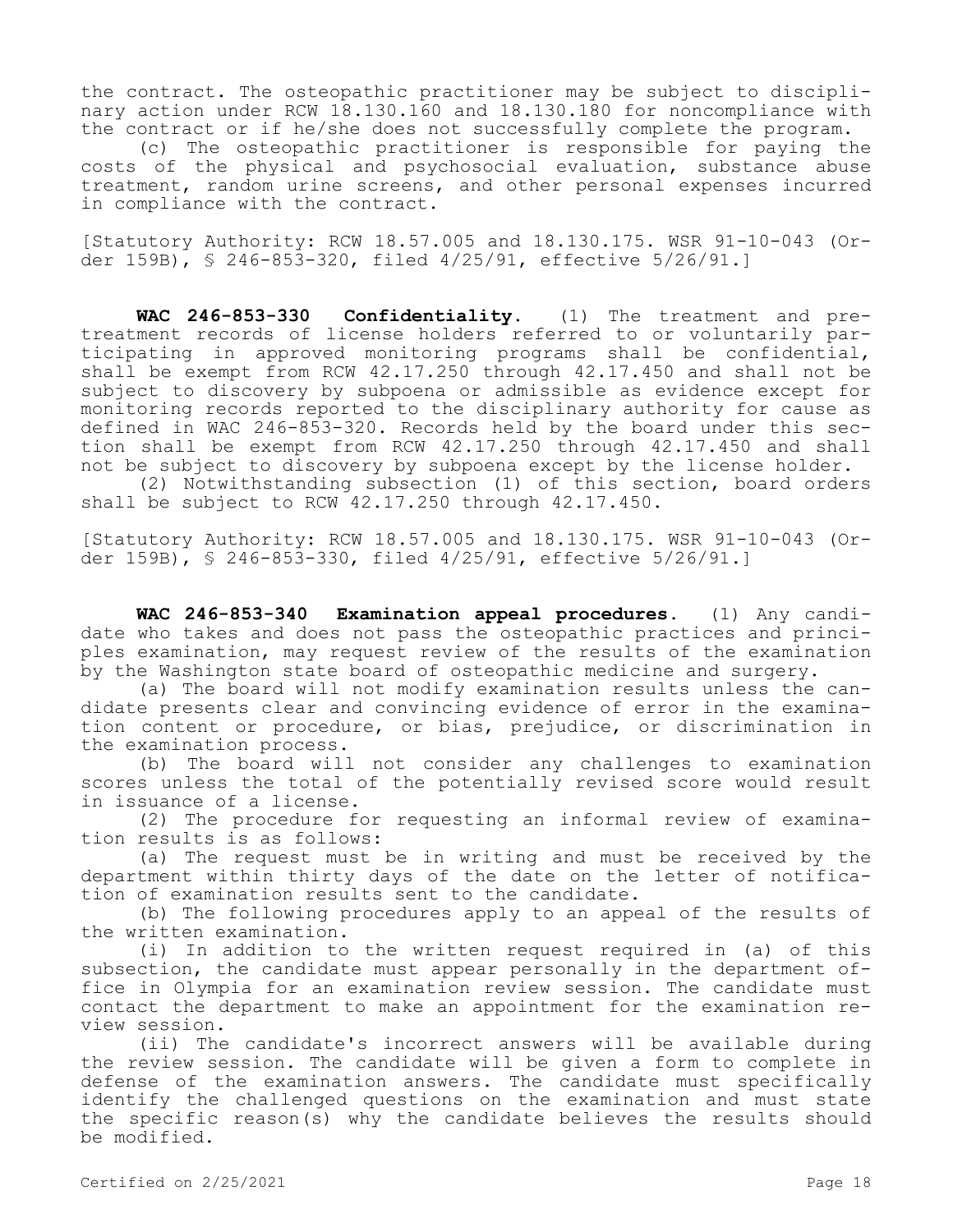the contract. The osteopathic practitioner may be subject to disciplinary action under RCW 18.130.160 and 18.130.180 for noncompliance with the contract or if he/she does not successfully complete the program.

(c) The osteopathic practitioner is responsible for paying the costs of the physical and psychosocial evaluation, substance abuse treatment, random urine screens, and other personal expenses incurred in compliance with the contract.

[Statutory Authority: RCW 18.57.005 and 18.130.175. WSR 91-10-043 (Order 159B), § 246-853-320, filed 4/25/91, effective 5/26/91.]

**WAC 246-853-330 Confidentiality.** (1) The treatment and pretreatment records of license holders referred to or voluntarily participating in approved monitoring programs shall be confidential, shall be exempt from RCW 42.17.250 through 42.17.450 and shall not be subject to discovery by subpoena or admissible as evidence except for monitoring records reported to the disciplinary authority for cause as defined in WAC 246-853-320. Records held by the board under this section shall be exempt from RCW 42.17.250 through 42.17.450 and shall not be subject to discovery by subpoena except by the license holder.

(2) Notwithstanding subsection (1) of this section, board orders shall be subject to RCW 42.17.250 through 42.17.450.

[Statutory Authority: RCW 18.57.005 and 18.130.175. WSR 91-10-043 (Order 159B), § 246-853-330, filed 4/25/91, effective 5/26/91.]

**WAC 246-853-340 Examination appeal procedures.** (1) Any candidate who takes and does not pass the osteopathic practices and principles examination, may request review of the results of the examination by the Washington state board of osteopathic medicine and surgery.

(a) The board will not modify examination results unless the candidate presents clear and convincing evidence of error in the examination content or procedure, or bias, prejudice, or discrimination in the examination process.

(b) The board will not consider any challenges to examination scores unless the total of the potentially revised score would result in issuance of a license.

(2) The procedure for requesting an informal review of examination results is as follows:

(a) The request must be in writing and must be received by the department within thirty days of the date on the letter of notification of examination results sent to the candidate.

(b) The following procedures apply to an appeal of the results of the written examination.

(i) In addition to the written request required in (a) of this subsection, the candidate must appear personally in the department office in Olympia for an examination review session. The candidate must contact the department to make an appointment for the examination review session.

(ii) The candidate's incorrect answers will be available during the review session. The candidate will be given a form to complete in defense of the examination answers. The candidate must specifically identify the challenged questions on the examination and must state the specific reason(s) why the candidate believes the results should be modified.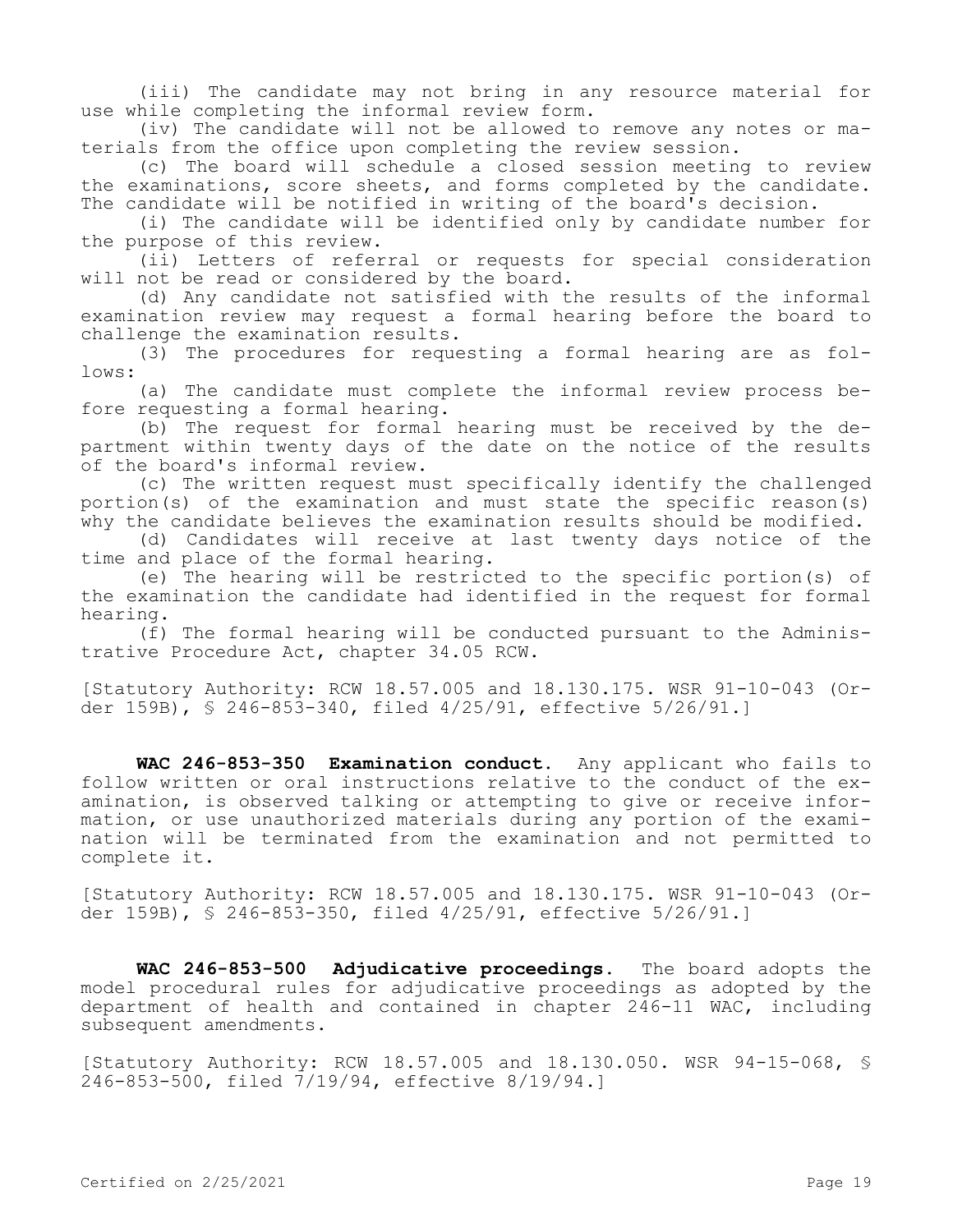(iii) The candidate may not bring in any resource material for use while completing the informal review form.

(iv) The candidate will not be allowed to remove any notes or materials from the office upon completing the review session.

(c) The board will schedule a closed session meeting to review the examinations, score sheets, and forms completed by the candidate. The candidate will be notified in writing of the board's decision.

(i) The candidate will be identified only by candidate number for the purpose of this review.

(ii) Letters of referral or requests for special consideration will not be read or considered by the board.

(d) Any candidate not satisfied with the results of the informal examination review may request a formal hearing before the board to challenge the examination results.

(3) The procedures for requesting a formal hearing are as follows:

(a) The candidate must complete the informal review process before requesting a formal hearing.

(b) The request for formal hearing must be received by the department within twenty days of the date on the notice of the results of the board's informal review.

(c) The written request must specifically identify the challenged portion(s) of the examination and must state the specific reason(s) why the candidate believes the examination results should be modified.

(d) Candidates will receive at last twenty days notice of the time and place of the formal hearing.

(e) The hearing will be restricted to the specific portion(s) of the examination the candidate had identified in the request for formal hearing.

(f) The formal hearing will be conducted pursuant to the Administrative Procedure Act, chapter 34.05 RCW.

[Statutory Authority: RCW 18.57.005 and 18.130.175. WSR 91-10-043 (Order 159B), § 246-853-340, filed 4/25/91, effective 5/26/91.]

**WAC 246-853-350 Examination conduct.** Any applicant who fails to follow written or oral instructions relative to the conduct of the examination, is observed talking or attempting to give or receive information, or use unauthorized materials during any portion of the examination will be terminated from the examination and not permitted to complete it.

[Statutory Authority: RCW 18.57.005 and 18.130.175. WSR 91-10-043 (Order 159B), § 246-853-350, filed 4/25/91, effective 5/26/91.]

**WAC 246-853-500 Adjudicative proceedings.** The board adopts the model procedural rules for adjudicative proceedings as adopted by the department of health and contained in chapter 246-11 WAC, including subsequent amendments.

[Statutory Authority: RCW 18.57.005 and 18.130.050. WSR 94-15-068, § 246-853-500, filed 7/19/94, effective 8/19/94.]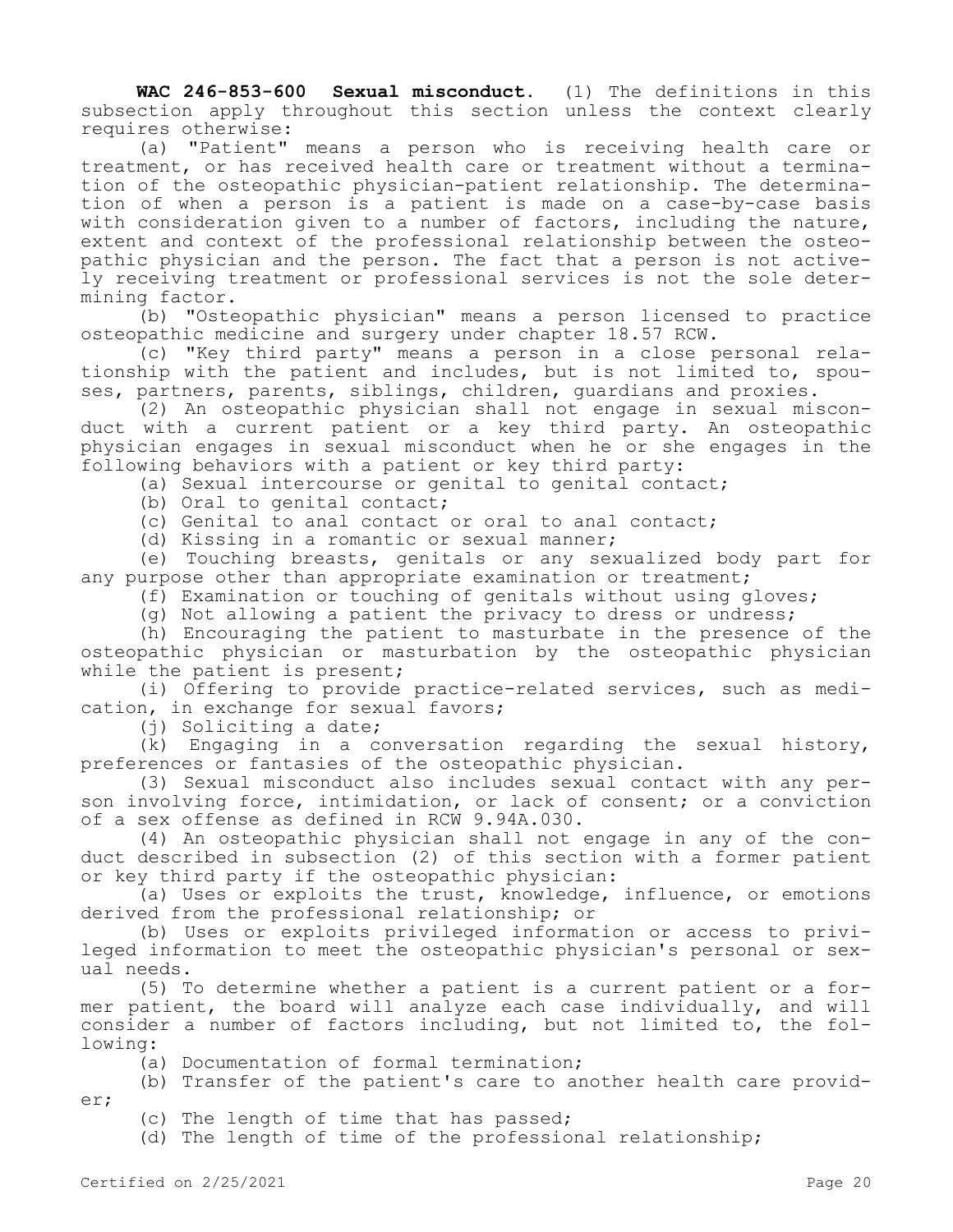**WAC 246-853-600 Sexual misconduct.** (1) The definitions in this subsection apply throughout this section unless the context clearly requires otherwise:

(a) "Patient" means a person who is receiving health care or treatment, or has received health care or treatment without a termination of the osteopathic physician-patient relationship. The determination of when a person is a patient is made on a case-by-case basis with consideration given to a number of factors, including the nature, extent and context of the professional relationship between the osteopathic physician and the person. The fact that a person is not actively receiving treatment or professional services is not the sole determining factor.

(b) "Osteopathic physician" means a person licensed to practice osteopathic medicine and surgery under chapter 18.57 RCW.

(c) "Key third party" means a person in a close personal relationship with the patient and includes, but is not limited to, spouses, partners, parents, siblings, children, guardians and proxies.

(2) An osteopathic physician shall not engage in sexual misconduct with a current patient or a key third party. An osteopathic physician engages in sexual misconduct when he or she engages in the following behaviors with a patient or key third party:

(a) Sexual intercourse or genital to genital contact;

(b) Oral to genital contact;

(c) Genital to anal contact or oral to anal contact;

(d) Kissing in a romantic or sexual manner;

(e) Touching breasts, genitals or any sexualized body part for any purpose other than appropriate examination or treatment;

(f) Examination or touching of genitals without using gloves;

(g) Not allowing a patient the privacy to dress or undress;

(h) Encouraging the patient to masturbate in the presence of the osteopathic physician or masturbation by the osteopathic physician while the patient is present;

(i) Offering to provide practice-related services, such as medication, in exchange for sexual favors;

(j) Soliciting a date;

(k) Engaging in a conversation regarding the sexual history, preferences or fantasies of the osteopathic physician.

(3) Sexual misconduct also includes sexual contact with any person involving force, intimidation, or lack of consent; or a conviction of a sex offense as defined in RCW 9.94A.030.

(4) An osteopathic physician shall not engage in any of the conduct described in subsection (2) of this section with a former patient or key third party if the osteopathic physician:

(a) Uses or exploits the trust, knowledge, influence, or emotions derived from the professional relationship; or

(b) Uses or exploits privileged information or access to privileged information to meet the osteopathic physician's personal or sexual needs.

(5) To determine whether a patient is a current patient or a former patient, the board will analyze each case individually, and will consider a number of factors including, but not limited to, the following:

(a) Documentation of formal termination;

(b) Transfer of the patient's care to another health care provider;

(c) The length of time that has passed;

(d) The length of time of the professional relationship;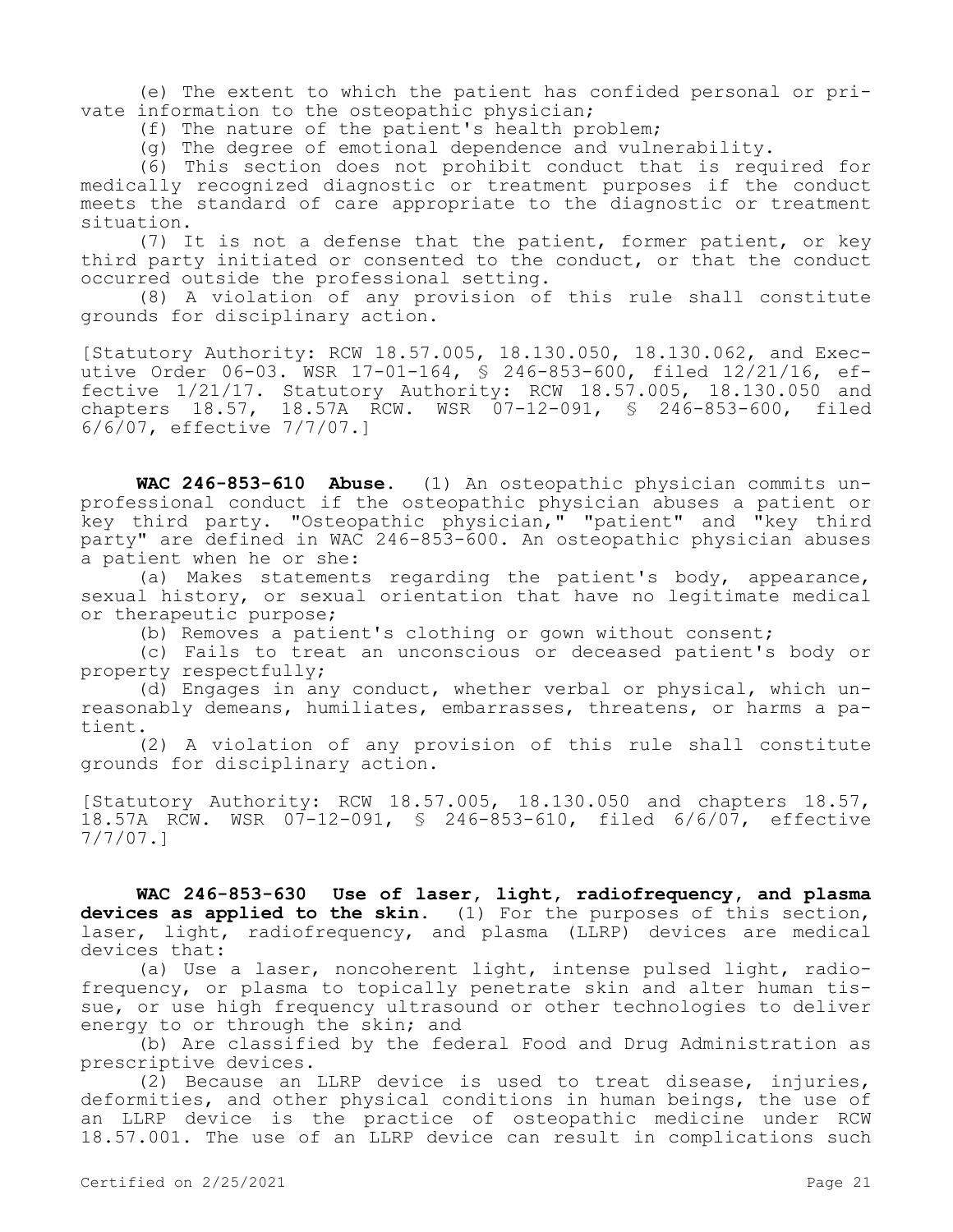(e) The extent to which the patient has confided personal or private information to the osteopathic physician;

(f) The nature of the patient's health problem;

(g) The degree of emotional dependence and vulnerability.

(6) This section does not prohibit conduct that is required for medically recognized diagnostic or treatment purposes if the conduct meets the standard of care appropriate to the diagnostic or treatment situation.

(7) It is not a defense that the patient, former patient, or key third party initiated or consented to the conduct, or that the conduct occurred outside the professional setting.

(8) A violation of any provision of this rule shall constitute grounds for disciplinary action.

[Statutory Authority: RCW 18.57.005, 18.130.050, 18.130.062, and Executive Order 06-03. WSR 17-01-164, § 246-853-600, filed 12/21/16, effective 1/21/17. Statutory Authority: RCW 18.57.005, 18.130.050 and chapters 18.57, 18.57A RCW. WSR 07-12-091, § 246-853-600, filed 6/6/07, effective 7/7/07.]

**WAC 246-853-610 Abuse.** (1) An osteopathic physician commits unprofessional conduct if the osteopathic physician abuses a patient or key third party. "Osteopathic physician," "patient" and "key third party" are defined in WAC 246-853-600. An osteopathic physician abuses a patient when he or she:

(a) Makes statements regarding the patient's body, appearance, sexual history, or sexual orientation that have no legitimate medical or therapeutic purpose;

(b) Removes a patient's clothing or gown without consent;

(c) Fails to treat an unconscious or deceased patient's body or property respectfully;

(d) Engages in any conduct, whether verbal or physical, which unreasonably demeans, humiliates, embarrasses, threatens, or harms a patient.

(2) A violation of any provision of this rule shall constitute grounds for disciplinary action.

[Statutory Authority: RCW 18.57.005, 18.130.050 and chapters 18.57, 18.57A RCW. WSR 07-12-091, § 246-853-610, filed 6/6/07, effective 7/7/07.]

**WAC 246-853-630 Use of laser, light, radiofrequency, and plasma devices as applied to the skin.** (1) For the purposes of this section, laser, light, radiofrequency, and plasma (LLRP) devices are medical devices that:

(a) Use a laser, noncoherent light, intense pulsed light, radiofrequency, or plasma to topically penetrate skin and alter human tissue, or use high frequency ultrasound or other technologies to deliver energy to or through the skin; and

(b) Are classified by the federal Food and Drug Administration as prescriptive devices.

(2) Because an LLRP device is used to treat disease, injuries, deformities, and other physical conditions in human beings, the use of an LLRP device is the practice of osteopathic medicine under RCW 18.57.001. The use of an LLRP device can result in complications such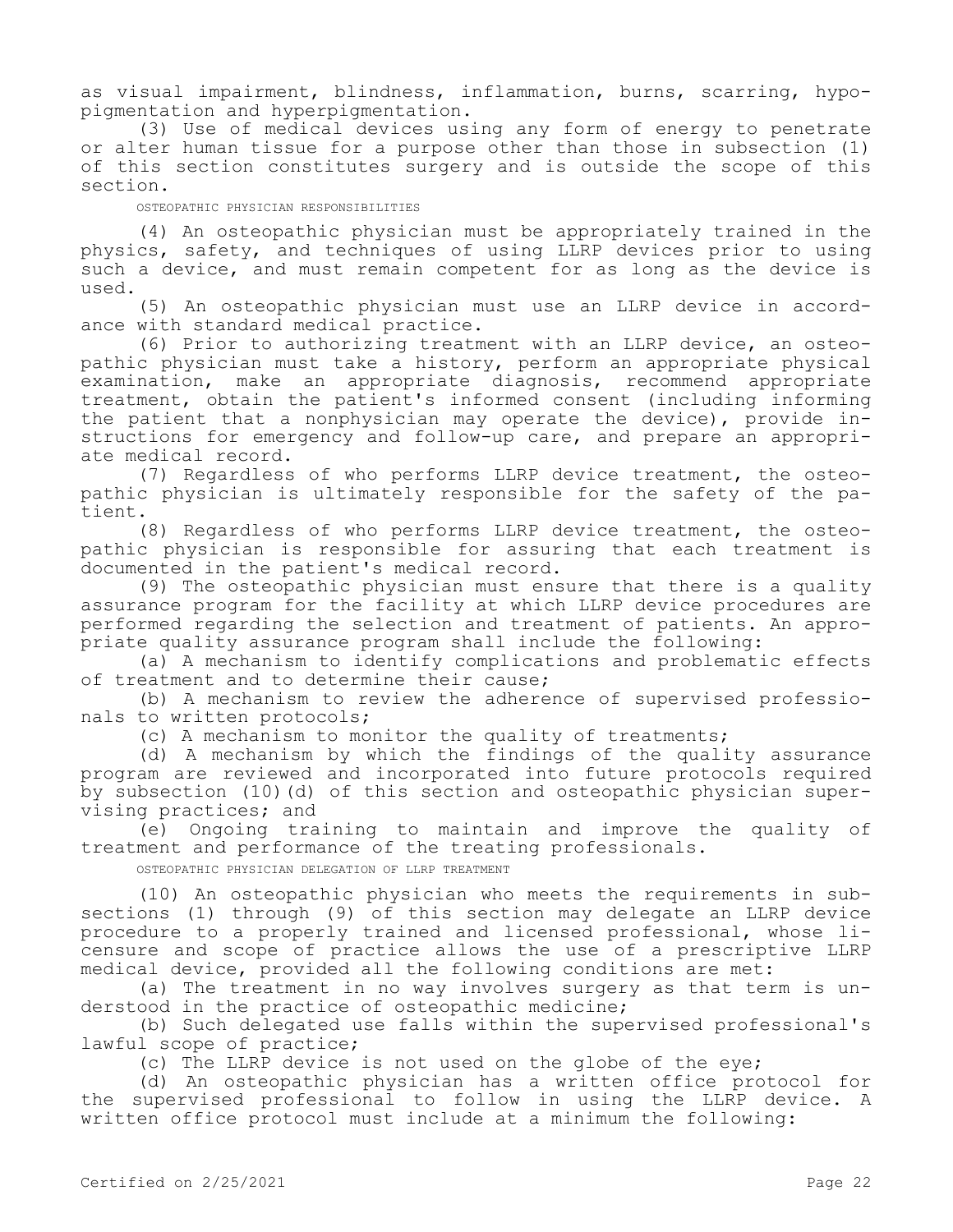as visual impairment, blindness, inflammation, burns, scarring, hypopigmentation and hyperpigmentation.

(3) Use of medical devices using any form of energy to penetrate or alter human tissue for a purpose other than those in subsection (1) of this section constitutes surgery and is outside the scope of this section.

#### OSTEOPATHIC PHYSICIAN RESPONSIBILITIES

(4) An osteopathic physician must be appropriately trained in the physics, safety, and techniques of using LLRP devices prior to using such a device, and must remain competent for as long as the device is used.

(5) An osteopathic physician must use an LLRP device in accordance with standard medical practice.

(6) Prior to authorizing treatment with an LLRP device, an osteopathic physician must take a history, perform an appropriate physical examination, make an appropriate diagnosis, recommend appropriate treatment, obtain the patient's informed consent (including informing the patient that a nonphysician may operate the device), provide instructions for emergency and follow-up care, and prepare an appropriate medical record.

(7) Regardless of who performs LLRP device treatment, the osteopathic physician is ultimately responsible for the safety of the patient.

(8) Regardless of who performs LLRP device treatment, the osteopathic physician is responsible for assuring that each treatment is documented in the patient's medical record.

(9) The osteopathic physician must ensure that there is a quality assurance program for the facility at which LLRP device procedures are performed regarding the selection and treatment of patients. An appropriate quality assurance program shall include the following:

(a) A mechanism to identify complications and problematic effects of treatment and to determine their cause;

(b) A mechanism to review the adherence of supervised professionals to written protocols;

(c) A mechanism to monitor the quality of treatments;

(d) A mechanism by which the findings of the quality assurance program are reviewed and incorporated into future protocols required by subsection (10)(d) of this section and osteopathic physician supervising practices; and

(e) Ongoing training to maintain and improve the quality of treatment and performance of the treating professionals.

OSTEOPATHIC PHYSICIAN DELEGATION OF LLRP TREATMENT

(10) An osteopathic physician who meets the requirements in subsections (1) through (9) of this section may delegate an LLRP device procedure to a properly trained and licensed professional, whose licensure and scope of practice allows the use of a prescriptive LLRP medical device, provided all the following conditions are met:

(a) The treatment in no way involves surgery as that term is understood in the practice of osteopathic medicine;

(b) Such delegated use falls within the supervised professional's lawful scope of practice;

(c) The LLRP device is not used on the globe of the eye;

(d) An osteopathic physician has a written office protocol for the supervised professional to follow in using the LLRP device. A written office protocol must include at a minimum the following: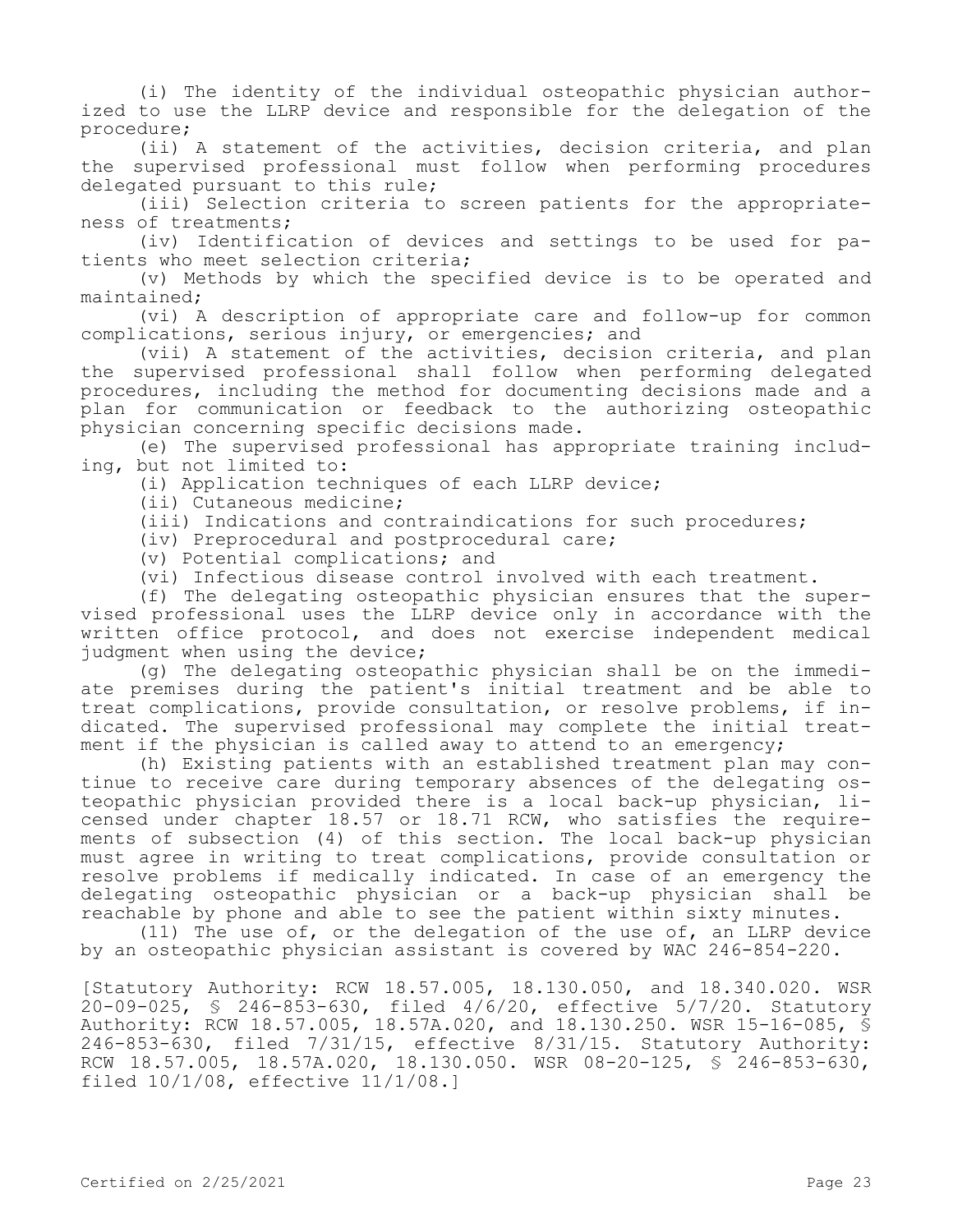(i) The identity of the individual osteopathic physician authorized to use the LLRP device and responsible for the delegation of the procedure;

(ii) A statement of the activities, decision criteria, and plan the supervised professional must follow when performing procedures delegated pursuant to this rule;

(iii) Selection criteria to screen patients for the appropriateness of treatments;

(iv) Identification of devices and settings to be used for patients who meet selection criteria;

(v) Methods by which the specified device is to be operated and maintained;

(vi) A description of appropriate care and follow-up for common complications, serious injury, or emergencies; and

(vii) A statement of the activities, decision criteria, and plan the supervised professional shall follow when performing delegated procedures, including the method for documenting decisions made and a plan for communication or feedback to the authorizing osteopathic physician concerning specific decisions made.

(e) The supervised professional has appropriate training including, but not limited to:

(i) Application techniques of each LLRP device;

(ii) Cutaneous medicine;

(iii) Indications and contraindications for such procedures;

(iv) Preprocedural and postprocedural care;

(v) Potential complications; and

(vi) Infectious disease control involved with each treatment.

(f) The delegating osteopathic physician ensures that the supervised professional uses the LLRP device only in accordance with the written office protocol, and does not exercise independent medical judgment when using the device;

(g) The delegating osteopathic physician shall be on the immediate premises during the patient's initial treatment and be able to treat complications, provide consultation, or resolve problems, if indicated. The supervised professional may complete the initial treatment if the physician is called away to attend to an emergency;

(h) Existing patients with an established treatment plan may continue to receive care during temporary absences of the delegating osteopathic physician provided there is a local back-up physician, licensed under chapter 18.57 or 18.71 RCW, who satisfies the requirements of subsection (4) of this section. The local back-up physician must agree in writing to treat complications, provide consultation or resolve problems if medically indicated. In case of an emergency the delegating osteopathic physician or a back-up physician shall be reachable by phone and able to see the patient within sixty minutes.

(11) The use of, or the delegation of the use of, an LLRP device by an osteopathic physician assistant is covered by WAC 246-854-220.

[Statutory Authority: RCW 18.57.005, 18.130.050, and 18.340.020. WSR 20-09-025, § 246-853-630, filed 4/6/20, effective 5/7/20. Statutory Authority: RCW 18.57.005, 18.57A.020, and 18.130.250. WSR 15-16-085, \$ 246-853-630, filed 7/31/15, effective 8/31/15. Statutory Authority: RCW 18.57.005, 18.57A.020, 18.130.050. WSR 08-20-125, § 246-853-630, filed 10/1/08, effective 11/1/08.]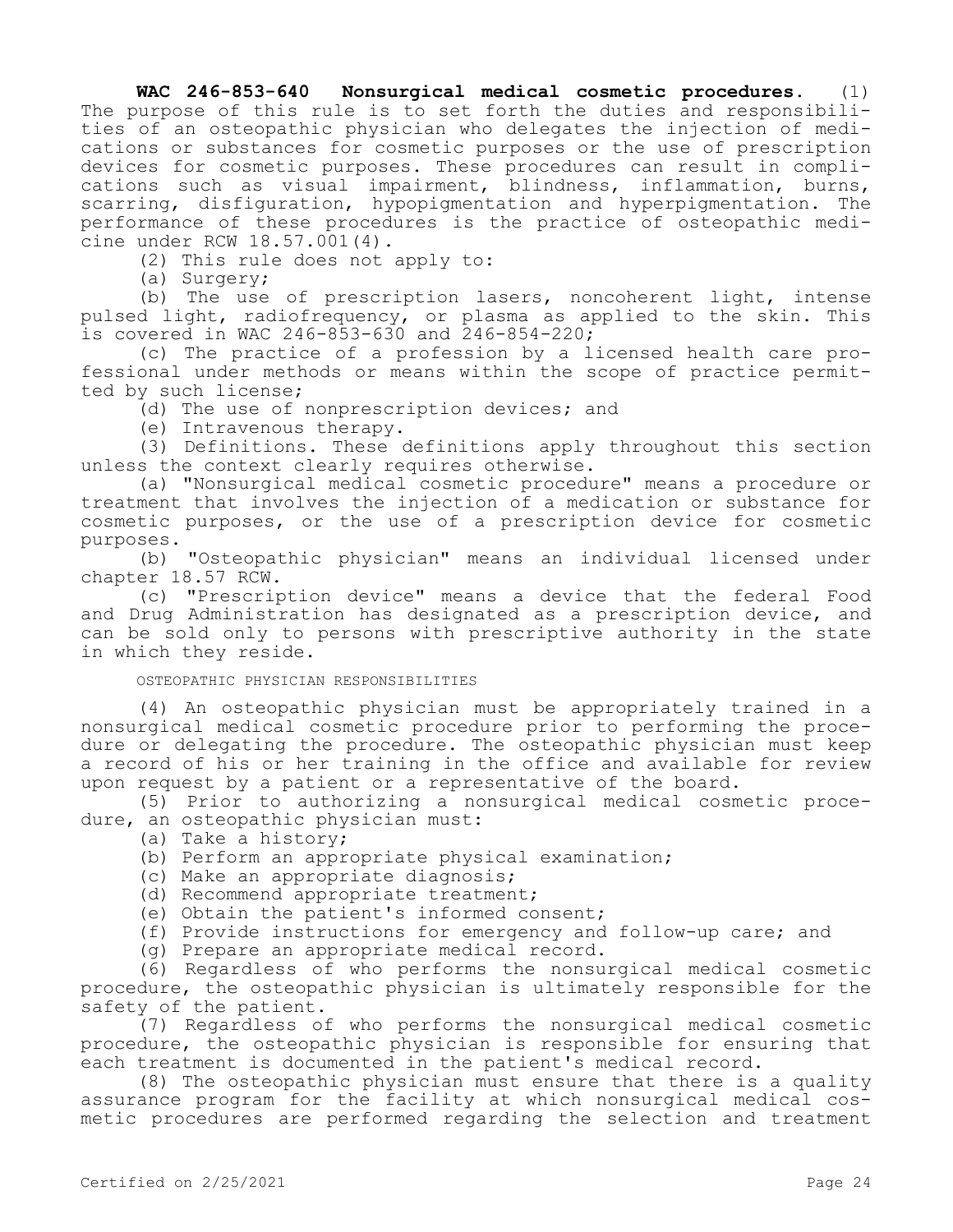# **WAC 246-853-640 Nonsurgical medical cosmetic procedures.** (1) The purpose of this rule is to set forth the duties and responsibilities of an osteopathic physician who delegates the injection of medications or substances for cosmetic purposes or the use of prescription devices for cosmetic purposes. These procedures can result in complications such as visual impairment, blindness, inflammation, burns, scarring, disfiguration, hypopigmentation and hyperpigmentation. The performance of these procedures is the practice of osteopathic medicine under RCW 18.57.001(4).

(2) This rule does not apply to:

(a) Surgery;

(b) The use of prescription lasers, noncoherent light, intense pulsed light, radiofrequency, or plasma as applied to the skin. This is covered in WAC 246-853-630 and 246-854-220;

(c) The practice of a profession by a licensed health care professional under methods or means within the scope of practice permitted by such license;

(d) The use of nonprescription devices; and

(e) Intravenous therapy.

(3) Definitions. These definitions apply throughout this section unless the context clearly requires otherwise.

(a) "Nonsurgical medical cosmetic procedure" means a procedure or treatment that involves the injection of a medication or substance for cosmetic purposes, or the use of a prescription device for cosmetic purposes.

(b) "Osteopathic physician" means an individual licensed under chapter 18.57 RCW.

(c) "Prescription device" means a device that the federal Food and Drug Administration has designated as a prescription device, and can be sold only to persons with prescriptive authority in the state in which they reside.

## OSTEOPATHIC PHYSICIAN RESPONSIBILITIES

(4) An osteopathic physician must be appropriately trained in a nonsurgical medical cosmetic procedure prior to performing the procedure or delegating the procedure. The osteopathic physician must keep a record of his or her training in the office and available for review upon request by a patient or a representative of the board.

(5) Prior to authorizing a nonsurgical medical cosmetic procedure, an osteopathic physician must:

- (a) Take a history;
- (b) Perform an appropriate physical examination;
- (c) Make an appropriate diagnosis;
- (d) Recommend appropriate treatment;
- (e) Obtain the patient's informed consent;
- (f) Provide instructions for emergency and follow-up care; and
- (g) Prepare an appropriate medical record.

(6) Regardless of who performs the nonsurgical medical cosmetic procedure, the osteopathic physician is ultimately responsible for the safety of the patient.

(7) Regardless of who performs the nonsurgical medical cosmetic procedure, the osteopathic physician is responsible for ensuring that each treatment is documented in the patient's medical record.

(8) The osteopathic physician must ensure that there is a quality assurance program for the facility at which nonsurgical medical cosmetic procedures are performed regarding the selection and treatment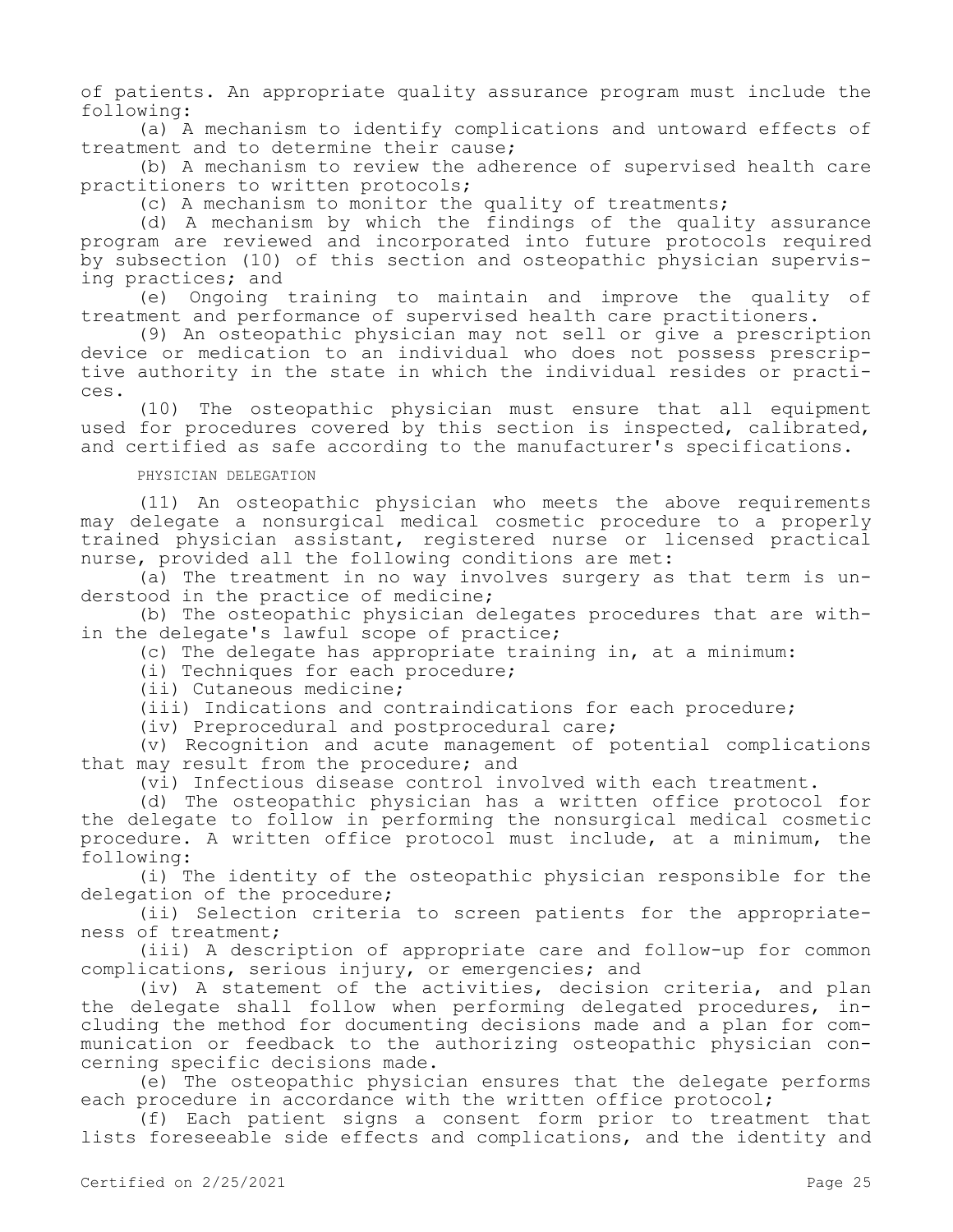of patients. An appropriate quality assurance program must include the following:

(a) A mechanism to identify complications and untoward effects of treatment and to determine their cause;

(b) A mechanism to review the adherence of supervised health care practitioners to written protocols;

(c) A mechanism to monitor the quality of treatments;

(d) A mechanism by which the findings of the quality assurance program are reviewed and incorporated into future protocols required by subsection (10) of this section and osteopathic physician supervising practices; and

(e) Ongoing training to maintain and improve the quality of treatment and performance of supervised health care practitioners.

(9) An osteopathic physician may not sell or give a prescription device or medication to an individual who does not possess prescriptive authority in the state in which the individual resides or practices.

(10) The osteopathic physician must ensure that all equipment used for procedures covered by this section is inspected, calibrated, and certified as safe according to the manufacturer's specifications.

#### PHYSICIAN DELEGATION

(11) An osteopathic physician who meets the above requirements may delegate a nonsurgical medical cosmetic procedure to a properly trained physician assistant, registered nurse or licensed practical nurse, provided all the following conditions are met:

(a) The treatment in no way involves surgery as that term is understood in the practice of medicine;

(b) The osteopathic physician delegates procedures that are within the delegate's lawful scope of practice;

(c) The delegate has appropriate training in, at a minimum:

(i) Techniques for each procedure;

(ii) Cutaneous medicine;

(iii) Indications and contraindications for each procedure;

(iv) Preprocedural and postprocedural care;

(v) Recognition and acute management of potential complications that may result from the procedure; and

(vi) Infectious disease control involved with each treatment.

(d) The osteopathic physician has a written office protocol for the delegate to follow in performing the nonsurgical medical cosmetic procedure. A written office protocol must include, at a minimum, the following:

(i) The identity of the osteopathic physician responsible for the delegation of the procedure;

(ii) Selection criteria to screen patients for the appropriateness of treatment;

(iii) A description of appropriate care and follow-up for common complications, serious injury, or emergencies; and

(iv) A statement of the activities, decision criteria, and plan the delegate shall follow when performing delegated procedures, including the method for documenting decisions made and a plan for communication or feedback to the authorizing osteopathic physician concerning specific decisions made.

(e) The osteopathic physician ensures that the delegate performs each procedure in accordance with the written office protocol;

(f) Each patient signs a consent form prior to treatment that lists foreseeable side effects and complications, and the identity and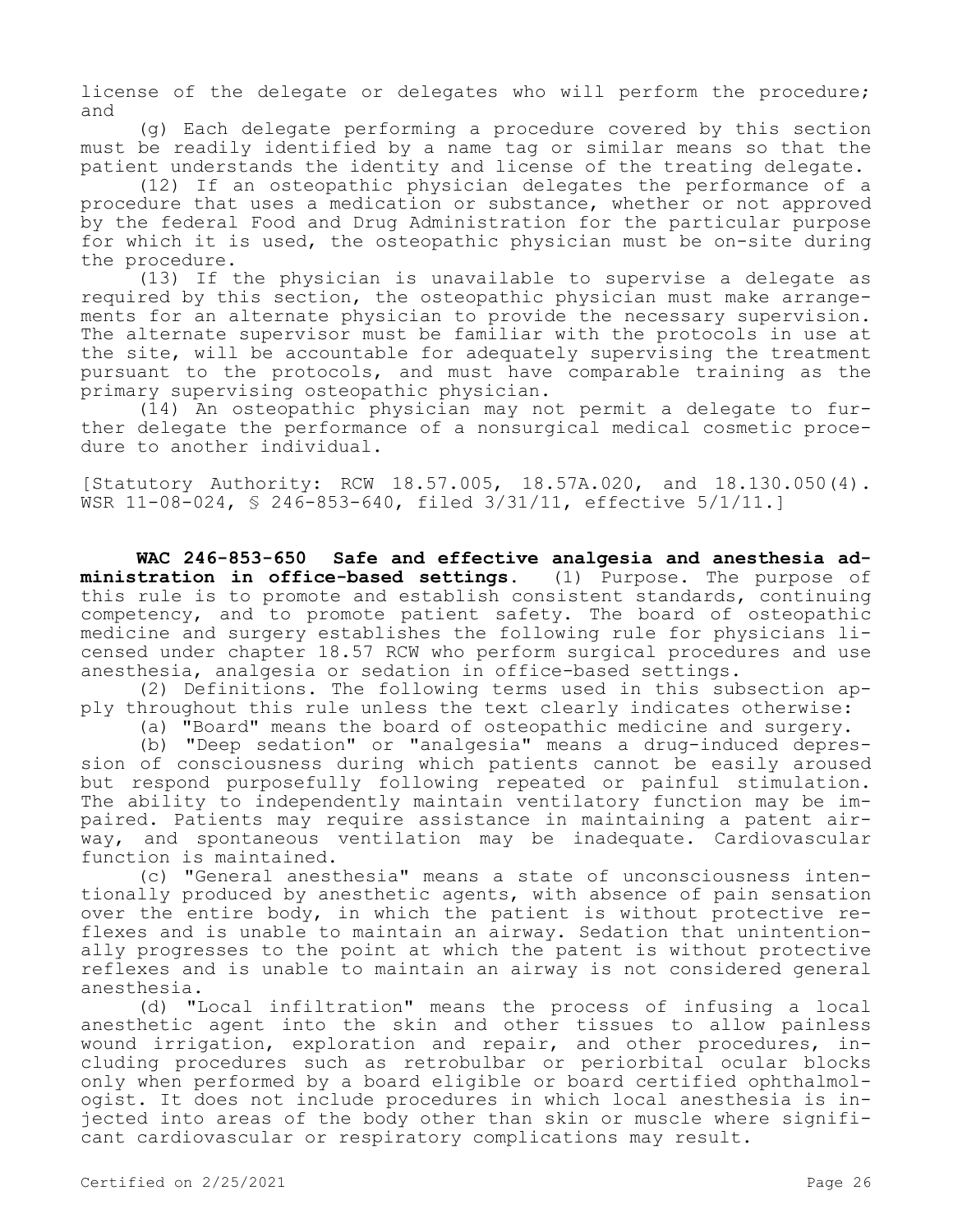license of the delegate or delegates who will perform the procedure; and

(g) Each delegate performing a procedure covered by this section must be readily identified by a name tag or similar means so that the patient understands the identity and license of the treating delegate.

(12) If an osteopathic physician delegates the performance of a procedure that uses a medication or substance, whether or not approved by the federal Food and Drug Administration for the particular purpose for which it is used, the osteopathic physician must be on-site during the procedure.

(13) If the physician is unavailable to supervise a delegate as required by this section, the osteopathic physician must make arrangements for an alternate physician to provide the necessary supervision. The alternate supervisor must be familiar with the protocols in use at the site, will be accountable for adequately supervising the treatment pursuant to the protocols, and must have comparable training as the primary supervising osteopathic physician.

(14) An osteopathic physician may not permit a delegate to further delegate the performance of a nonsurgical medical cosmetic procedure to another individual.

[Statutory Authority: RCW 18.57.005, 18.57A.020, and 18.130.050(4). WSR 11-08-024, § 246-853-640, filed 3/31/11, effective 5/1/11.]

WAC 246-853-650 Safe and effective analgesia and anesthesia ad-<br> **tration in office-based settings.** (1) Purpose. The purpose of ministration in office-based settings. this rule is to promote and establish consistent standards, continuing competency, and to promote patient safety. The board of osteopathic medicine and surgery establishes the following rule for physicians licensed under chapter 18.57 RCW who perform surgical procedures and use anesthesia, analgesia or sedation in office-based settings.

(2) Definitions. The following terms used in this subsection apply throughout this rule unless the text clearly indicates otherwise:

(a) "Board" means the board of osteopathic medicine and surgery.

(b) "Deep sedation" or "analgesia" means a drug-induced depression of consciousness during which patients cannot be easily aroused but respond purposefully following repeated or painful stimulation. The ability to independently maintain ventilatory function may be impaired. Patients may require assistance in maintaining a patent airway, and spontaneous ventilation may be inadequate. Cardiovascular function is maintained.

(c) "General anesthesia" means a state of unconsciousness intentionally produced by anesthetic agents, with absence of pain sensation over the entire body, in which the patient is without protective reflexes and is unable to maintain an airway. Sedation that unintentionally progresses to the point at which the patent is without protective reflexes and is unable to maintain an airway is not considered general anesthesia.

(d) "Local infiltration" means the process of infusing a local anesthetic agent into the skin and other tissues to allow painless wound irrigation, exploration and repair, and other procedures, including procedures such as retrobulbar or periorbital ocular blocks only when performed by a board eligible or board certified ophthalmologist. It does not include procedures in which local anesthesia is injected into areas of the body other than skin or muscle where significant cardiovascular or respiratory complications may result.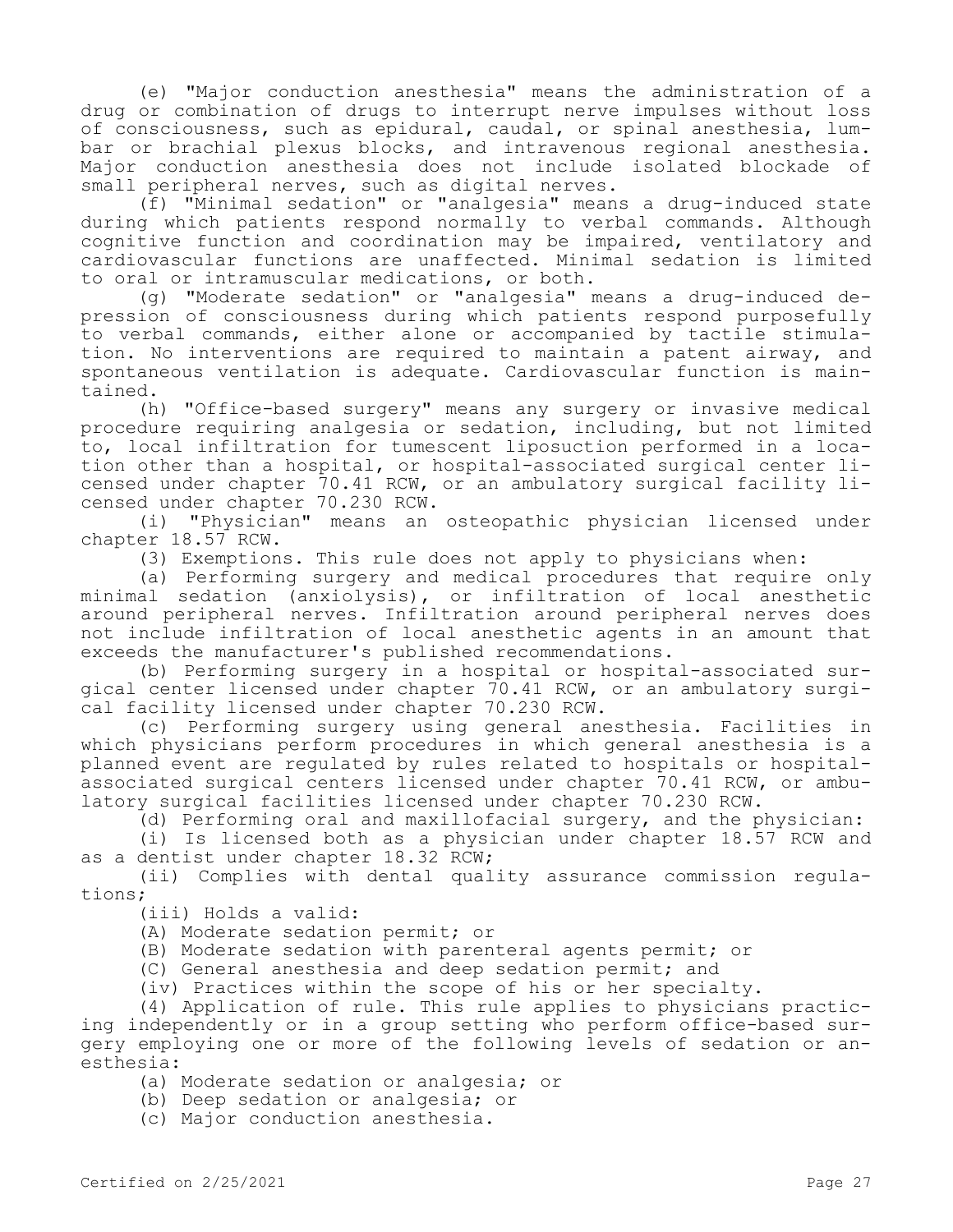(e) "Major conduction anesthesia" means the administration of a drug or combination of drugs to interrupt nerve impulses without loss of consciousness, such as epidural, caudal, or spinal anesthesia, lumbar or brachial plexus blocks, and intravenous regional anesthesia. Major conduction anesthesia does not include isolated blockade of small peripheral nerves, such as digital nerves.

(f) "Minimal sedation" or "analgesia" means a drug-induced state during which patients respond normally to verbal commands. Although cognitive function and coordination may be impaired, ventilatory and cardiovascular functions are unaffected. Minimal sedation is limited to oral or intramuscular medications, or both.

(g) "Moderate sedation" or "analgesia" means a drug-induced depression of consciousness during which patients respond purposefully to verbal commands, either alone or accompanied by tactile stimulation. No interventions are required to maintain a patent airway, and spontaneous ventilation is adequate. Cardiovascular function is maintained.

(h) "Office-based surgery" means any surgery or invasive medical procedure requiring analgesia or sedation, including, but not limited to, local infiltration for tumescent liposuction performed in a location other than a hospital, or hospital-associated surgical center licensed under chapter 70.41 RCW, or an ambulatory surgical facility licensed under chapter 70.230 RCW.

(i) "Physician" means an osteopathic physician licensed under chapter 18.57 RCW.

(3) Exemptions. This rule does not apply to physicians when:

(a) Performing surgery and medical procedures that require only minimal sedation (anxiolysis), or infiltration of local anesthetic around peripheral nerves. Infiltration around peripheral nerves does not include infiltration of local anesthetic agents in an amount that exceeds the manufacturer's published recommendations.

(b) Performing surgery in a hospital or hospital-associated surgical center licensed under chapter 70.41 RCW, or an ambulatory surgical facility licensed under chapter 70.230 RCW.

(c) Performing surgery using general anesthesia. Facilities in which physicians perform procedures in which general anesthesia is a planned event are regulated by rules related to hospitals or hospitalassociated surgical centers licensed under chapter 70.41 RCW, or ambulatory surgical facilities licensed under chapter 70.230 RCW.

(d) Performing oral and maxillofacial surgery, and the physician:

(i) Is licensed both as a physician under chapter 18.57 RCW and as a dentist under chapter 18.32 RCW;

(ii) Complies with dental quality assurance commission regulations;

(iii) Holds a valid:

- (A) Moderate sedation permit; or
- (B) Moderate sedation with parenteral agents permit; or

(C) General anesthesia and deep sedation permit; and

(iv) Practices within the scope of his or her specialty.

(4) Application of rule. This rule applies to physicians practicing independently or in a group setting who perform office-based surgery employing one or more of the following levels of sedation or anesthesia:

(a) Moderate sedation or analgesia; or

(b) Deep sedation or analgesia; or

(c) Major conduction anesthesia.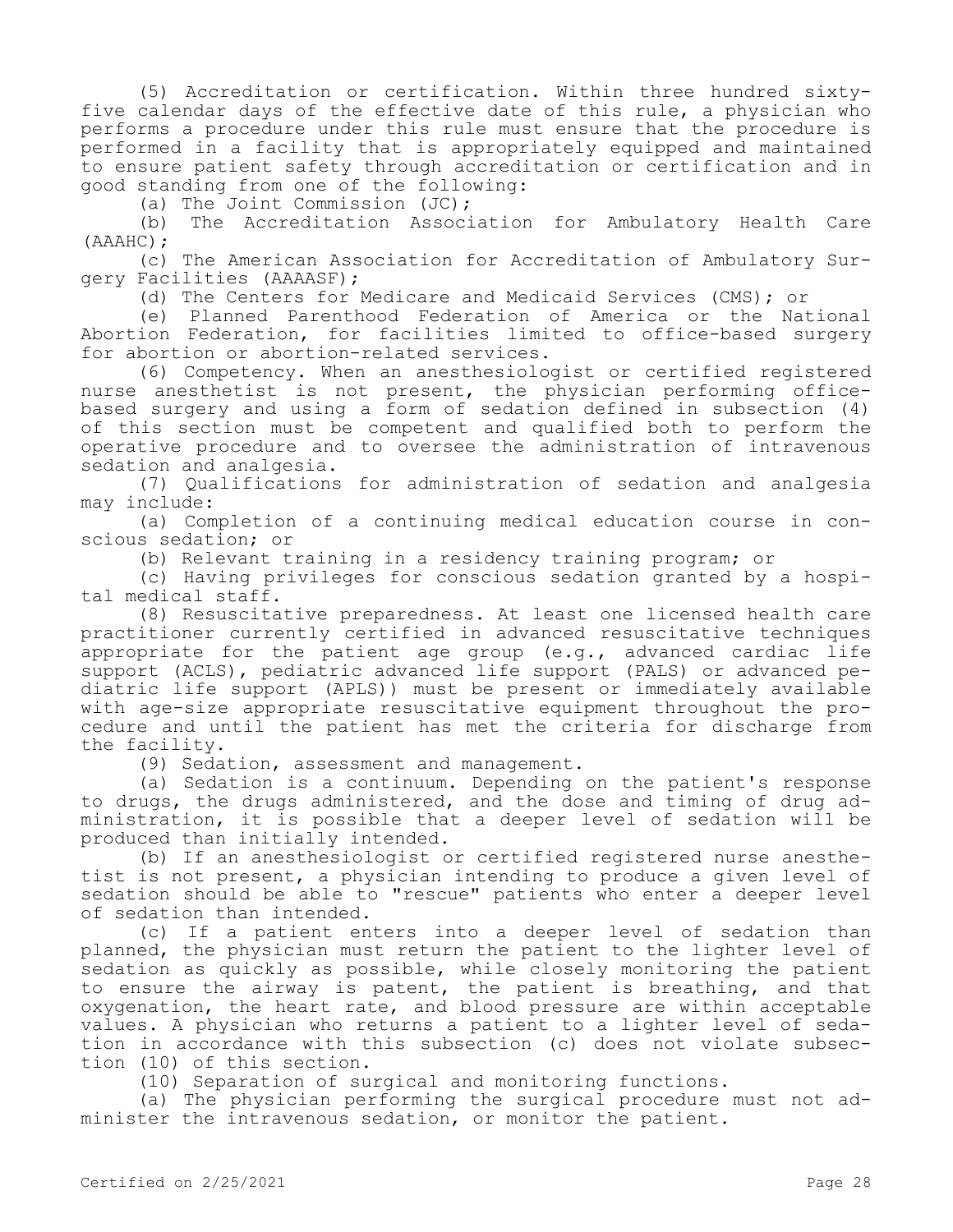(5) Accreditation or certification. Within three hundred sixtyfive calendar days of the effective date of this rule, a physician who performs a procedure under this rule must ensure that the procedure is performed in a facility that is appropriately equipped and maintained to ensure patient safety through accreditation or certification and in good standing from one of the following:

(a) The Joint Commission (JC);

(b) The Accreditation Association for Ambulatory Health Care (AAAHC);

(c) The American Association for Accreditation of Ambulatory Surgery Facilities (AAAASF);

(d) The Centers for Medicare and Medicaid Services (CMS); or

(e) Planned Parenthood Federation of America or the National Abortion Federation, for facilities limited to office-based surgery for abortion or abortion-related services.

(6) Competency. When an anesthesiologist or certified registered nurse anesthetist is not present, the physician performing officebased surgery and using a form of sedation defined in subsection (4) of this section must be competent and qualified both to perform the operative procedure and to oversee the administration of intravenous sedation and analgesia.

(7) Qualifications for administration of sedation and analgesia may include:

(a) Completion of a continuing medical education course in conscious sedation; or

(b) Relevant training in a residency training program; or

(c) Having privileges for conscious sedation granted by a hospital medical staff.

(8) Resuscitative preparedness. At least one licensed health care practitioner currently certified in advanced resuscitative techniques appropriate for the patient age group (e.g., advanced cardiac life support (ACLS), pediatric advanced life support (PALS) or advanced pediatric life support (APLS)) must be present or immediately available with age-size appropriate resuscitative equipment throughout the procedure and until the patient has met the criteria for discharge from the facility.

(9) Sedation, assessment and management.

(a) Sedation is a continuum. Depending on the patient's response to drugs, the drugs administered, and the dose and timing of drug administration, it is possible that a deeper level of sedation will be produced than initially intended.

(b) If an anesthesiologist or certified registered nurse anesthetist is not present, a physician intending to produce a given level of sedation should be able to "rescue" patients who enter a deeper level of sedation than intended.

(c) If a patient enters into a deeper level of sedation than planned, the physician must return the patient to the lighter level of sedation as quickly as possible, while closely monitoring the patient to ensure the airway is patent, the patient is breathing, and that oxygenation, the heart rate, and blood pressure are within acceptable values. A physician who returns a patient to a lighter level of sedation in accordance with this subsection (c) does not violate subsection (10) of this section.

(10) Separation of surgical and monitoring functions.

(a) The physician performing the surgical procedure must not administer the intravenous sedation, or monitor the patient.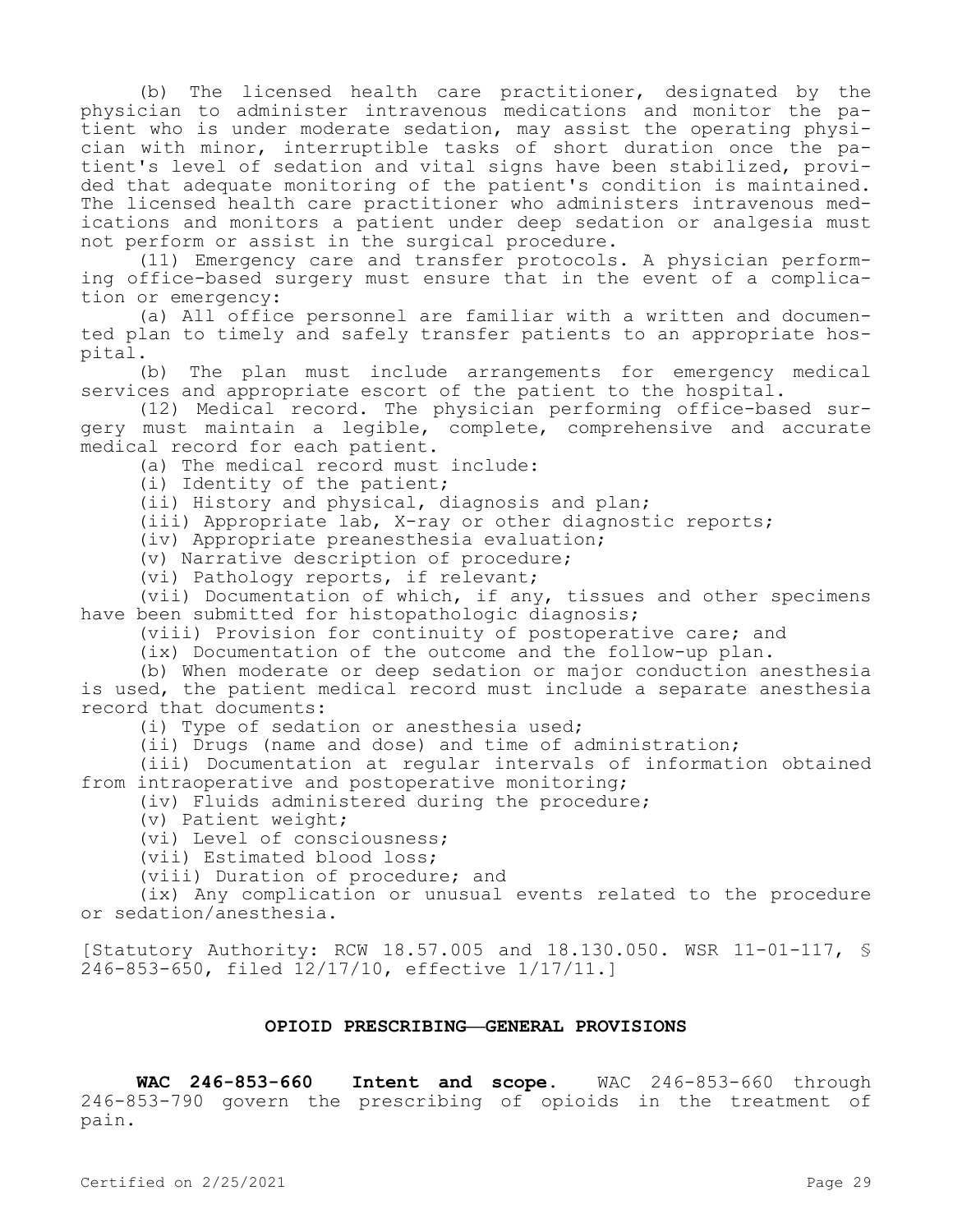(b) The licensed health care practitioner, designated by the physician to administer intravenous medications and monitor the patient who is under moderate sedation, may assist the operating physician with minor, interruptible tasks of short duration once the patient's level of sedation and vital signs have been stabilized, provided that adequate monitoring of the patient's condition is maintained. The licensed health care practitioner who administers intravenous medications and monitors a patient under deep sedation or analgesia must not perform or assist in the surgical procedure.

(11) Emergency care and transfer protocols. A physician performing office-based surgery must ensure that in the event of a complication or emergency:

(a) All office personnel are familiar with a written and documented plan to timely and safely transfer patients to an appropriate hospital.

(b) The plan must include arrangements for emergency medical services and appropriate escort of the patient to the hospital.

(12) Medical record. The physician performing office-based surgery must maintain a legible, complete, comprehensive and accurate medical record for each patient.

(a) The medical record must include:

(i) Identity of the patient;

(ii) History and physical, diagnosis and plan;

(iii) Appropriate lab, X-ray or other diagnostic reports;

(iv) Appropriate preanesthesia evaluation;

(v) Narrative description of procedure;

(vi) Pathology reports, if relevant;

(vii) Documentation of which, if any, tissues and other specimens have been submitted for histopathologic diagnosis;

(viii) Provision for continuity of postoperative care; and

(ix) Documentation of the outcome and the follow-up plan.

(b) When moderate or deep sedation or major conduction anesthesia is used, the patient medical record must include a separate anesthesia record that documents:

(i) Type of sedation or anesthesia used;

(ii) Drugs (name and dose) and time of administration;

(iii) Documentation at regular intervals of information obtained from intraoperative and postoperative monitoring;

(iv) Fluids administered during the procedure;

(v) Patient weight;

(vi) Level of consciousness;

(vii) Estimated blood loss;

(viii) Duration of procedure; and

(ix) Any complication or unusual events related to the procedure or sedation/anesthesia.

[Statutory Authority: RCW 18.57.005 and 18.130.050. WSR 11-01-117, § 246-853-650, filed 12/17/10, effective 1/17/11.]

## **OPIOID PRESCRIBING—GENERAL PROVISIONS**

**WAC 246-853-660 Intent and scope.** WAC 246-853-660 through 246-853-790 govern the prescribing of opioids in the treatment of pain.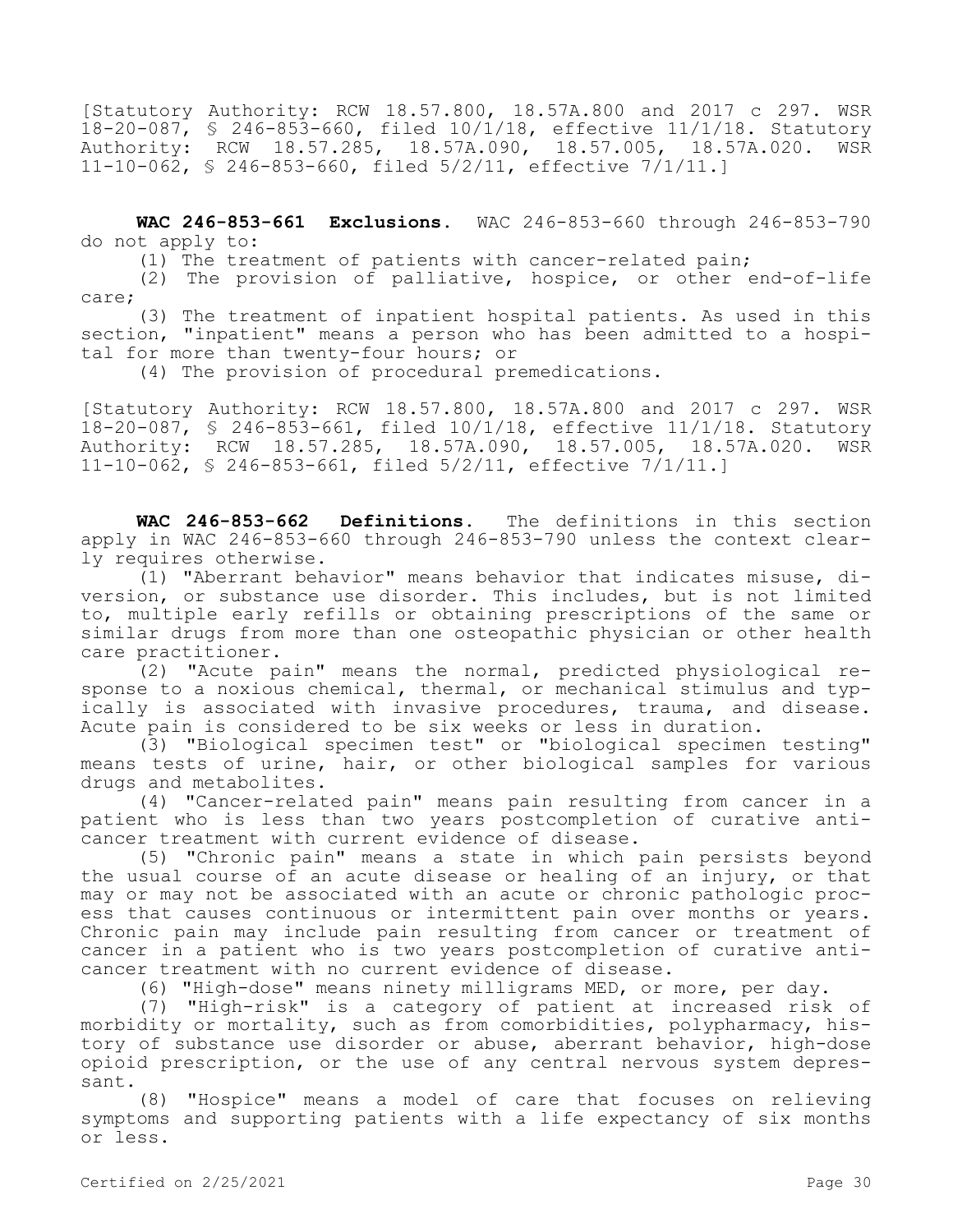[Statutory Authority: RCW 18.57.800, 18.57A.800 and 2017 c 297. WSR 18-20-087, § 246-853-660, filed 10/1/18, effective 11/1/18. Statutory Authority: RCW 18.57.285, 18.57A.090, 18.57.005, 18.57A.020. WSR 11-10-062, § 246-853-660, filed 5/2/11, effective 7/1/11.]

**WAC 246-853-661 Exclusions.** WAC 246-853-660 through 246-853-790 do not apply to:

(1) The treatment of patients with cancer-related pain;

(2) The provision of palliative, hospice, or other end-of-life care;

(3) The treatment of inpatient hospital patients. As used in this section, "inpatient" means a person who has been admitted to a hospital for more than twenty-four hours; or

(4) The provision of procedural premedications.

[Statutory Authority: RCW 18.57.800, 18.57A.800 and 2017 c 297. WSR 18-20-087, § 246-853-661, filed 10/1/18, effective 11/1/18. Statutory Authority: RCW 18.57.285, 18.57A.090, 18.57.005, 18.57A.020. WSR 11-10-062, § 246-853-661, filed 5/2/11, effective 7/1/11.]

**WAC 246-853-662 Definitions.** The definitions in this section apply in WAC 246-853-660 through 246-853-790 unless the context clearly requires otherwise.

(1) "Aberrant behavior" means behavior that indicates misuse, diversion, or substance use disorder. This includes, but is not limited to, multiple early refills or obtaining prescriptions of the same or similar drugs from more than one osteopathic physician or other health care practitioner.

(2) "Acute pain" means the normal, predicted physiological response to a noxious chemical, thermal, or mechanical stimulus and typically is associated with invasive procedures, trauma, and disease. Acute pain is considered to be six weeks or less in duration.

(3) "Biological specimen test" or "biological specimen testing" means tests of urine, hair, or other biological samples for various drugs and metabolites.

(4) "Cancer-related pain" means pain resulting from cancer in a patient who is less than two years postcompletion of curative anticancer treatment with current evidence of disease.

(5) "Chronic pain" means a state in which pain persists beyond the usual course of an acute disease or healing of an injury, or that may or may not be associated with an acute or chronic pathologic process that causes continuous or intermittent pain over months or years. Chronic pain may include pain resulting from cancer or treatment of cancer in a patient who is two years postcompletion of curative anticancer treatment with no current evidence of disease.

(6) "High-dose" means ninety milligrams MED, or more, per day.

(7) "High-risk" is a category of patient at increased risk of morbidity or mortality, such as from comorbidities, polypharmacy, history of substance use disorder or abuse, aberrant behavior, high-dose opioid prescription, or the use of any central nervous system depressant.

(8) "Hospice" means a model of care that focuses on relieving symptoms and supporting patients with a life expectancy of six months or less.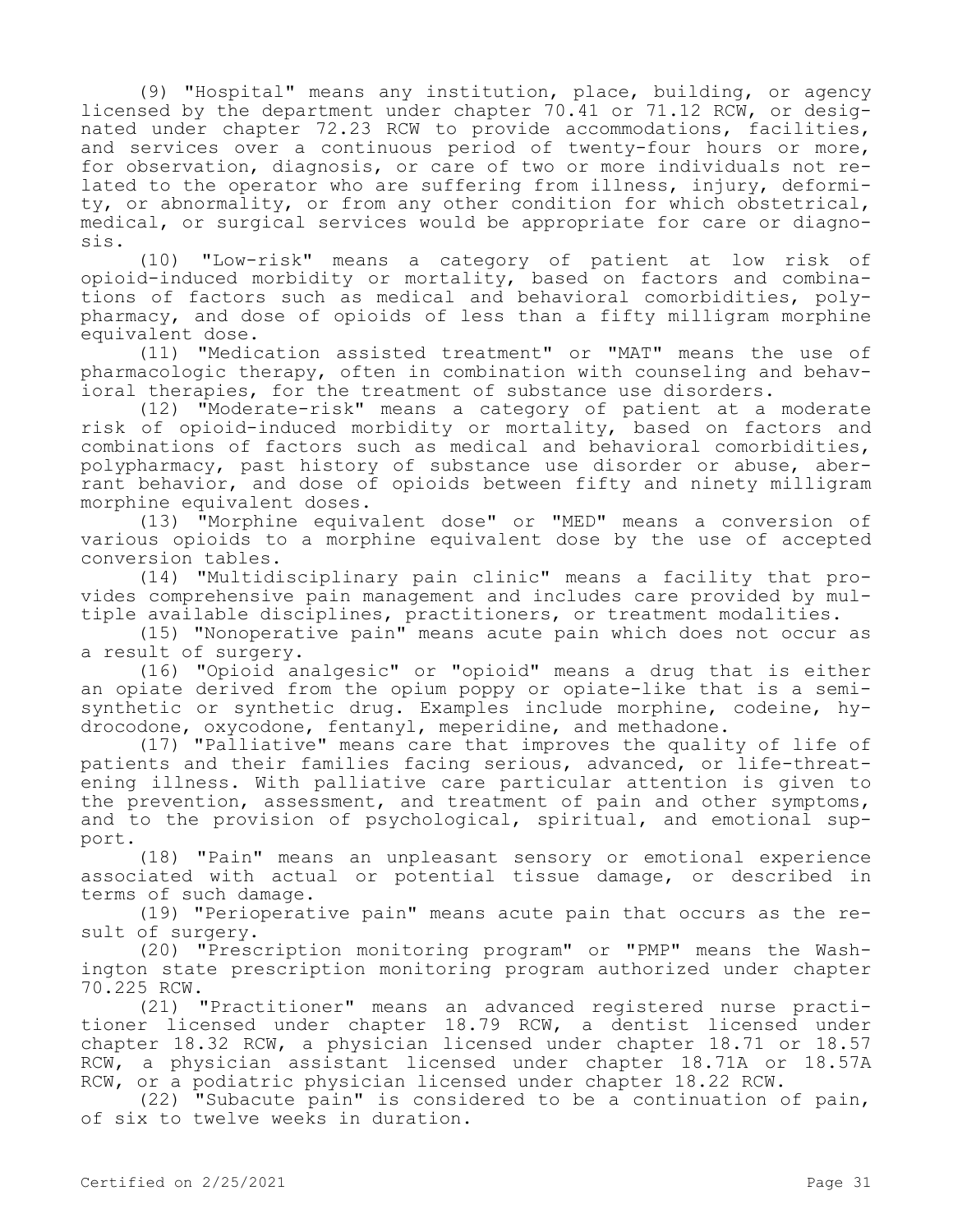(9) "Hospital" means any institution, place, building, or agency licensed by the department under chapter 70.41 or 71.12 RCW, or designated under chapter 72.23 RCW to provide accommodations, facilities, and services over a continuous period of twenty-four hours or more, for observation, diagnosis, or care of two or more individuals not related to the operator who are suffering from illness, injury, deformity, or abnormality, or from any other condition for which obstetrical, medical, or surgical services would be appropriate for care or diagnosis.

(10) "Low-risk" means a category of patient at low risk of opioid-induced morbidity or mortality, based on factors and combinations of factors such as medical and behavioral comorbidities, polypharmacy, and dose of opioids of less than a fifty milligram morphine equivalent dose.

(11) "Medication assisted treatment" or "MAT" means the use of pharmacologic therapy, often in combination with counseling and behavioral therapies, for the treatment of substance use disorders.

(12) "Moderate-risk" means a category of patient at a moderate risk of opioid-induced morbidity or mortality, based on factors and combinations of factors such as medical and behavioral comorbidities, polypharmacy, past history of substance use disorder or abuse, aberrant behavior, and dose of opioids between fifty and ninety milligram morphine equivalent doses.

(13) "Morphine equivalent dose" or "MED" means a conversion of various opioids to a morphine equivalent dose by the use of accepted conversion tables.

(14) "Multidisciplinary pain clinic" means a facility that provides comprehensive pain management and includes care provided by multiple available disciplines, practitioners, or treatment modalities.

(15) "Nonoperative pain" means acute pain which does not occur as a result of surgery.

(16) "Opioid analgesic" or "opioid" means a drug that is either an opiate derived from the opium poppy or opiate-like that is a semisynthetic or synthetic drug. Examples include morphine, codeine, hydrocodone, oxycodone, fentanyl, meperidine, and methadone.

(17) "Palliative" means care that improves the quality of life of patients and their families facing serious, advanced, or life-threatening illness. With palliative care particular attention is given to the prevention, assessment, and treatment of pain and other symptoms, and to the provision of psychological, spiritual, and emotional support.

(18) "Pain" means an unpleasant sensory or emotional experience associated with actual or potential tissue damage, or described in terms of such damage.

(19) "Perioperative pain" means acute pain that occurs as the result of surgery.

(20) "Prescription monitoring program" or "PMP" means the Washington state prescription monitoring program authorized under chapter 70.225 RCW.

(21) "Practitioner" means an advanced registered nurse practitioner licensed under chapter 18.79 RCW, a dentist licensed under chapter 18.32 RCW, a physician licensed under chapter 18.71 or 18.57 RCW, a physician assistant licensed under chapter 18.71A or 18.57A RCW, or a podiatric physician licensed under chapter 18.22 RCW.

(22) "Subacute pain" is considered to be a continuation of pain, of six to twelve weeks in duration.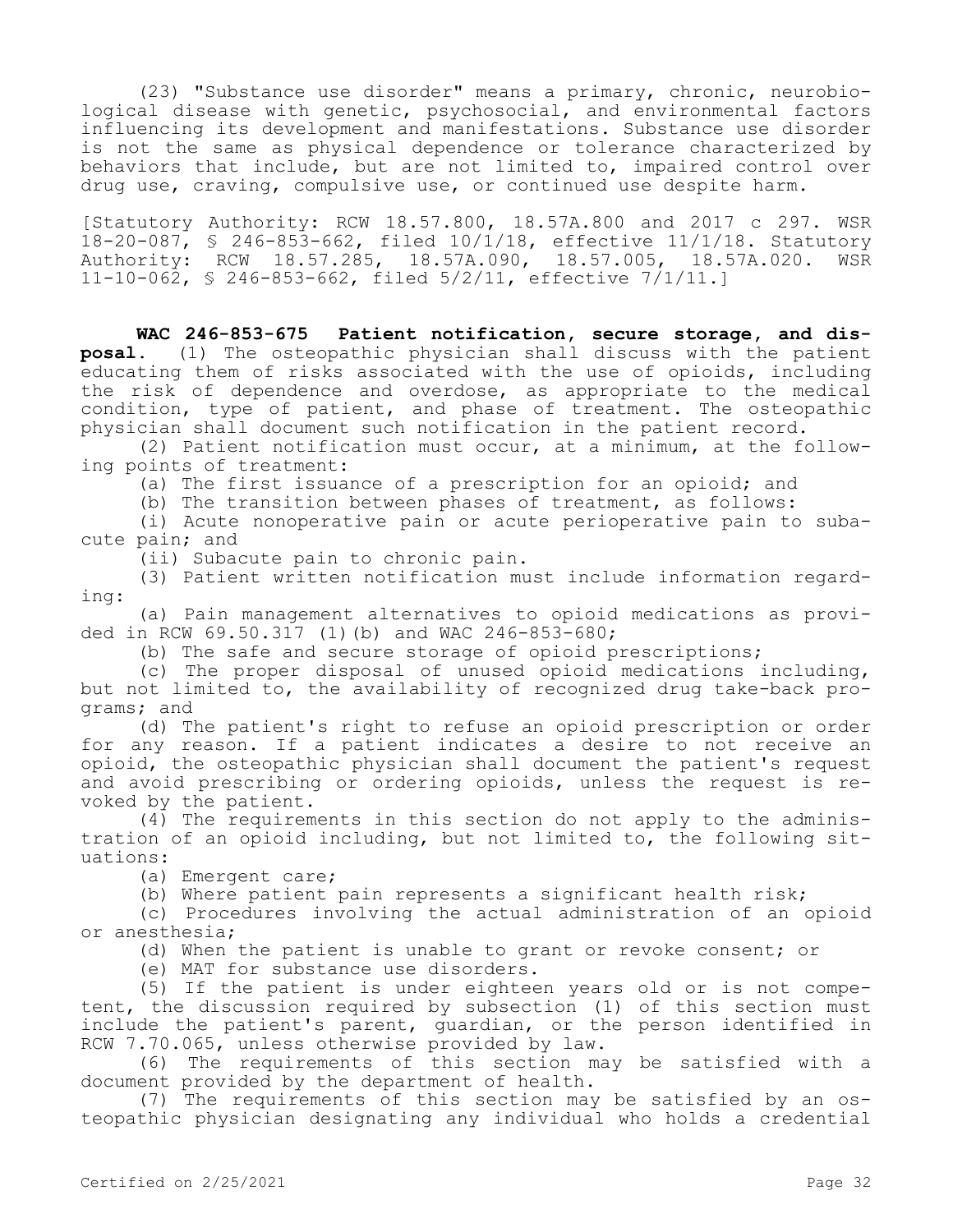(23) "Substance use disorder" means a primary, chronic, neurobiological disease with genetic, psychosocial, and environmental factors influencing its development and manifestations. Substance use disorder is not the same as physical dependence or tolerance characterized by behaviors that include, but are not limited to, impaired control over drug use, craving, compulsive use, or continued use despite harm.

[Statutory Authority: RCW 18.57.800, 18.57A.800 and 2017 c 297. WSR 18-20-087, § 246-853-662, filed 10/1/18, effective 11/1/18. Statutory Authority: RCW 18.57.285, 18.57A.090, 18.57.005, 18.57A.020. WSR 11-10-062, § 246-853-662, filed 5/2/11, effective 7/1/11.]

**WAC 246-853-675 Patient notification, secure storage, and disposal.** (1) The osteopathic physician shall discuss with the patient educating them of risks associated with the use of opioids, including the risk of dependence and overdose, as appropriate to the medical condition, type of patient, and phase of treatment. The osteopathic physician shall document such notification in the patient record.

(2) Patient notification must occur, at a minimum, at the following points of treatment:

(a) The first issuance of a prescription for an opioid; and

(b) The transition between phases of treatment, as follows:

(i) Acute nonoperative pain or acute perioperative pain to subacute pain; and

(ii) Subacute pain to chronic pain.

(3) Patient written notification must include information regarding:

(a) Pain management alternatives to opioid medications as provided in RCW  $69.50.317$  (1)(b) and WAC 246-853-680;

(b) The safe and secure storage of opioid prescriptions;

(c) The proper disposal of unused opioid medications including, but not limited to, the availability of recognized drug take-back programs; and

(d) The patient's right to refuse an opioid prescription or order for any reason. If a patient indicates a desire to not receive an opioid, the osteopathic physician shall document the patient's request and avoid prescribing or ordering opioids, unless the request is revoked by the patient.

(4) The requirements in this section do not apply to the administration of an opioid including, but not limited to, the following situations:

(a) Emergent care;

(b) Where patient pain represents a significant health risk;

(c) Procedures involving the actual administration of an opioid or anesthesia;

(d) When the patient is unable to grant or revoke consent; or

(e) MAT for substance use disorders.

(5) If the patient is under eighteen years old or is not competent, the discussion required by subsection (1) of this section must include the patient's parent, guardian, or the person identified in RCW 7.70.065, unless otherwise provided by law.

(6) The requirements of this section may be satisfied with a document provided by the department of health.

(7) The requirements of this section may be satisfied by an osteopathic physician designating any individual who holds a credential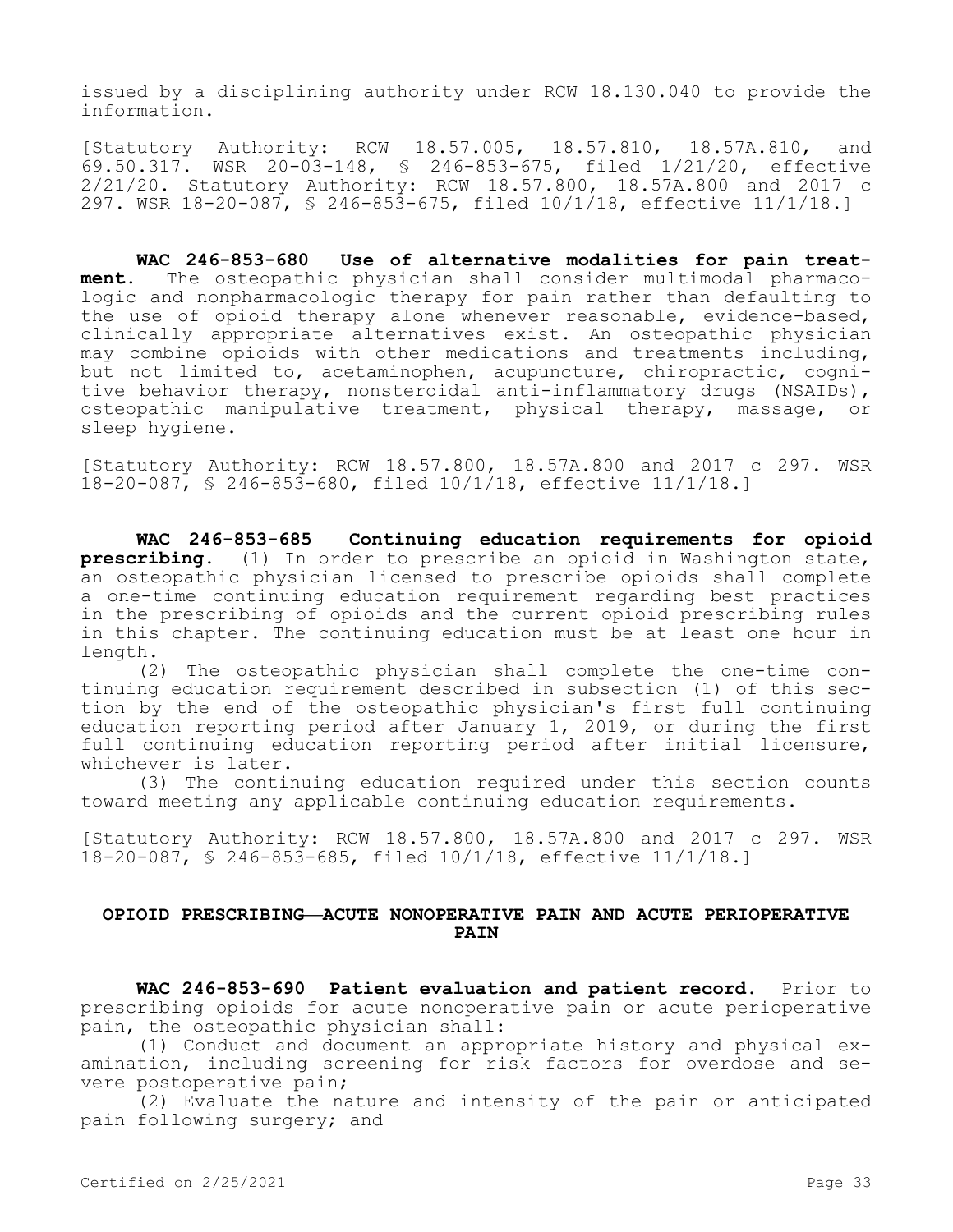issued by a disciplining authority under RCW 18.130.040 to provide the information.

[Statutory Authority: RCW 18.57.005, 18.57.810, 18.57A.810, and 69.50.317. WSR 20-03-148, § 246-853-675, filed 1/21/20, effective 2/21/20. Statutory Authority: RCW 18.57.800, 18.57A.800 and 2017 c 297. WSR 18-20-087, § 246-853-675, filed 10/1/18, effective 11/1/18.]

**WAC 246-853-680 Use of alternative modalities for pain treatment.** The osteopathic physician shall consider multimodal pharmacologic and nonpharmacologic therapy for pain rather than defaulting to the use of opioid therapy alone whenever reasonable, evidence-based, clinically appropriate alternatives exist. An osteopathic physician may combine opioids with other medications and treatments including, but not limited to, acetaminophen, acupuncture, chiropractic, cognitive behavior therapy, nonsteroidal anti-inflammatory drugs (NSAIDs), osteopathic manipulative treatment, physical therapy, massage, or sleep hygiene.

[Statutory Authority: RCW 18.57.800, 18.57A.800 and 2017 c 297. WSR 18-20-087, § 246-853-680, filed 10/1/18, effective 11/1/18.]

**WAC 246-853-685 Continuing education requirements for opioid prescribing.** (1) In order to prescribe an opioid in Washington state, an osteopathic physician licensed to prescribe opioids shall complete a one-time continuing education requirement regarding best practices in the prescribing of opioids and the current opioid prescribing rules in this chapter. The continuing education must be at least one hour in length.

(2) The osteopathic physician shall complete the one-time continuing education requirement described in subsection (1) of this section by the end of the osteopathic physician's first full continuing education reporting period after January 1, 2019, or during the first full continuing education reporting period after initial licensure, whichever is later.

(3) The continuing education required under this section counts toward meeting any applicable continuing education requirements.

[Statutory Authority: RCW 18.57.800, 18.57A.800 and 2017 c 297. WSR 18-20-087, § 246-853-685, filed 10/1/18, effective 11/1/18.]

### **OPIOID PRESCRIBING—ACUTE NONOPERATIVE PAIN AND ACUTE PERIOPERATIVE PAIN**

**WAC 246-853-690 Patient evaluation and patient record.** Prior to prescribing opioids for acute nonoperative pain or acute perioperative pain, the osteopathic physician shall:

(1) Conduct and document an appropriate history and physical examination, including screening for risk factors for overdose and severe postoperative pain;

(2) Evaluate the nature and intensity of the pain or anticipated pain following surgery; and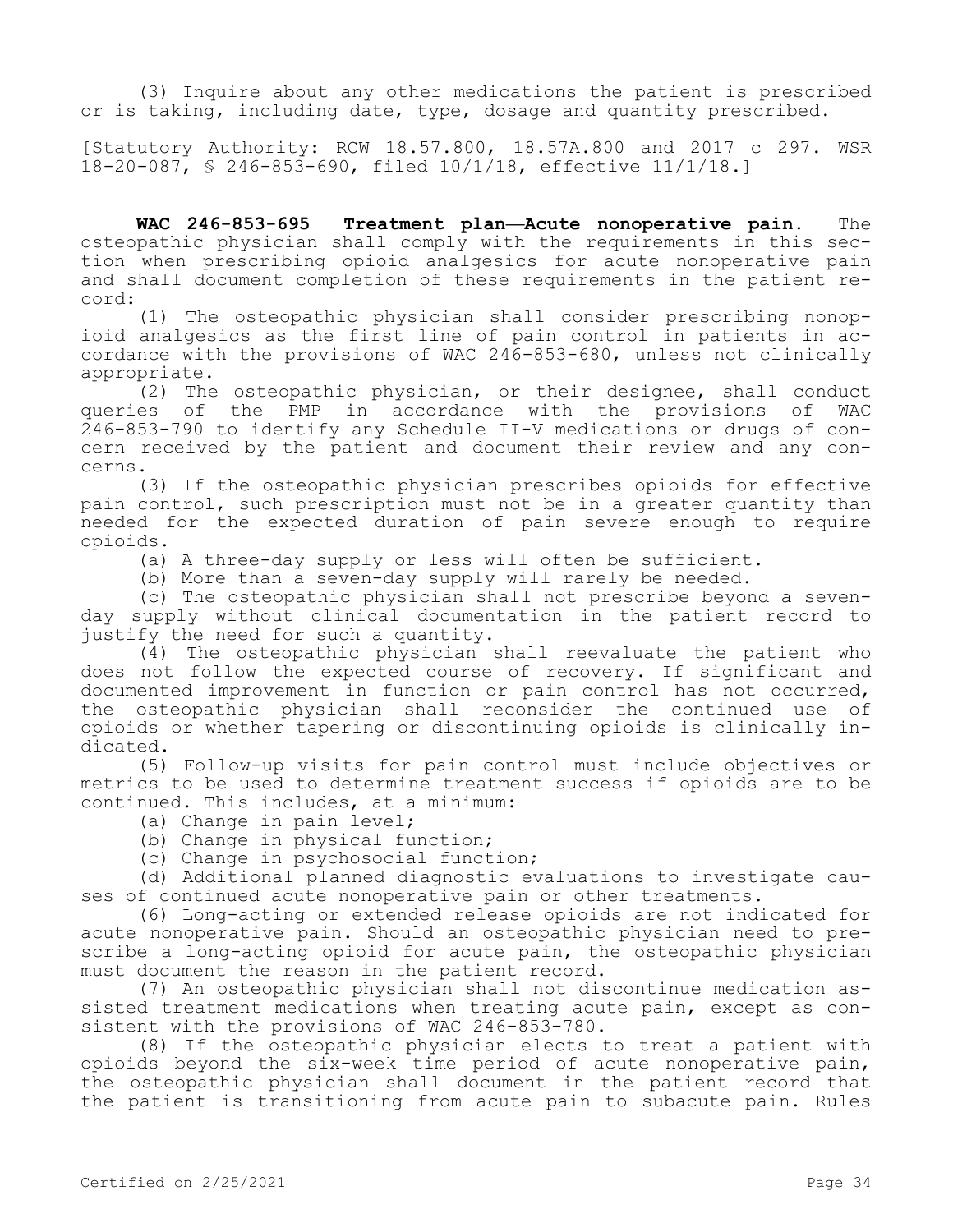(3) Inquire about any other medications the patient is prescribed or is taking, including date, type, dosage and quantity prescribed.

[Statutory Authority: RCW 18.57.800, 18.57A.800 and 2017 c 297. WSR 18-20-087, § 246-853-690, filed 10/1/18, effective 11/1/18.]

**WAC 246-853-695 Treatment plan—Acute nonoperative pain.** The osteopathic physician shall comply with the requirements in this section when prescribing opioid analgesics for acute nonoperative pain and shall document completion of these requirements in the patient record:

(1) The osteopathic physician shall consider prescribing nonopioid analgesics as the first line of pain control in patients in accordance with the provisions of WAC 246-853-680, unless not clinically appropriate.

(2) The osteopathic physician, or their designee, shall conduct queries of the PMP in accordance with the provisions of WAC 246-853-790 to identify any Schedule II-V medications or drugs of concern received by the patient and document their review and any concerns.

(3) If the osteopathic physician prescribes opioids for effective pain control, such prescription must not be in a greater quantity than needed for the expected duration of pain severe enough to require opioids.

(a) A three-day supply or less will often be sufficient.

(b) More than a seven-day supply will rarely be needed.

(c) The osteopathic physician shall not prescribe beyond a sevenday supply without clinical documentation in the patient record to justify the need for such a quantity.

(4) The osteopathic physician shall reevaluate the patient who does not follow the expected course of recovery. If significant and documented improvement in function or pain control has not occurred, the osteopathic physician shall reconsider the continued use of opioids or whether tapering or discontinuing opioids is clinically indicated.

(5) Follow-up visits for pain control must include objectives or metrics to be used to determine treatment success if opioids are to be continued. This includes, at a minimum:

(a) Change in pain level;

(b) Change in physical function;

(c) Change in psychosocial function;

(d) Additional planned diagnostic evaluations to investigate causes of continued acute nonoperative pain or other treatments.

(6) Long-acting or extended release opioids are not indicated for acute nonoperative pain. Should an osteopathic physician need to prescribe a long-acting opioid for acute pain, the osteopathic physician must document the reason in the patient record.

(7) An osteopathic physician shall not discontinue medication assisted treatment medications when treating acute pain, except as consistent with the provisions of WAC 246-853-780.

(8) If the osteopathic physician elects to treat a patient with opioids beyond the six-week time period of acute nonoperative pain, the osteopathic physician shall document in the patient record that the patient is transitioning from acute pain to subacute pain. Rules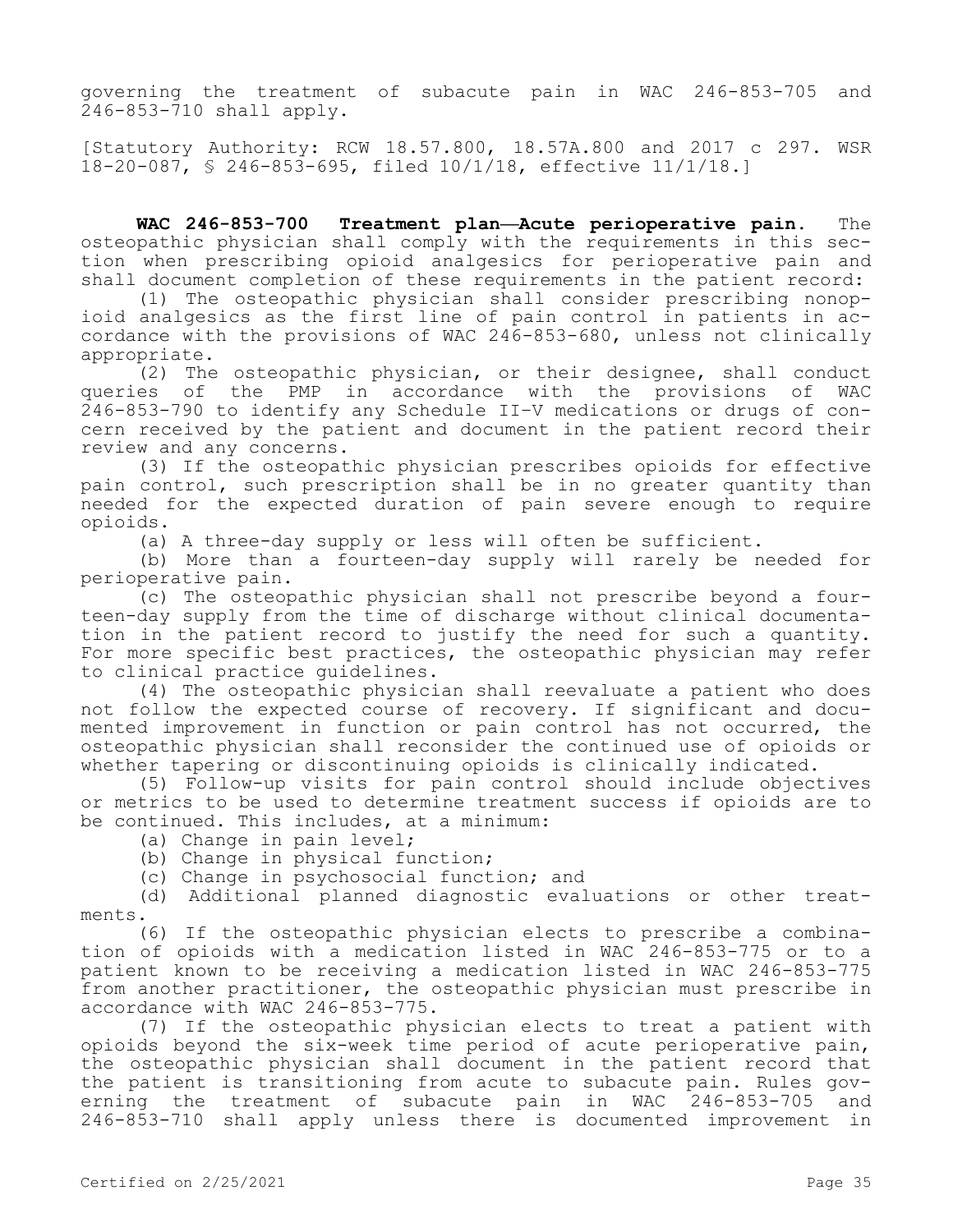governing the treatment of subacute pain in WAC 246-853-705 and 246-853-710 shall apply.

[Statutory Authority: RCW 18.57.800, 18.57A.800 and 2017 c 297. WSR 18-20-087, § 246-853-695, filed 10/1/18, effective 11/1/18.]

**WAC 246-853-700 Treatment plan—Acute perioperative pain.** The osteopathic physician shall comply with the requirements in this section when prescribing opioid analgesics for perioperative pain and shall document completion of these requirements in the patient record:

(1) The osteopathic physician shall consider prescribing nonopioid analgesics as the first line of pain control in patients in accordance with the provisions of WAC 246-853-680, unless not clinically appropriate.

(2) The osteopathic physician, or their designee, shall conduct queries of the PMP in accordance with the provisions of WAC 246-853-790 to identify any Schedule II–V medications or drugs of concern received by the patient and document in the patient record their review and any concerns.

(3) If the osteopathic physician prescribes opioids for effective pain control, such prescription shall be in no greater quantity than needed for the expected duration of pain severe enough to require opioids.

(a) A three-day supply or less will often be sufficient.

(b) More than a fourteen-day supply will rarely be needed for perioperative pain.

(c) The osteopathic physician shall not prescribe beyond a fourteen-day supply from the time of discharge without clinical documentation in the patient record to justify the need for such a quantity. For more specific best practices, the osteopathic physician may refer to clinical practice guidelines.

(4) The osteopathic physician shall reevaluate a patient who does not follow the expected course of recovery. If significant and documented improvement in function or pain control has not occurred, the osteopathic physician shall reconsider the continued use of opioids or whether tapering or discontinuing opioids is clinically indicated.

(5) Follow-up visits for pain control should include objectives or metrics to be used to determine treatment success if opioids are to be continued. This includes, at a minimum:

(a) Change in pain level;

(b) Change in physical function;

(c) Change in psychosocial function; and

(d) Additional planned diagnostic evaluations or other treatments.

(6) If the osteopathic physician elects to prescribe a combination of opioids with a medication listed in WAC 246-853-775 or to a patient known to be receiving a medication listed in WAC 246-853-775 from another practitioner, the osteopathic physician must prescribe in accordance with WAC 246-853-775.

(7) If the osteopathic physician elects to treat a patient with opioids beyond the six-week time period of acute perioperative pain, the osteopathic physician shall document in the patient record that the patient is transitioning from acute to subacute pain. Rules governing the treatment of subacute pain in WAC 246-853-705 and 246-853-710 shall apply unless there is documented improvement in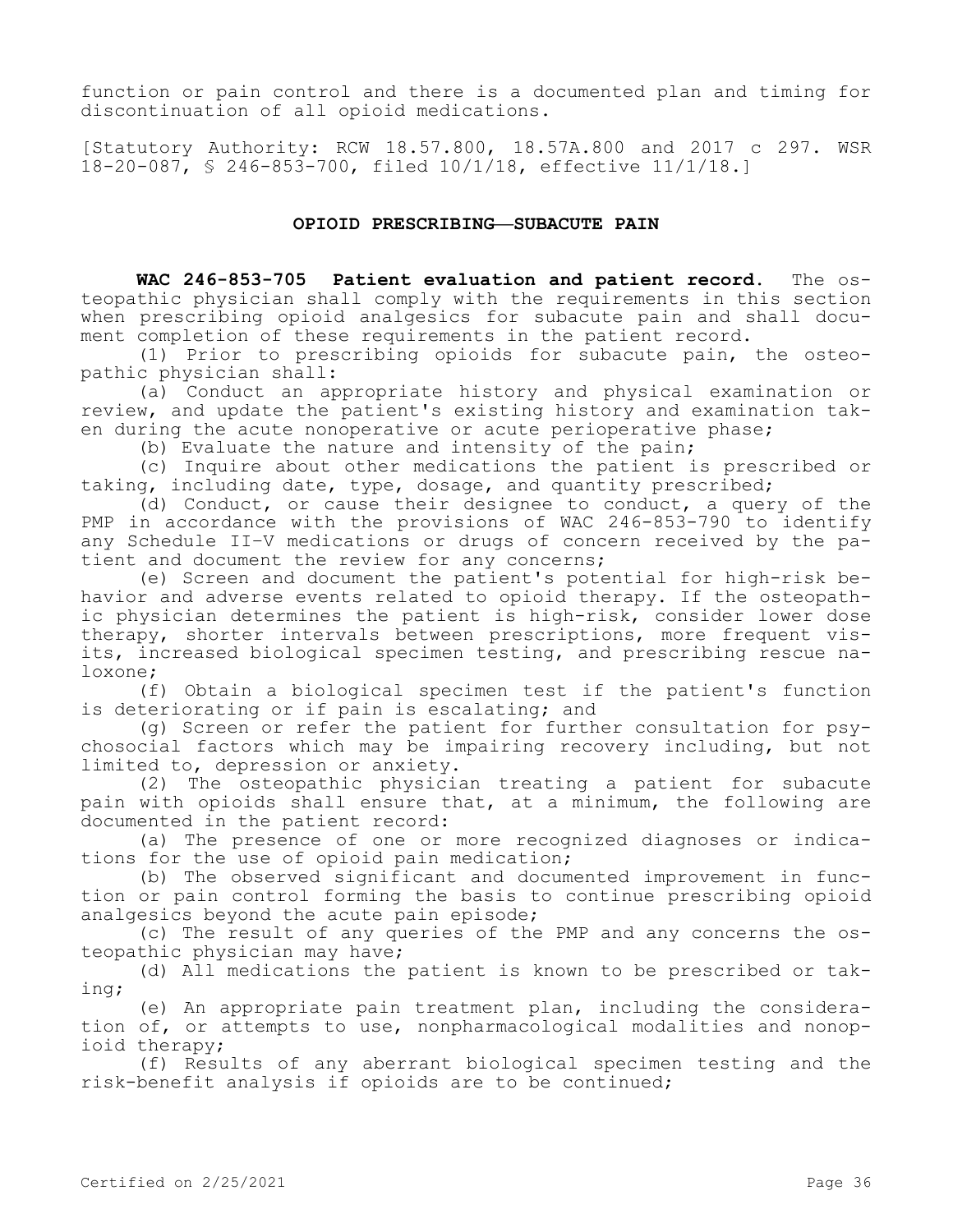function or pain control and there is a documented plan and timing for discontinuation of all opioid medications.

[Statutory Authority: RCW 18.57.800, 18.57A.800 and 2017 c 297. WSR 18-20-087, § 246-853-700, filed 10/1/18, effective 11/1/18.]

## **OPIOID PRESCRIBING—SUBACUTE PAIN**

**WAC 246-853-705 Patient evaluation and patient record.** The osteopathic physician shall comply with the requirements in this section when prescribing opioid analgesics for subacute pain and shall document completion of these requirements in the patient record.

(1) Prior to prescribing opioids for subacute pain, the osteopathic physician shall:

(a) Conduct an appropriate history and physical examination or review, and update the patient's existing history and examination taken during the acute nonoperative or acute perioperative phase;

(b) Evaluate the nature and intensity of the pain;

(c) Inquire about other medications the patient is prescribed or taking, including date, type, dosage, and quantity prescribed;

(d) Conduct, or cause their designee to conduct, a query of the PMP in accordance with the provisions of WAC 246-853-790 to identify any Schedule II–V medications or drugs of concern received by the patient and document the review for any concerns;

(e) Screen and document the patient's potential for high-risk behavior and adverse events related to opioid therapy. If the osteopathic physician determines the patient is high-risk, consider lower dose therapy, shorter intervals between prescriptions, more frequent visits, increased biological specimen testing, and prescribing rescue naloxone;

(f) Obtain a biological specimen test if the patient's function is deteriorating or if pain is escalating; and

(g) Screen or refer the patient for further consultation for psychosocial factors which may be impairing recovery including, but not limited to, depression or anxiety.

(2) The osteopathic physician treating a patient for subacute pain with opioids shall ensure that, at a minimum, the following are documented in the patient record:

(a) The presence of one or more recognized diagnoses or indications for the use of opioid pain medication;

(b) The observed significant and documented improvement in function or pain control forming the basis to continue prescribing opioid analgesics beyond the acute pain episode;

(c) The result of any queries of the PMP and any concerns the osteopathic physician may have;

(d) All medications the patient is known to be prescribed or taking;

(e) An appropriate pain treatment plan, including the consideration of, or attempts to use, nonpharmacological modalities and nonopioid therapy;

(f) Results of any aberrant biological specimen testing and the risk-benefit analysis if opioids are to be continued;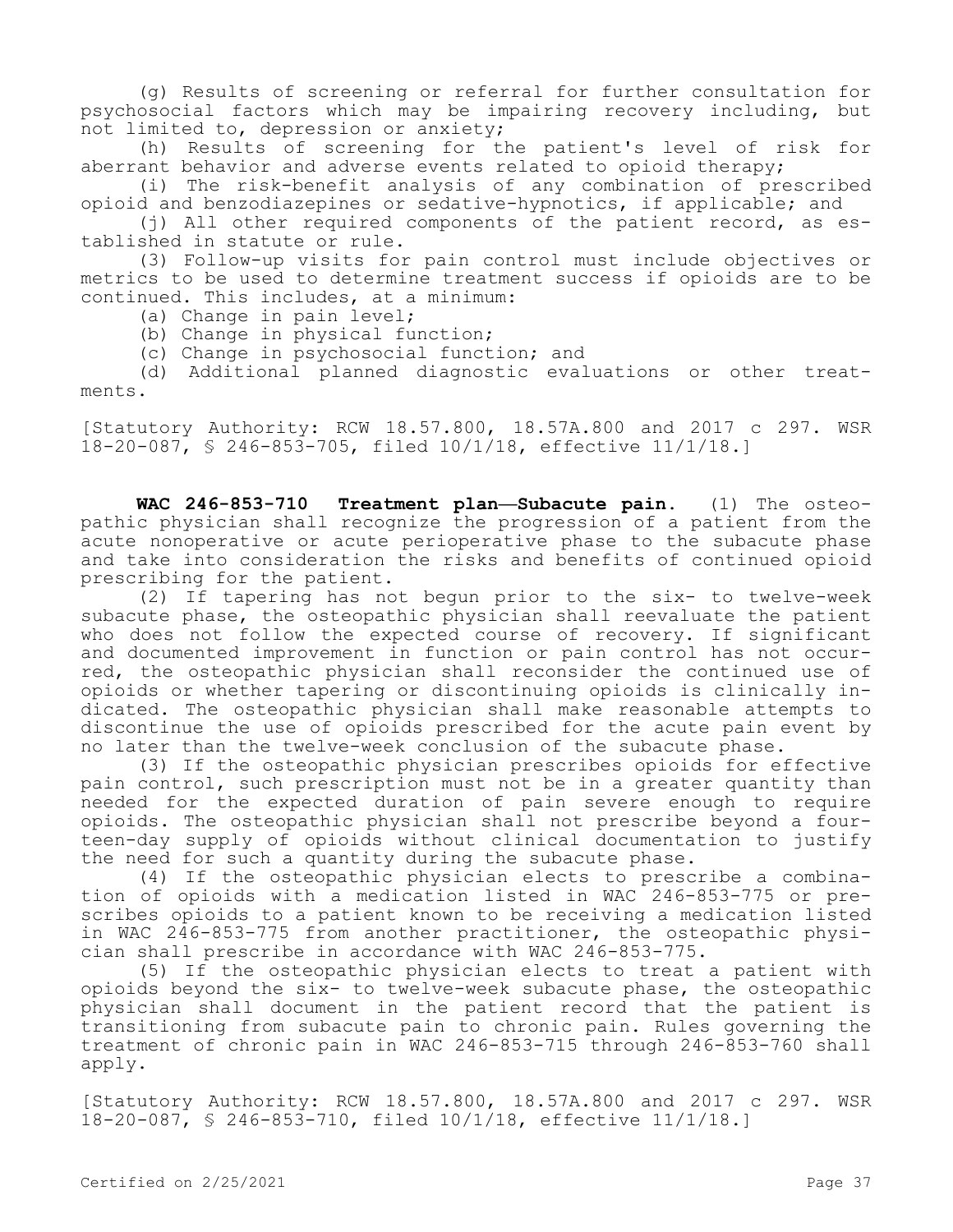(g) Results of screening or referral for further consultation for psychosocial factors which may be impairing recovery including, but not limited to, depression or anxiety;

(h) Results of screening for the patient's level of risk for aberrant behavior and adverse events related to opioid therapy;

(i) The risk-benefit analysis of any combination of prescribed opioid and benzodiazepines or sedative-hypnotics, if applicable; and

(j) All other required components of the patient record, as established in statute or rule.

(3) Follow-up visits for pain control must include objectives or metrics to be used to determine treatment success if opioids are to be continued. This includes, at a minimum:

(a) Change in pain level;

(b) Change in physical function;

(c) Change in psychosocial function; and

(d) Additional planned diagnostic evaluations or other treatments.

[Statutory Authority: RCW 18.57.800, 18.57A.800 and 2017 c 297. WSR 18-20-087, § 246-853-705, filed 10/1/18, effective 11/1/18.]

**WAC 246-853-710 Treatment plan—Subacute pain.** (1) The osteopathic physician shall recognize the progression of a patient from the acute nonoperative or acute perioperative phase to the subacute phase and take into consideration the risks and benefits of continued opioid prescribing for the patient.

(2) If tapering has not begun prior to the six- to twelve-week subacute phase, the osteopathic physician shall reevaluate the patient who does not follow the expected course of recovery. If significant and documented improvement in function or pain control has not occurred, the osteopathic physician shall reconsider the continued use of opioids or whether tapering or discontinuing opioids is clinically indicated. The osteopathic physician shall make reasonable attempts to discontinue the use of opioids prescribed for the acute pain event by no later than the twelve-week conclusion of the subacute phase.

(3) If the osteopathic physician prescribes opioids for effective pain control, such prescription must not be in a greater quantity than needed for the expected duration of pain severe enough to require opioids. The osteopathic physician shall not prescribe beyond a fourteen-day supply of opioids without clinical documentation to justify the need for such a quantity during the subacute phase.

(4) If the osteopathic physician elects to prescribe a combination of opioids with a medication listed in WAC 246-853-775 or prescribes opioids to a patient known to be receiving a medication listed in WAC 246-853-775 from another practitioner, the osteopathic physician shall prescribe in accordance with WAC 246-853-775.

(5) If the osteopathic physician elects to treat a patient with opioids beyond the six- to twelve-week subacute phase, the osteopathic physician shall document in the patient record that the patient is transitioning from subacute pain to chronic pain. Rules governing the treatment of chronic pain in WAC 246-853-715 through 246-853-760 shall apply.

[Statutory Authority: RCW 18.57.800, 18.57A.800 and 2017 c 297. WSR 18-20-087, § 246-853-710, filed 10/1/18, effective 11/1/18.]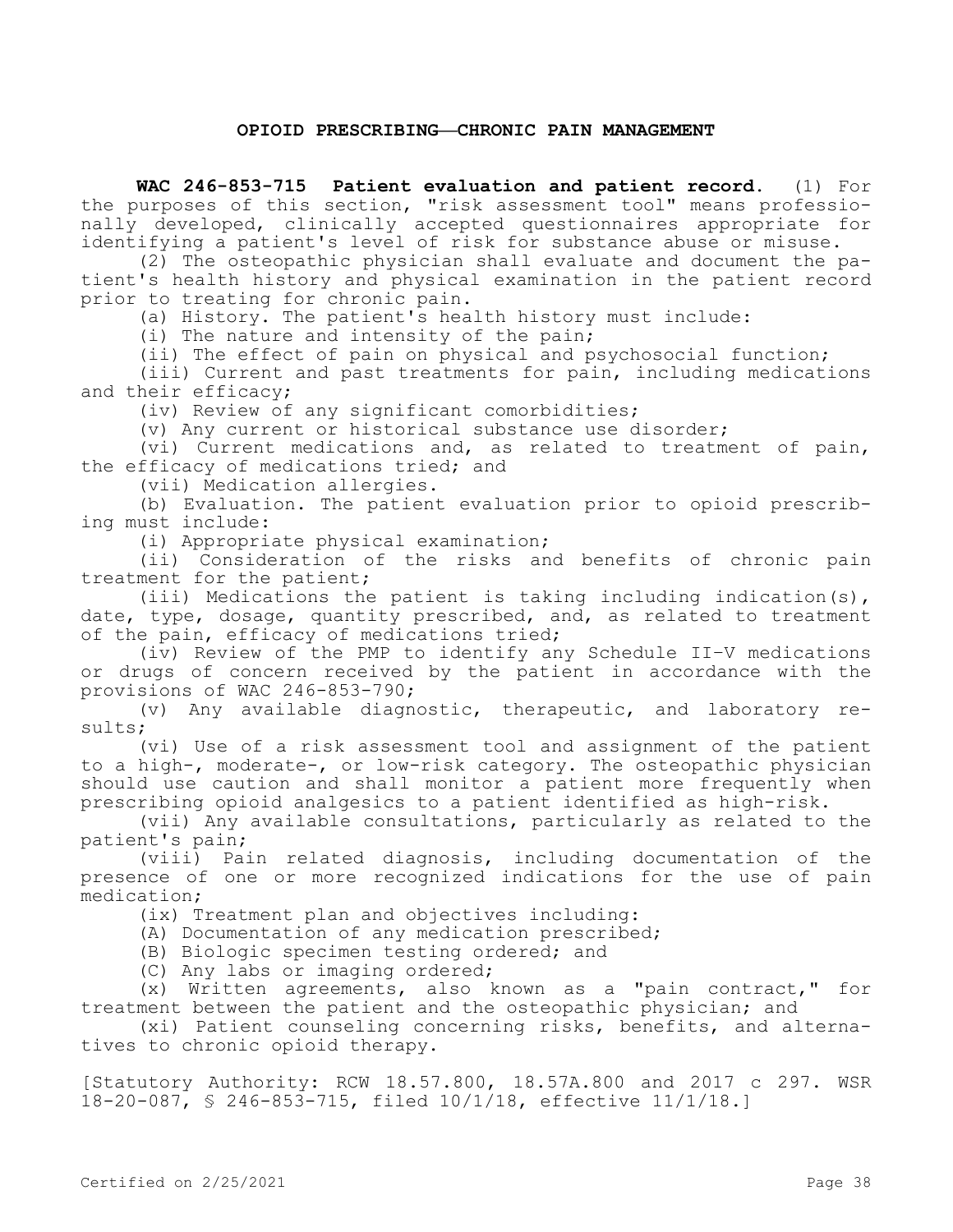### **OPIOID PRESCRIBING—CHRONIC PAIN MANAGEMENT**

**WAC 246-853-715 Patient evaluation and patient record.** (1) For the purposes of this section, "risk assessment tool" means professionally developed, clinically accepted questionnaires appropriate for identifying a patient's level of risk for substance abuse or misuse.

(2) The osteopathic physician shall evaluate and document the patient's health history and physical examination in the patient record prior to treating for chronic pain.

(a) History. The patient's health history must include:

(i) The nature and intensity of the pain;

(ii) The effect of pain on physical and psychosocial function;

(iii) Current and past treatments for pain, including medications and their efficacy;

(iv) Review of any significant comorbidities;

(v) Any current or historical substance use disorder;

(vi) Current medications and, as related to treatment of pain, the efficacy of medications tried; and

(vii) Medication allergies.

(b) Evaluation. The patient evaluation prior to opioid prescribing must include:

(i) Appropriate physical examination;

(ii) Consideration of the risks and benefits of chronic pain treatment for the patient;

(iii) Medications the patient is taking including indication(s), date, type, dosage, quantity prescribed, and, as related to treatment of the pain, efficacy of medications tried;

(iv) Review of the PMP to identify any Schedule II–V medications or drugs of concern received by the patient in accordance with the provisions of WAC 246-853-790;

(v) Any available diagnostic, therapeutic, and laboratory results;

(vi) Use of a risk assessment tool and assignment of the patient to a high-, moderate-, or low-risk category. The osteopathic physician should use caution and shall monitor a patient more frequently when prescribing opioid analgesics to a patient identified as high-risk.

(vii) Any available consultations, particularly as related to the patient's pain;

(viii) Pain related diagnosis, including documentation of the presence of one or more recognized indications for the use of pain medication;

(ix) Treatment plan and objectives including:

(A) Documentation of any medication prescribed;

(B) Biologic specimen testing ordered; and

(C) Any labs or imaging ordered;

(x) Written agreements, also known as a "pain contract," for treatment between the patient and the osteopathic physician; and

(xi) Patient counseling concerning risks, benefits, and alternatives to chronic opioid therapy.

[Statutory Authority: RCW 18.57.800, 18.57A.800 and 2017 c 297. WSR 18-20-087, § 246-853-715, filed 10/1/18, effective 11/1/18.]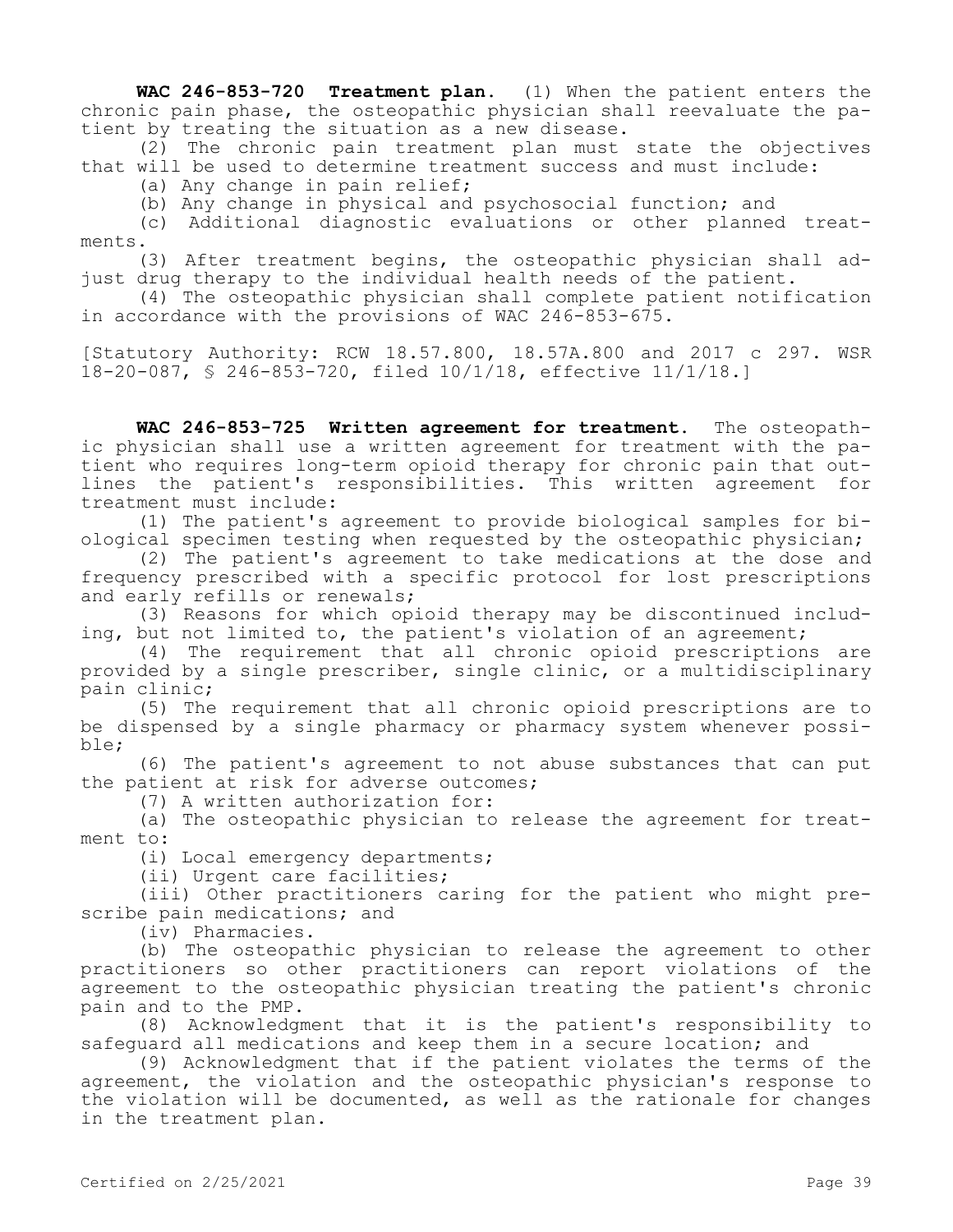**WAC 246-853-720 Treatment plan.** (1) When the patient enters the chronic pain phase, the osteopathic physician shall reevaluate the patient by treating the situation as a new disease.

(2) The chronic pain treatment plan must state the objectives that will be used to determine treatment success and must include:

(a) Any change in pain relief;

(b) Any change in physical and psychosocial function; and

(c) Additional diagnostic evaluations or other planned treatments.

(3) After treatment begins, the osteopathic physician shall adjust drug therapy to the individual health needs of the patient.

(4) The osteopathic physician shall complete patient notification in accordance with the provisions of WAC 246-853-675.

[Statutory Authority: RCW 18.57.800, 18.57A.800 and 2017 c 297. WSR 18-20-087, § 246-853-720, filed 10/1/18, effective 11/1/18.]

**WAC 246-853-725 Written agreement for treatment.** The osteopathic physician shall use a written agreement for treatment with the patient who requires long-term opioid therapy for chronic pain that outlines the patient's responsibilities. This written agreement for treatment must include:

(1) The patient's agreement to provide biological samples for biological specimen testing when requested by the osteopathic physician;

(2) The patient's agreement to take medications at the dose and frequency prescribed with a specific protocol for lost prescriptions and early refills or renewals;

(3) Reasons for which opioid therapy may be discontinued including, but not limited to, the patient's violation of an agreement;

(4) The requirement that all chronic opioid prescriptions are provided by a single prescriber, single clinic, or a multidisciplinary pain clinic;

(5) The requirement that all chronic opioid prescriptions are to be dispensed by a single pharmacy or pharmacy system whenever possible;

(6) The patient's agreement to not abuse substances that can put the patient at risk for adverse outcomes;

(7) A written authorization for:

(a) The osteopathic physician to release the agreement for treatment to:

(i) Local emergency departments;

(ii) Urgent care facilities;

(iii) Other practitioners caring for the patient who might prescribe pain medications; and

(iv) Pharmacies.

(b) The osteopathic physician to release the agreement to other practitioners so other practitioners can report violations of the agreement to the osteopathic physician treating the patient's chronic pain and to the PMP.

(8) Acknowledgment that it is the patient's responsibility to safeguard all medications and keep them in a secure location; and

(9) Acknowledgment that if the patient violates the terms of the agreement, the violation and the osteopathic physician's response to the violation will be documented, as well as the rationale for changes in the treatment plan.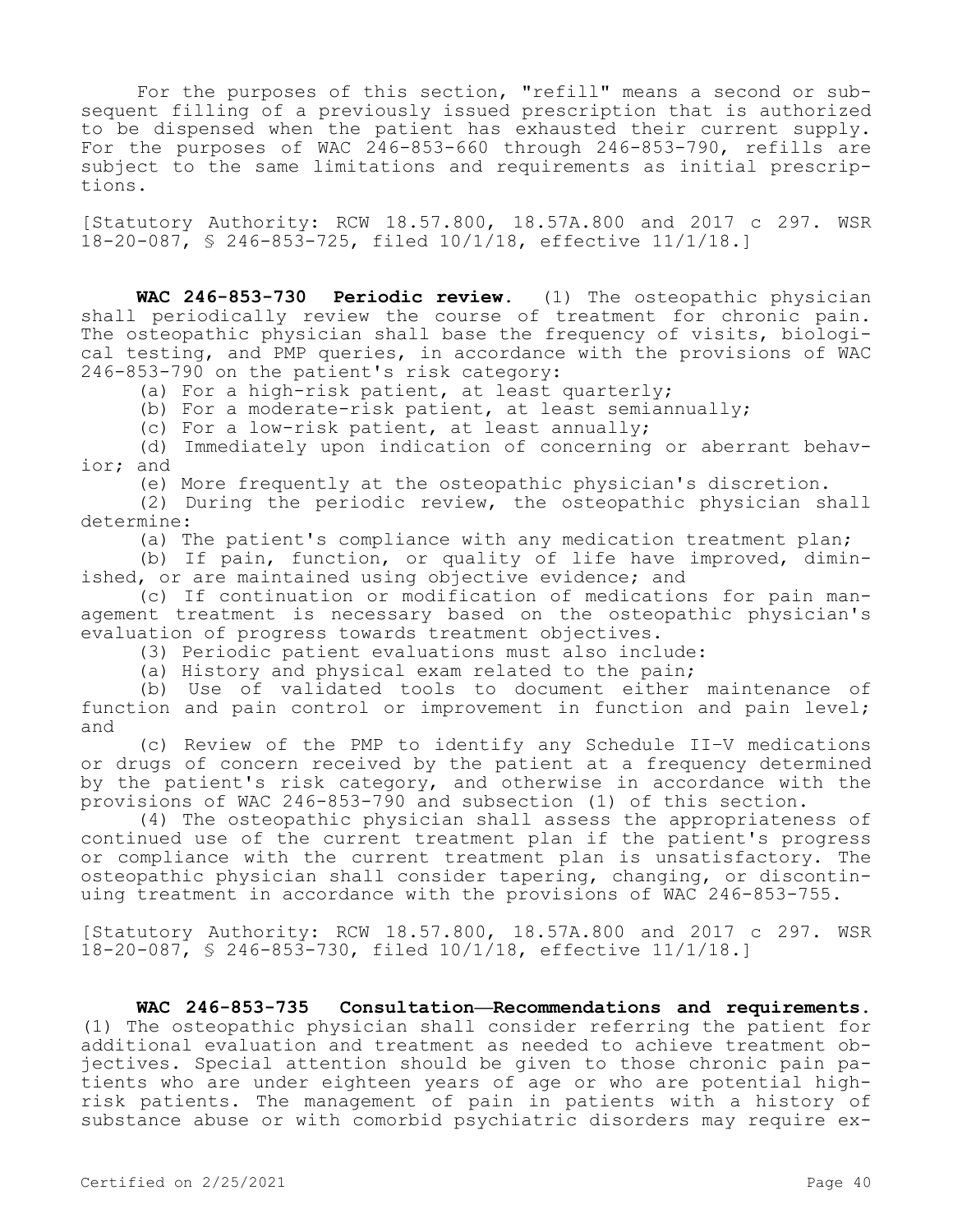For the purposes of this section, "refill" means a second or subsequent filling of a previously issued prescription that is authorized to be dispensed when the patient has exhausted their current supply. For the purposes of WAC 246-853-660 through 246-853-790, refills are subject to the same limitations and requirements as initial prescriptions.

[Statutory Authority: RCW 18.57.800, 18.57A.800 and 2017 c 297. WSR 18-20-087, § 246-853-725, filed 10/1/18, effective 11/1/18.]

**WAC 246-853-730 Periodic review.** (1) The osteopathic physician shall periodically review the course of treatment for chronic pain. The osteopathic physician shall base the frequency of visits, biological testing, and PMP queries, in accordance with the provisions of WAC 246-853-790 on the patient's risk category:

(a) For a high-risk patient, at least quarterly;

(b) For a moderate-risk patient, at least semiannually;

(c) For a low-risk patient, at least annually;

(d) Immediately upon indication of concerning or aberrant behavior; and

(e) More frequently at the osteopathic physician's discretion.

(2) During the periodic review, the osteopathic physician shall determine:

(a) The patient's compliance with any medication treatment plan;

(b) If pain, function, or quality of life have improved, diminished, or are maintained using objective evidence; and

(c) If continuation or modification of medications for pain management treatment is necessary based on the osteopathic physician's evaluation of progress towards treatment objectives.

(3) Periodic patient evaluations must also include:

(a) History and physical exam related to the pain;

(b) Use of validated tools to document either maintenance of function and pain control or improvement in function and pain level; and

(c) Review of the PMP to identify any Schedule II–V medications or drugs of concern received by the patient at a frequency determined by the patient's risk category, and otherwise in accordance with the provisions of WAC 246-853-790 and subsection (1) of this section.

(4) The osteopathic physician shall assess the appropriateness of continued use of the current treatment plan if the patient's progress or compliance with the current treatment plan is unsatisfactory. The osteopathic physician shall consider tapering, changing, or discontinuing treatment in accordance with the provisions of WAC 246-853-755.

[Statutory Authority: RCW 18.57.800, 18.57A.800 and 2017 c 297. WSR 18-20-087, § 246-853-730, filed 10/1/18, effective 11/1/18.]

**WAC 246-853-735 Consultation—Recommendations and requirements.**  (1) The osteopathic physician shall consider referring the patient for additional evaluation and treatment as needed to achieve treatment objectives. Special attention should be given to those chronic pain patients who are under eighteen years of age or who are potential highrisk patients. The management of pain in patients with a history of substance abuse or with comorbid psychiatric disorders may require ex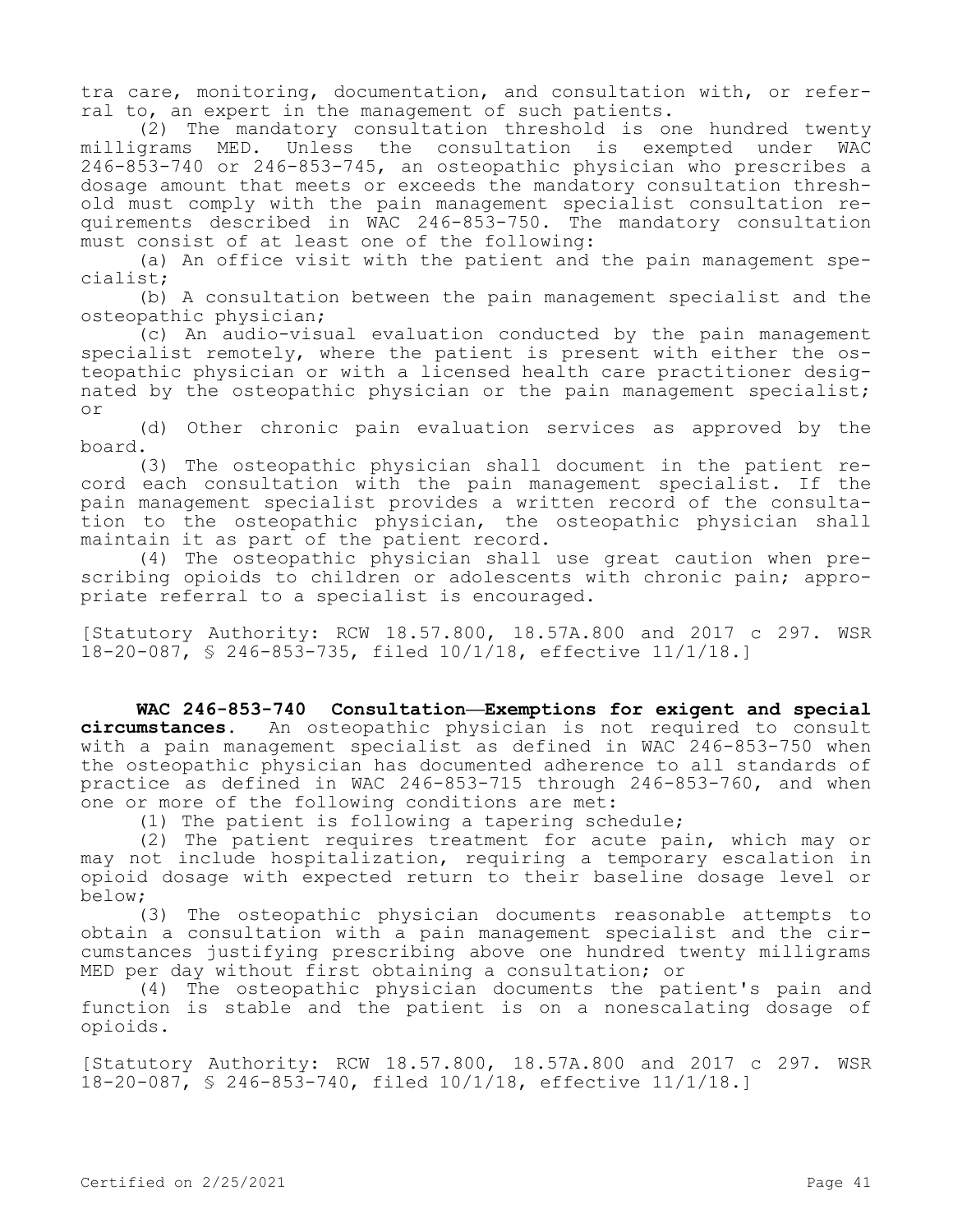tra care, monitoring, documentation, and consultation with, or referral to, an expert in the management of such patients.

(2) The mandatory consultation threshold is one hundred twenty milligrams MED. Unless the consultation is exempted under WAC 246-853-740 or 246-853-745, an osteopathic physician who prescribes a dosage amount that meets or exceeds the mandatory consultation threshold must comply with the pain management specialist consultation requirements described in WAC 246-853-750. The mandatory consultation must consist of at least one of the following:

(a) An office visit with the patient and the pain management specialist;

(b) A consultation between the pain management specialist and the osteopathic physician;

(c) An audio-visual evaluation conducted by the pain management specialist remotely, where the patient is present with either the osteopathic physician or with a licensed health care practitioner designated by the osteopathic physician or the pain management specialist; or

(d) Other chronic pain evaluation services as approved by the board.

(3) The osteopathic physician shall document in the patient record each consultation with the pain management specialist. If the pain management specialist provides a written record of the consultation to the osteopathic physician, the osteopathic physician shall maintain it as part of the patient record.

(4) The osteopathic physician shall use great caution when prescribing opioids to children or adolescents with chronic pain; appropriate referral to a specialist is encouraged.

[Statutory Authority: RCW 18.57.800, 18.57A.800 and 2017 c 297. WSR 18-20-087, § 246-853-735, filed 10/1/18, effective 11/1/18.]

**WAC 246-853-740 Consultation—Exemptions for exigent and special circumstances.** An osteopathic physician is not required to consult with a pain management specialist as defined in WAC 246-853-750 when the osteopathic physician has documented adherence to all standards of practice as defined in WAC 246-853-715 through 246-853-760, and when one or more of the following conditions are met:

(1) The patient is following a tapering schedule;

(2) The patient requires treatment for acute pain, which may or may not include hospitalization, requiring a temporary escalation in opioid dosage with expected return to their baseline dosage level or below;

(3) The osteopathic physician documents reasonable attempts to obtain a consultation with a pain management specialist and the circumstances justifying prescribing above one hundred twenty milligrams MED per day without first obtaining a consultation; or

(4) The osteopathic physician documents the patient's pain and function is stable and the patient is on a nonescalating dosage of opioids.

[Statutory Authority: RCW 18.57.800, 18.57A.800 and 2017 c 297. WSR 18-20-087, § 246-853-740, filed 10/1/18, effective 11/1/18.]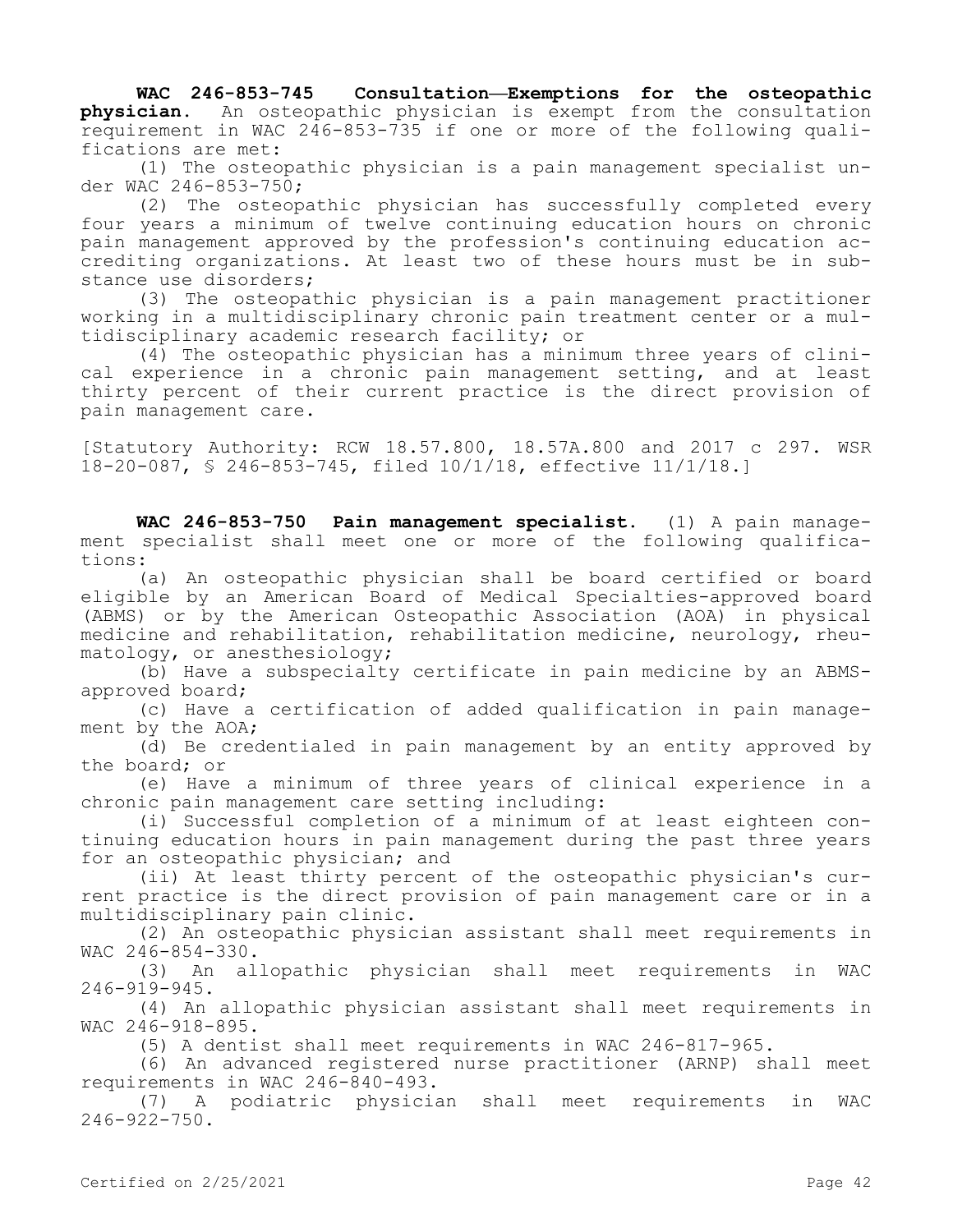**WAC 246-853-745 Consultation—Exemptions for the osteopathic physician.** An osteopathic physician is exempt from the consultation requirement in WAC 246-853-735 if one or more of the following qualifications are met:

(1) The osteopathic physician is a pain management specialist under WAC 246-853-750;

(2) The osteopathic physician has successfully completed every four years a minimum of twelve continuing education hours on chronic pain management approved by the profession's continuing education accrediting organizations. At least two of these hours must be in substance use disorders;

(3) The osteopathic physician is a pain management practitioner working in a multidisciplinary chronic pain treatment center or a multidisciplinary academic research facility; or

(4) The osteopathic physician has a minimum three years of clinical experience in a chronic pain management setting, and at least thirty percent of their current practice is the direct provision of pain management care.

[Statutory Authority: RCW 18.57.800, 18.57A.800 and 2017 c 297. WSR 18-20-087, § 246-853-745, filed 10/1/18, effective 11/1/18.]

**WAC 246-853-750 Pain management specialist.** (1) A pain management specialist shall meet one or more of the following qualifications:

(a) An osteopathic physician shall be board certified or board eligible by an American Board of Medical Specialties-approved board (ABMS) or by the American Osteopathic Association (AOA) in physical medicine and rehabilitation, rehabilitation medicine, neurology, rheumatology, or anesthesiology;

(b) Have a subspecialty certificate in pain medicine by an ABMSapproved board;

(c) Have a certification of added qualification in pain management by the AOA;

(d) Be credentialed in pain management by an entity approved by the board; or

(e) Have a minimum of three years of clinical experience in a chronic pain management care setting including:

(i) Successful completion of a minimum of at least eighteen continuing education hours in pain management during the past three years for an osteopathic physician; and

(ii) At least thirty percent of the osteopathic physician's current practice is the direct provision of pain management care or in a multidisciplinary pain clinic.

(2) An osteopathic physician assistant shall meet requirements in WAC 246-854-330.

(3) An allopathic physician shall meet requirements in WAC 246-919-945.

(4) An allopathic physician assistant shall meet requirements in WAC 246-918-895.

(5) A dentist shall meet requirements in WAC 246-817-965.

(6) An advanced registered nurse practitioner (ARNP) shall meet requirements in WAC 246-840-493.

(7) A podiatric physician shall meet requirements in WAC 246-922-750.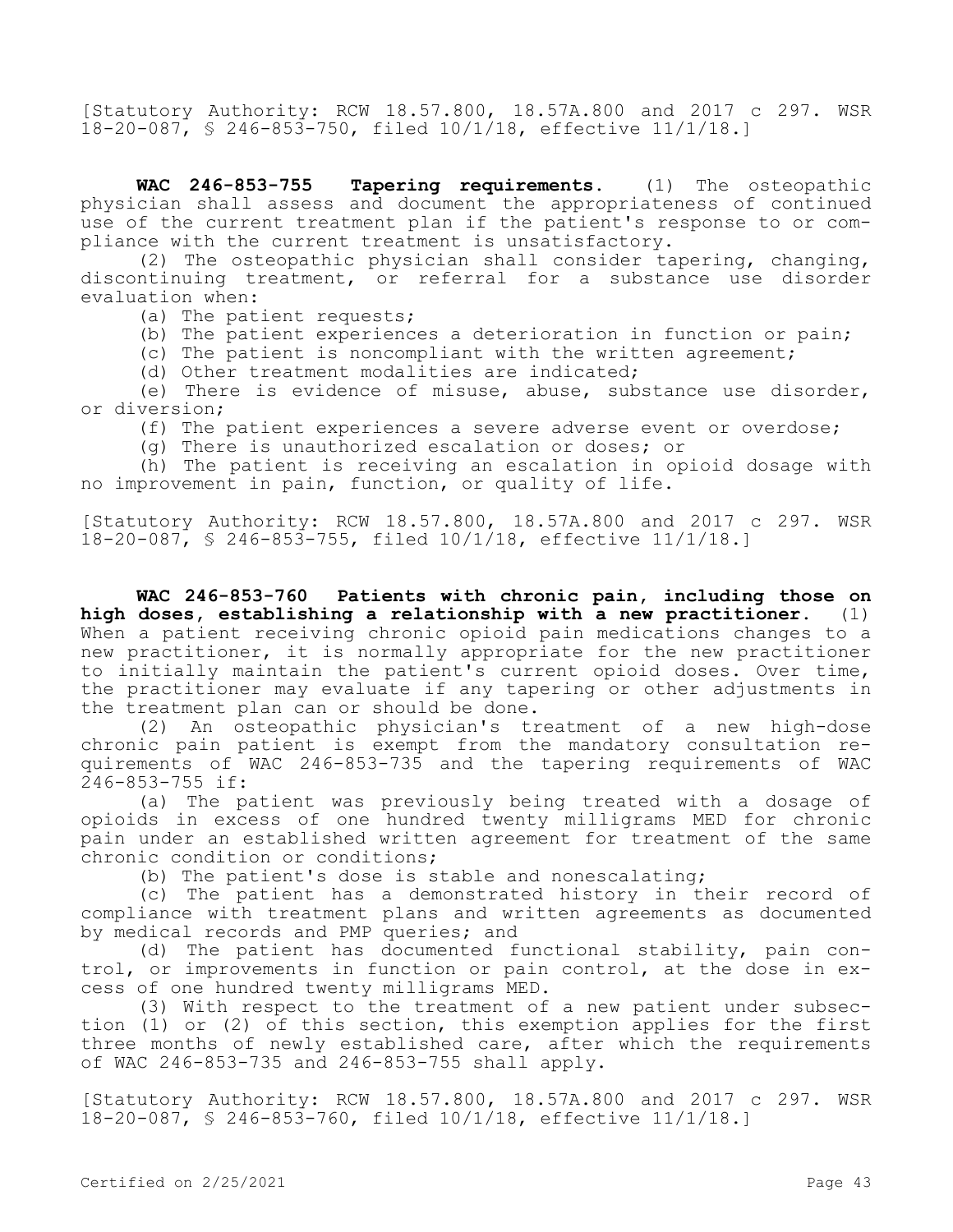[Statutory Authority: RCW 18.57.800, 18.57A.800 and 2017 c 297. WSR 18-20-087, § 246-853-750, filed 10/1/18, effective 11/1/18.]

**WAC 246-853-755 Tapering requirements.** (1) The osteopathic physician shall assess and document the appropriateness of continued use of the current treatment plan if the patient's response to or compliance with the current treatment is unsatisfactory.

(2) The osteopathic physician shall consider tapering, changing, discontinuing treatment, or referral for a substance use disorder evaluation when:

(a) The patient requests;

(b) The patient experiences a deterioration in function or pain;

(c) The patient is noncompliant with the written agreement;

(d) Other treatment modalities are indicated;

(e) There is evidence of misuse, abuse, substance use disorder, or diversion;

(f) The patient experiences a severe adverse event or overdose;

(g) There is unauthorized escalation or doses; or

(h) The patient is receiving an escalation in opioid dosage with no improvement in pain, function, or quality of life.

[Statutory Authority: RCW 18.57.800, 18.57A.800 and 2017 c 297. WSR 18-20-087, § 246-853-755, filed 10/1/18, effective 11/1/18.]

**WAC 246-853-760 Patients with chronic pain, including those on high doses, establishing a relationship with a new practitioner.** (1) When a patient receiving chronic opioid pain medications changes to a new practitioner, it is normally appropriate for the new practitioner to initially maintain the patient's current opioid doses. Over time, the practitioner may evaluate if any tapering or other adjustments in the treatment plan can or should be done.

(2) An osteopathic physician's treatment of a new high-dose chronic pain patient is exempt from the mandatory consultation requirements of WAC 246-853-735 and the tapering requirements of WAC 246-853-755 if:

(a) The patient was previously being treated with a dosage of opioids in excess of one hundred twenty milligrams MED for chronic pain under an established written agreement for treatment of the same chronic condition or conditions;

(b) The patient's dose is stable and nonescalating;

(c) The patient has a demonstrated history in their record of compliance with treatment plans and written agreements as documented by medical records and PMP queries; and

(d) The patient has documented functional stability, pain control, or improvements in function or pain control, at the dose in excess of one hundred twenty milligrams MED.

(3) With respect to the treatment of a new patient under subsection (1) or (2) of this section, this exemption applies for the first three months of newly established care, after which the requirements of WAC 246-853-735 and 246-853-755 shall apply.

[Statutory Authority: RCW 18.57.800, 18.57A.800 and 2017 c 297. WSR 18-20-087, § 246-853-760, filed 10/1/18, effective 11/1/18.]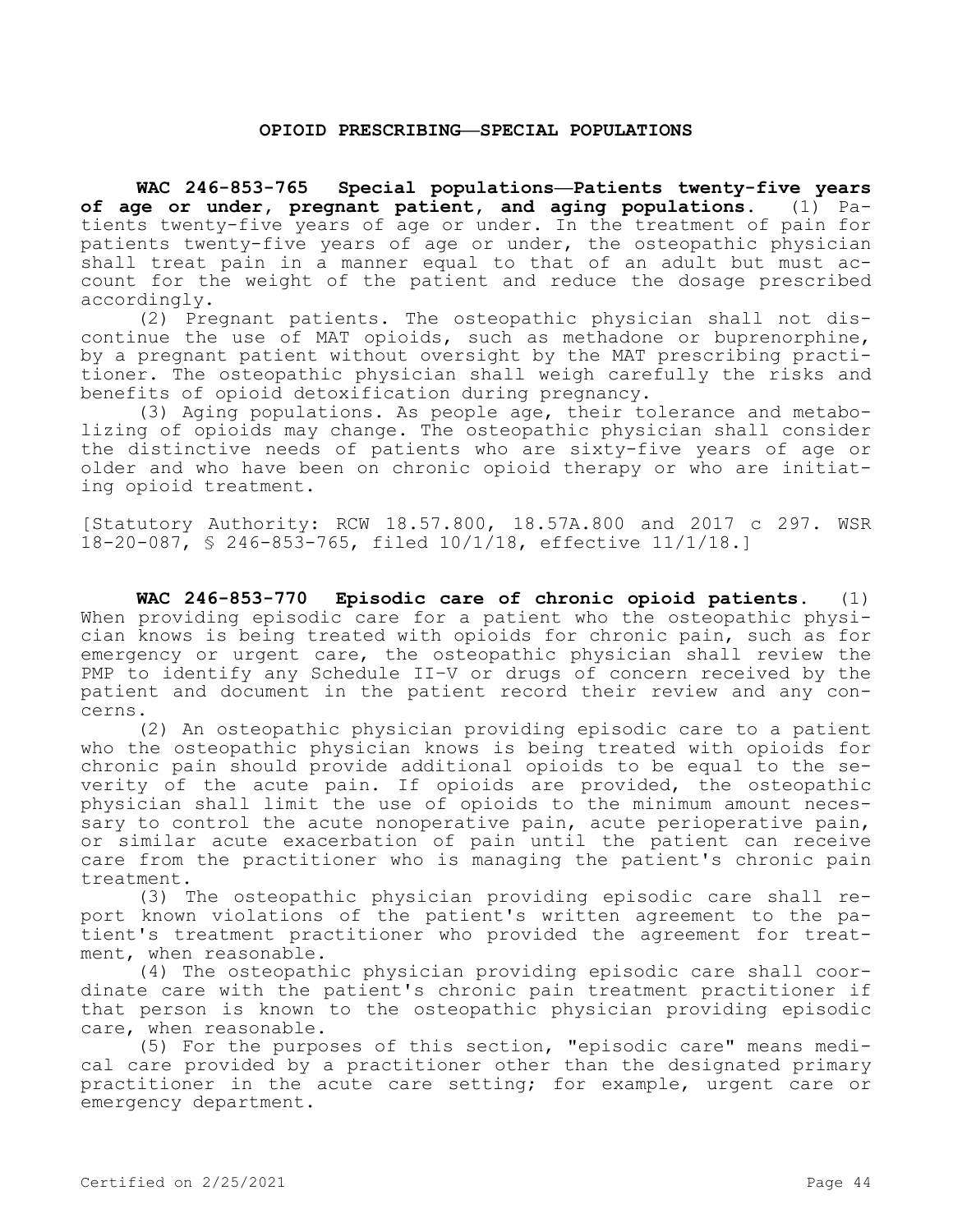#### **OPIOID PRESCRIBING—SPECIAL POPULATIONS**

**WAC 246-853-765 Special populations—Patients twenty-five years of age or under, pregnant patient, and aging populations.** (1) Patients twenty-five years of age or under. In the treatment of pain for patients twenty-five years of age or under, the osteopathic physician shall treat pain in a manner equal to that of an adult but must account for the weight of the patient and reduce the dosage prescribed accordingly.

(2) Pregnant patients. The osteopathic physician shall not discontinue the use of MAT opioids, such as methadone or buprenorphine, by a pregnant patient without oversight by the MAT prescribing practitioner. The osteopathic physician shall weigh carefully the risks and benefits of opioid detoxification during pregnancy.

(3) Aging populations. As people age, their tolerance and metabolizing of opioids may change. The osteopathic physician shall consider the distinctive needs of patients who are sixty-five years of age or older and who have been on chronic opioid therapy or who are initiating opioid treatment.

[Statutory Authority: RCW 18.57.800, 18.57A.800 and 2017 c 297. WSR 18-20-087, § 246-853-765, filed 10/1/18, effective 11/1/18.]

**WAC 246-853-770 Episodic care of chronic opioid patients.** (1) When providing episodic care for a patient who the osteopathic physician knows is being treated with opioids for chronic pain, such as for emergency or urgent care, the osteopathic physician shall review the PMP to identify any Schedule II–V or drugs of concern received by the patient and document in the patient record their review and any concerns.

(2) An osteopathic physician providing episodic care to a patient who the osteopathic physician knows is being treated with opioids for chronic pain should provide additional opioids to be equal to the severity of the acute pain. If opioids are provided, the osteopathic physician shall limit the use of opioids to the minimum amount necessary to control the acute nonoperative pain, acute perioperative pain, or similar acute exacerbation of pain until the patient can receive care from the practitioner who is managing the patient's chronic pain treatment.

(3) The osteopathic physician providing episodic care shall report known violations of the patient's written agreement to the patient's treatment practitioner who provided the agreement for treatment, when reasonable.

(4) The osteopathic physician providing episodic care shall coordinate care with the patient's chronic pain treatment practitioner if that person is known to the osteopathic physician providing episodic care, when reasonable.

(5) For the purposes of this section, "episodic care" means medical care provided by a practitioner other than the designated primary practitioner in the acute care setting; for example, urgent care or emergency department.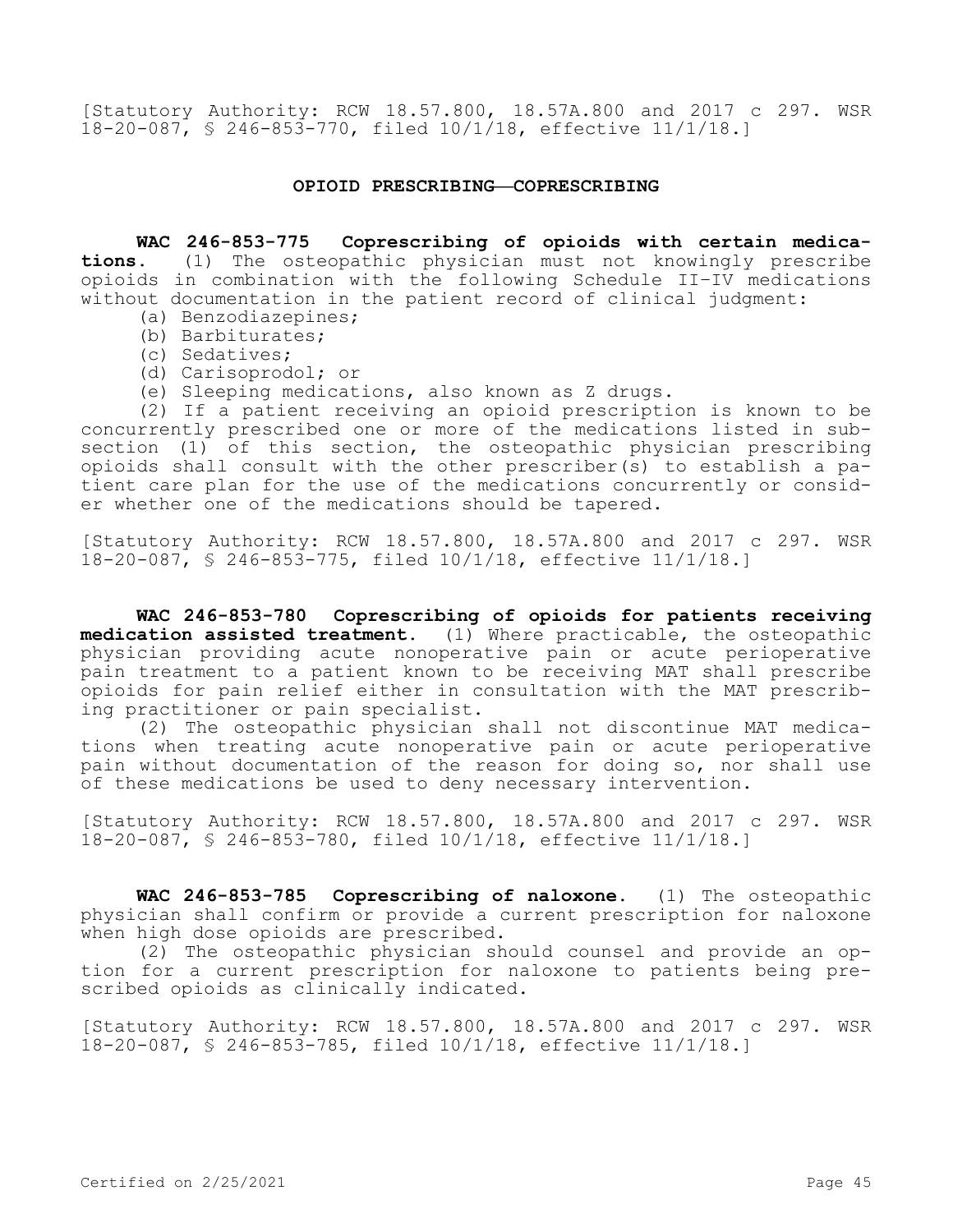[Statutory Authority: RCW 18.57.800, 18.57A.800 and 2017 c 297. WSR 18-20-087, § 246-853-770, filed 10/1/18, effective 11/1/18.]

#### **OPIOID PRESCRIBING—COPRESCRIBING**

**WAC 246-853-775 Coprescribing of opioids with certain medications.** (1) The osteopathic physician must not knowingly prescribe opioids in combination with the following Schedule II–IV medications without documentation in the patient record of clinical judgment:

- (a) Benzodiazepines;
- (b) Barbiturates;
- (c) Sedatives;
- (d) Carisoprodol; or
- (e) Sleeping medications, also known as Z drugs.

(2) If a patient receiving an opioid prescription is known to be concurrently prescribed one or more of the medications listed in subsection (1) of this section, the osteopathic physician prescribing opioids shall consult with the other prescriber(s) to establish a patient care plan for the use of the medications concurrently or consider whether one of the medications should be tapered.

[Statutory Authority: RCW 18.57.800, 18.57A.800 and 2017 c 297. WSR 18-20-087, § 246-853-775, filed 10/1/18, effective 11/1/18.]

**WAC 246-853-780 Coprescribing of opioids for patients receiving medication assisted treatment.** (1) Where practicable, the osteopathic physician providing acute nonoperative pain or acute perioperative pain treatment to a patient known to be receiving MAT shall prescribe opioids for pain relief either in consultation with the MAT prescribing practitioner or pain specialist.

(2) The osteopathic physician shall not discontinue MAT medications when treating acute nonoperative pain or acute perioperative pain without documentation of the reason for doing so, nor shall use of these medications be used to deny necessary intervention.

[Statutory Authority: RCW 18.57.800, 18.57A.800 and 2017 c 297. WSR 18-20-087, § 246-853-780, filed 10/1/18, effective 11/1/18.]

**WAC 246-853-785 Coprescribing of naloxone.** (1) The osteopathic physician shall confirm or provide a current prescription for naloxone when high dose opioids are prescribed.

(2) The osteopathic physician should counsel and provide an option for a current prescription for naloxone to patients being prescribed opioids as clinically indicated.

[Statutory Authority: RCW 18.57.800, 18.57A.800 and 2017 c 297. WSR 18-20-087, § 246-853-785, filed 10/1/18, effective 11/1/18.]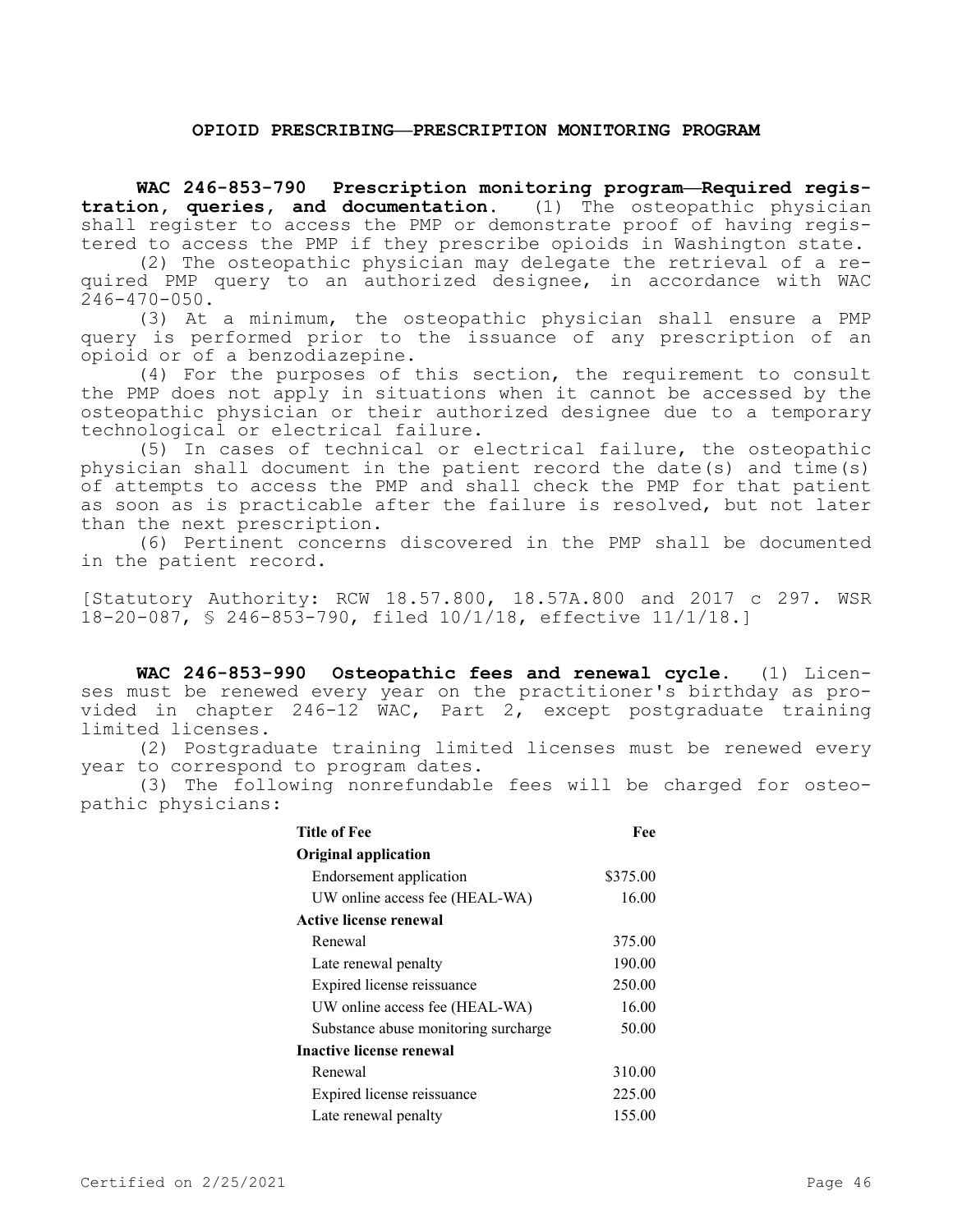#### **OPIOID PRESCRIBING—PRESCRIPTION MONITORING PROGRAM**

**WAC 246-853-790 Prescription monitoring program—Required registration, queries, and documentation.** (1) The osteopathic physician shall register to access the PMP or demonstrate proof of having registered to access the PMP if they prescribe opioids in Washington state.

(2) The osteopathic physician may delegate the retrieval of a required PMP query to an authorized designee, in accordance with WAC 246-470-050.

(3) At a minimum, the osteopathic physician shall ensure a PMP query is performed prior to the issuance of any prescription of an opioid or of a benzodiazepine.

(4) For the purposes of this section, the requirement to consult the PMP does not apply in situations when it cannot be accessed by the osteopathic physician or their authorized designee due to a temporary technological or electrical failure.

(5) In cases of technical or electrical failure, the osteopathic physician shall document in the patient record the date(s) and time(s) of attempts to access the PMP and shall check the PMP for that patient as soon as is practicable after the failure is resolved, but not later than the next prescription.

(6) Pertinent concerns discovered in the PMP shall be documented in the patient record.

[Statutory Authority: RCW 18.57.800, 18.57A.800 and 2017 c 297. WSR 18-20-087, § 246-853-790, filed 10/1/18, effective 11/1/18.]

**WAC 246-853-990 Osteopathic fees and renewal cycle.** (1) Licenses must be renewed every year on the practitioner's birthday as provided in chapter 246-12 WAC, Part 2, except postgraduate training limited licenses.

(2) Postgraduate training limited licenses must be renewed every year to correspond to program dates.

(3) The following nonrefundable fees will be charged for osteopathic physicians:

| <b>Title of Fee</b>                  | Fee      |  |
|--------------------------------------|----------|--|
| <b>Original application</b>          |          |  |
| <b>Endorsement application</b>       | \$375.00 |  |
| UW online access fee (HEAL-WA)       | 16.00    |  |
| Active license renewal               |          |  |
| Renewal                              | 375.00   |  |
| Late renewal penalty                 | 190.00   |  |
| Expired license reissuance           | 250.00   |  |
| UW online access fee (HEAL-WA)       | 16.00    |  |
| Substance abuse monitoring surcharge | 50.00    |  |
| Inactive license renewal             |          |  |
| Renewal                              | 310.00   |  |
| Expired license reissuance           | 225.00   |  |
| Late renewal penalty                 | 155.00   |  |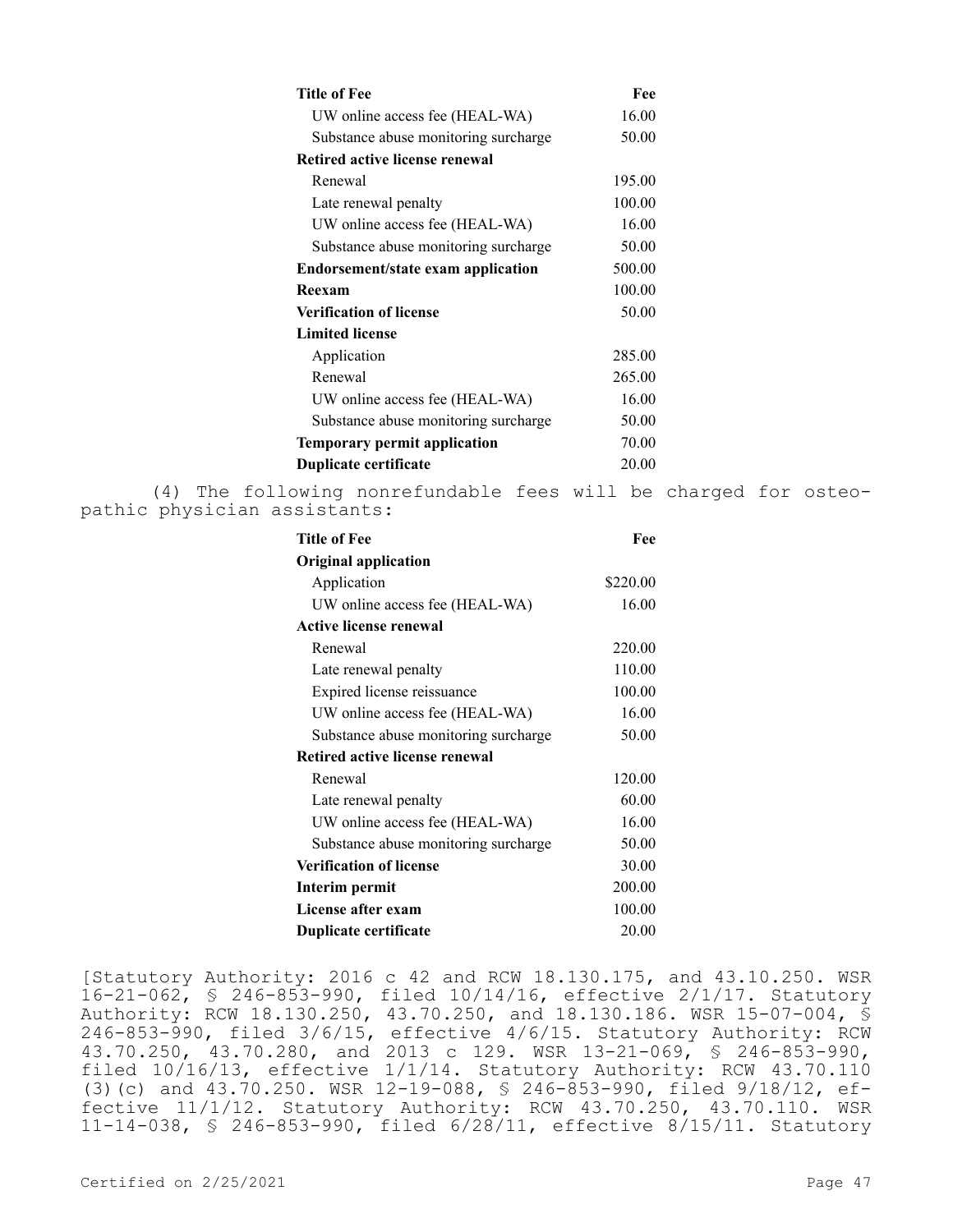| <b>Title of Fee</b>                                                                             | Fee    |  |  |
|-------------------------------------------------------------------------------------------------|--------|--|--|
| UW online access fee (HEAL-WA)                                                                  | 16.00  |  |  |
| Substance abuse monitoring surcharge                                                            | 50.00  |  |  |
| Retired active license renewal                                                                  |        |  |  |
| Renewal                                                                                         | 195.00 |  |  |
| Late renewal penalty                                                                            | 100.00 |  |  |
| UW online access fee (HEAL-WA)                                                                  | 16.00  |  |  |
| Substance abuse monitoring surcharge                                                            | 50.00  |  |  |
| Endorsement/state exam application                                                              | 500.00 |  |  |
| Reexam                                                                                          | 100.00 |  |  |
| <b>Verification of license</b>                                                                  | 50.00  |  |  |
| <b>Limited license</b>                                                                          |        |  |  |
| Application                                                                                     | 285.00 |  |  |
| Renewal                                                                                         | 265.00 |  |  |
| UW online access fee (HEAL-WA)                                                                  | 16.00  |  |  |
| Substance abuse monitoring surcharge                                                            | 50.00  |  |  |
| <b>Temporary permit application</b>                                                             | 70.00  |  |  |
| Duplicate certificate                                                                           | 20.00  |  |  |
| (4) The following nonrefundable fees will be charged for osteo-<br>pathic physician assistants: |        |  |  |
| <b>Title of Fee</b>                                                                             | Fee    |  |  |

| Title of Fee                         | Fee      |  |
|--------------------------------------|----------|--|
| <b>Original application</b>          |          |  |
| Application                          | \$220.00 |  |
| UW online access fee (HEAL-WA)       | 16.00    |  |
| <b>Active license renewal</b>        |          |  |
| Renewal                              | 220.00   |  |
| Late renewal penalty                 | 110.00   |  |
| Expired license reissuance           | 100.00   |  |
| UW online access fee (HEAL-WA)       | 16.00    |  |
| Substance abuse monitoring surcharge | 50.00    |  |
| Retired active license renewal       |          |  |
| Renewal                              | 120.00   |  |
| Late renewal penalty                 | 60.00    |  |
| UW online access fee (HEAL-WA)       | 16.00    |  |
| Substance abuse monitoring surcharge | 50.00    |  |
| <b>Verification of license</b>       | 30.00    |  |
| Interim permit                       | 200.00   |  |
| License after exam                   | 100.00   |  |
| Duplicate certificate                | 20.00    |  |

[Statutory Authority: 2016 c 42 and RCW 18.130.175, and 43.10.250. WSR 16-21-062, § 246-853-990, filed 10/14/16, effective 2/1/17. Statutory Authority: RCW 18.130.250, 43.70.250, and 18.130.186. WSR 15-07-004, § 246-853-990, filed 3/6/15, effective 4/6/15. Statutory Authority: RCW 43.70.250, 43.70.280, and 2013 c 129. WSR 13-21-069, § 246-853-990, filed 10/16/13, effective 1/1/14. Statutory Authority: RCW 43.70.110 (3)(c) and 43.70.250. WSR 12-19-088, § 246-853-990, filed 9/18/12, effective 11/1/12. Statutory Authority: RCW 43.70.250, 43.70.110. WSR 11-14-038, § 246-853-990, filed 6/28/11, effective 8/15/11. Statutory